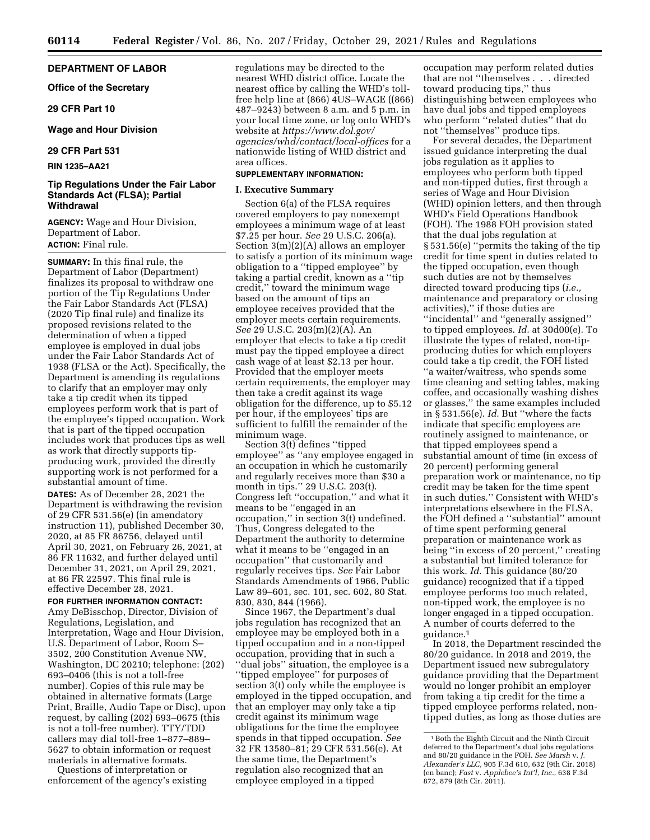## **DEPARTMENT OF LABOR**

# **Office of the Secretary**

# **29 CFR Part 10**

# **Wage and Hour Division**

# **29 CFR Part 531**

## **RIN 1235–AA21**

# **Tip Regulations Under the Fair Labor Standards Act (FLSA); Partial Withdrawal**

**AGENCY:** Wage and Hour Division, Department of Labor. **ACTION:** Final rule.

**SUMMARY:** In this final rule, the Department of Labor (Department) finalizes its proposal to withdraw one portion of the Tip Regulations Under the Fair Labor Standards Act (FLSA) (2020 Tip final rule) and finalize its proposed revisions related to the determination of when a tipped employee is employed in dual jobs under the Fair Labor Standards Act of 1938 (FLSA or the Act). Specifically, the Department is amending its regulations to clarify that an employer may only take a tip credit when its tipped employees perform work that is part of the employee's tipped occupation. Work that is part of the tipped occupation includes work that produces tips as well as work that directly supports tipproducing work, provided the directly supporting work is not performed for a substantial amount of time.

**DATES:** As of December 28, 2021 the Department is withdrawing the revision of 29 CFR 531.56(e) (in amendatory instruction 11), published December 30, 2020, at 85 FR 86756, delayed until April 30, 2021, on February 26, 2021, at 86 FR 11632, and further delayed until December 31, 2021, on April 29, 2021, at 86 FR 22597. This final rule is effective December 28, 2021.

#### **FOR FURTHER INFORMATION CONTACT:**

Amy DeBisschop, Director, Division of Regulations, Legislation, and Interpretation, Wage and Hour Division, U.S. Department of Labor, Room S– 3502, 200 Constitution Avenue NW, Washington, DC 20210; telephone: (202) 693–0406 (this is not a toll-free number). Copies of this rule may be obtained in alternative formats (Large Print, Braille, Audio Tape or Disc), upon request, by calling (202) 693–0675 (this is not a toll-free number). TTY/TDD callers may dial toll-free 1–877–889– 5627 to obtain information or request materials in alternative formats.

Questions of interpretation or enforcement of the agency's existing regulations may be directed to the nearest WHD district office. Locate the nearest office by calling the WHD's tollfree help line at (866) 4US–WAGE ((866) 487–9243) between 8 a.m. and 5 p.m. in your local time zone, or log onto WHD's website at *[https://www.dol.gov/](https://www.dol.gov/agencies/whd/contact/local-offices)  [agencies/whd/contact/local-offices](https://www.dol.gov/agencies/whd/contact/local-offices)* for a nationwide listing of WHD district and area offices.

# **SUPPLEMENTARY INFORMATION:**

# **I. Executive Summary**

Section 6(a) of the FLSA requires covered employers to pay nonexempt employees a minimum wage of at least \$7.25 per hour. *See* 29 U.S.C. 206(a). Section 3(m)(2)(A) allows an employer to satisfy a portion of its minimum wage obligation to a ''tipped employee'' by taking a partial credit, known as a ''tip credit,'' toward the minimum wage based on the amount of tips an employee receives provided that the employer meets certain requirements. *See* 29 U.S.C. 203(m)(2)(A). An employer that elects to take a tip credit must pay the tipped employee a direct cash wage of at least \$2.13 per hour. Provided that the employer meets certain requirements, the employer may then take a credit against its wage obligation for the difference, up to \$5.12 per hour, if the employees' tips are sufficient to fulfill the remainder of the minimum wage.

Section 3(t) defines ''tipped employee'' as ''any employee engaged in an occupation in which he customarily and regularly receives more than \$30 a month in tips.'' 29 U.S.C. 203(t). Congress left ''occupation,'' and what it means to be ''engaged in an occupation,'' in section 3(t) undefined. Thus, Congress delegated to the Department the authority to determine what it means to be ''engaged in an occupation'' that customarily and regularly receives tips. *See* Fair Labor Standards Amendments of 1966, Public Law 89–601, sec. 101, sec. 602, 80 Stat. 830, 830, 844 (1966).

Since 1967, the Department's dual jobs regulation has recognized that an employee may be employed both in a tipped occupation and in a non-tipped occupation, providing that in such a ''dual jobs'' situation, the employee is a ''tipped employee'' for purposes of section 3(t) only while the employee is employed in the tipped occupation, and that an employer may only take a tip credit against its minimum wage obligations for the time the employee spends in that tipped occupation. *See*  32 FR 13580–81; 29 CFR 531.56(e). At the same time, the Department's regulation also recognized that an employee employed in a tipped

occupation may perform related duties that are not ''themselves . . . directed toward producing tips,'' thus distinguishing between employees who have dual jobs and tipped employees who perform ''related duties'' that do not ''themselves'' produce tips.

For several decades, the Department issued guidance interpreting the dual jobs regulation as it applies to employees who perform both tipped and non-tipped duties, first through a series of Wage and Hour Division (WHD) opinion letters, and then through WHD's Field Operations Handbook (FOH). The 1988 FOH provision stated that the dual jobs regulation at § 531.56(e) ''permits the taking of the tip credit for time spent in duties related to the tipped occupation, even though such duties are not by themselves directed toward producing tips (*i.e.,*  maintenance and preparatory or closing activities),'' if those duties are ''incidental'' and ''generally assigned'' to tipped employees. *Id.* at 30d00(e). To illustrate the types of related, non-tipproducing duties for which employers could take a tip credit, the FOH listed ''a waiter/waitress, who spends some time cleaning and setting tables, making coffee, and occasionally washing dishes or glasses,'' the same examples included in § 531.56(e). *Id.* But ''where the facts indicate that specific employees are routinely assigned to maintenance, or that tipped employees spend a substantial amount of time (in excess of 20 percent) performing general preparation work or maintenance, no tip credit may be taken for the time spent in such duties.'' Consistent with WHD's interpretations elsewhere in the FLSA, the FOH defined a ''substantial'' amount of time spent performing general preparation or maintenance work as being ''in excess of 20 percent,'' creating a substantial but limited tolerance for this work. *Id.* This guidance (80/20 guidance) recognized that if a tipped employee performs too much related, non-tipped work, the employee is no longer engaged in a tipped occupation. A number of courts deferred to the guidance.1

In 2018, the Department rescinded the 80/20 guidance. In 2018 and 2019, the Department issued new subregulatory guidance providing that the Department would no longer prohibit an employer from taking a tip credit for the time a tipped employee performs related, nontipped duties, as long as those duties are

<sup>1</sup>Both the Eighth Circuit and the Ninth Circuit deferred to the Department's dual jobs regulations and 80/20 guidance in the FOH. *See Marsh* v. *J. Alexander's LLC,* 905 F.3d 610, 632 (9th Cir. 2018) (en banc); *Fast* v. *Applebee's Int'l, Inc.,* 638 F.3d 872, 879 (8th Cir. 2011).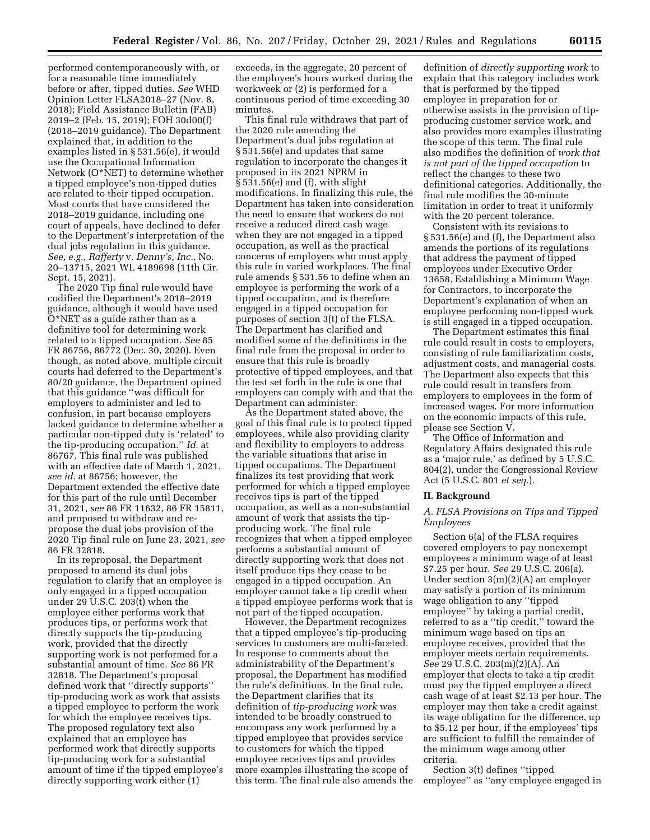performed contemporaneously with, or for a reasonable time immediately before or after, tipped duties. *See* WHD Opinion Letter FLSA2018–27 (Nov. 8, 2018); Field Assistance Bulletin (FAB) 2019–2 (Feb. 15, 2019); FOH 30d00(f) (2018–2019 guidance). The Department explained that, in addition to the examples listed in § 531.56(e), it would use the Occupational Information Network (O\*NET) to determine whether a tipped employee's non-tipped duties are related to their tipped occupation. Most courts that have considered the 2018–2019 guidance, including one court of appeals, have declined to defer to the Department's interpretation of the dual jobs regulation in this guidance. *See, e.g., Rafferty* v. *Denny's, Inc.,* No. 20–13715, 2021 WL 4189698 (11th Cir. Sept. 15, 2021).

The 2020 Tip final rule would have codified the Department's 2018–2019 guidance, although it would have used O\*NET as a guide rather than as a definitive tool for determining work related to a tipped occupation. *See* 85 FR 86756, 86772 (Dec. 30, 2020). Even though, as noted above, multiple circuit courts had deferred to the Department's 80/20 guidance, the Department opined that this guidance ''was difficult for employers to administer and led to confusion, in part because employers lacked guidance to determine whether a particular non-tipped duty is 'related' to the tip-producing occupation.'' *Id.* at 86767. This final rule was published with an effective date of March 1, 2021, *see id.* at 86756; however, the Department extended the effective date for this part of the rule until December 31, 2021, *see* 86 FR 11632, 86 FR 15811, and proposed to withdraw and repropose the dual jobs provision of the 2020 Tip final rule on June 23, 2021, *see*  86 FR 32818.

In its reproposal, the Department proposed to amend its dual jobs regulation to clarify that an employee is only engaged in a tipped occupation under 29 U.S.C. 203(t) when the employee either performs work that produces tips, or performs work that directly supports the tip-producing work, provided that the directly supporting work is not performed for a substantial amount of time. *See* 86 FR 32818. The Department's proposal defined work that ''directly supports'' tip-producing work as work that assists a tipped employee to perform the work for which the employee receives tips. The proposed regulatory text also explained that an employee has performed work that directly supports tip-producing work for a substantial amount of time if the tipped employee's directly supporting work either (1)

exceeds, in the aggregate, 20 percent of the employee's hours worked during the workweek or (2) is performed for a continuous period of time exceeding 30 minutes.

This final rule withdraws that part of the 2020 rule amending the Department's dual jobs regulation at § 531.56(e) and updates that same regulation to incorporate the changes it proposed in its 2021 NPRM in  $\S 531.56(e)$  and (f), with slight modifications. In finalizing this rule, the Department has taken into consideration the need to ensure that workers do not receive a reduced direct cash wage when they are not engaged in a tipped occupation, as well as the practical concerns of employers who must apply this rule in varied workplaces. The final rule amends § 531.56 to define when an employee is performing the work of a tipped occupation, and is therefore engaged in a tipped occupation for purposes of section 3(t) of the FLSA. The Department has clarified and modified some of the definitions in the final rule from the proposal in order to ensure that this rule is broadly protective of tipped employees, and that the test set forth in the rule is one that employers can comply with and that the Department can administer.

As the Department stated above, the goal of this final rule is to protect tipped employees, while also providing clarity and flexibility to employers to address the variable situations that arise in tipped occupations. The Department finalizes its test providing that work performed for which a tipped employee receives tips is part of the tipped occupation, as well as a non-substantial amount of work that assists the tipproducing work. The final rule recognizes that when a tipped employee performs a substantial amount of directly supporting work that does not itself produce tips they cease to be engaged in a tipped occupation. An employer cannot take a tip credit when a tipped employee performs work that is not part of the tipped occupation.

However, the Department recognizes that a tipped employee's tip-producing services to customers are multi-faceted. In response to comments about the administrability of the Department's proposal, the Department has modified the rule's definitions. In the final rule, the Department clarifies that its definition of *tip-producing work* was intended to be broadly construed to encompass any work performed by a tipped employee that provides service to customers for which the tipped employee receives tips and provides more examples illustrating the scope of this term. The final rule also amends the

definition of *directly supporting work* to explain that this category includes work that is performed by the tipped employee in preparation for or otherwise assists in the provision of tipproducing customer service work, and also provides more examples illustrating the scope of this term. The final rule also modifies the definition of *work that is not part of the tipped occupation* to reflect the changes to these two definitional categories. Additionally, the final rule modifies the 30-minute limitation in order to treat it uniformly with the 20 percent tolerance.

Consistent with its revisions to § 531.56(e) and (f), the Department also amends the portions of its regulations that address the payment of tipped employees under Executive Order 13658, Establishing a Minimum Wage for Contractors, to incorporate the Department's explanation of when an employee performing non-tipped work is still engaged in a tipped occupation.

The Department estimates this final rule could result in costs to employers, consisting of rule familiarization costs, adjustment costs, and managerial costs. The Department also expects that this rule could result in transfers from employers to employees in the form of increased wages. For more information on the economic impacts of this rule, please see Section V.

The Office of Information and Regulatory Affairs designated this rule as a 'major rule,' as defined by 5 U.S.C. 804(2), under the Congressional Review Act (5 U.S.C. 801 *et seq.*).

#### **II. Background**

# *A. FLSA Provisions on Tips and Tipped Employees*

Section 6(a) of the FLSA requires covered employers to pay nonexempt employees a minimum wage of at least \$7.25 per hour. *See* 29 U.S.C. 206(a). Under section 3(m)(2)(A) an employer may satisfy a portion of its minimum wage obligation to any ''tipped employee'' by taking a partial credit, referred to as a ''tip credit,'' toward the minimum wage based on tips an employee receives, provided that the employer meets certain requirements. *See* 29 U.S.C. 203(m)(2)(A). An employer that elects to take a tip credit must pay the tipped employee a direct cash wage of at least \$2.13 per hour. The employer may then take a credit against its wage obligation for the difference, up to \$5.12 per hour, if the employees' tips are sufficient to fulfill the remainder of the minimum wage among other criteria.

Section 3(t) defines ''tipped employee'' as ''any employee engaged in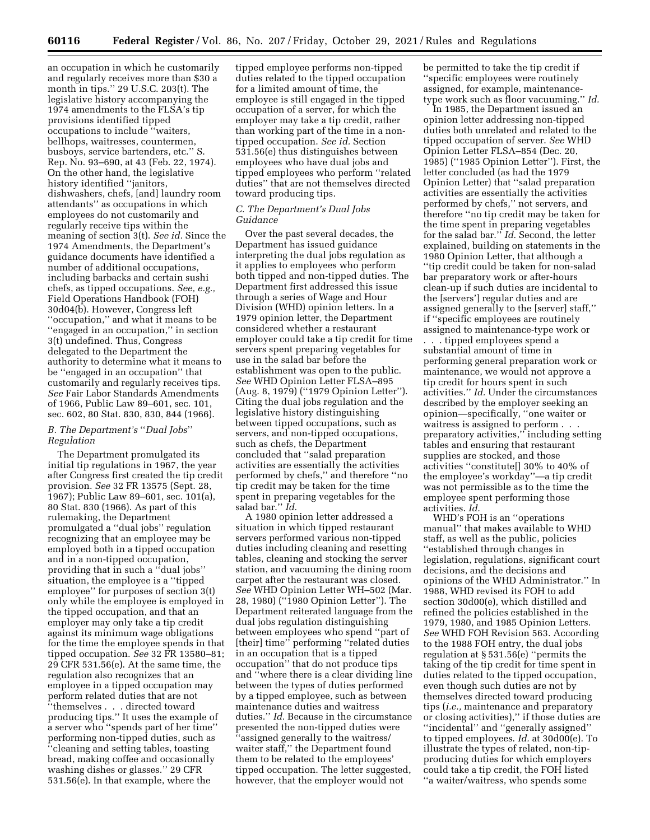an occupation in which he customarily and regularly receives more than \$30 a month in tips.'' 29 U.S.C. 203(t). The legislative history accompanying the 1974 amendments to the FLSA's tip provisions identified tipped occupations to include ''waiters, bellhops, waitresses, countermen, busboys, service bartenders, etc.'' S. Rep. No. 93–690, at 43 (Feb. 22, 1974). On the other hand, the legislative history identified ''janitors, dishwashers, chefs, [and] laundry room attendants'' as occupations in which employees do not customarily and regularly receive tips within the meaning of section 3(t). *See id.* Since the 1974 Amendments, the Department's guidance documents have identified a number of additional occupations, including barbacks and certain sushi chefs, as tipped occupations. *See, e.g.,*  Field Operations Handbook (FOH) 30d04(b). However, Congress left ''occupation,'' and what it means to be ''engaged in an occupation,'' in section 3(t) undefined. Thus, Congress delegated to the Department the authority to determine what it means to be ''engaged in an occupation'' that customarily and regularly receives tips. *See* Fair Labor Standards Amendments of 1966, Public Law 89–601, sec. 101, sec. 602, 80 Stat. 830, 830, 844 (1966).

# *B. The Department's* ''*Dual Jobs*'' *Regulation*

The Department promulgated its initial tip regulations in 1967, the year after Congress first created the tip credit provision. *See* 32 FR 13575 (Sept. 28, 1967); Public Law 89–601, sec. 101(a), 80 Stat. 830 (1966). As part of this rulemaking, the Department promulgated a ''dual jobs'' regulation recognizing that an employee may be employed both in a tipped occupation and in a non-tipped occupation, providing that in such a ''dual jobs'' situation, the employee is a ''tipped employee'' for purposes of section 3(t) only while the employee is employed in the tipped occupation, and that an employer may only take a tip credit against its minimum wage obligations for the time the employee spends in that tipped occupation. *See* 32 FR 13580–81; 29 CFR 531.56(e). At the same time, the regulation also recognizes that an employee in a tipped occupation may perform related duties that are not ''themselves . . . directed toward producing tips.'' It uses the example of a server who ''spends part of her time'' performing non-tipped duties, such as ''cleaning and setting tables, toasting bread, making coffee and occasionally washing dishes or glasses.'' 29 CFR 531.56(e). In that example, where the

tipped employee performs non-tipped duties related to the tipped occupation for a limited amount of time, the employee is still engaged in the tipped occupation of a server, for which the employer may take a tip credit, rather than working part of the time in a nontipped occupation. *See id.* Section 531.56(e) thus distinguishes between employees who have dual jobs and tipped employees who perform ''related duties'' that are not themselves directed toward producing tips.

# *C. The Department's Dual Jobs Guidance*

Over the past several decades, the Department has issued guidance interpreting the dual jobs regulation as it applies to employees who perform both tipped and non-tipped duties. The Department first addressed this issue through a series of Wage and Hour Division (WHD) opinion letters. In a 1979 opinion letter, the Department considered whether a restaurant employer could take a tip credit for time servers spent preparing vegetables for use in the salad bar before the establishment was open to the public. *See* WHD Opinion Letter FLSA–895 (Aug. 8, 1979) (''1979 Opinion Letter''). Citing the dual jobs regulation and the legislative history distinguishing between tipped occupations, such as servers, and non-tipped occupations, such as chefs, the Department concluded that ''salad preparation activities are essentially the activities performed by chefs,'' and therefore ''no tip credit may be taken for the time spent in preparing vegetables for the salad bar.'' *Id.* 

A 1980 opinion letter addressed a situation in which tipped restaurant servers performed various non-tipped duties including cleaning and resetting tables, cleaning and stocking the server station, and vacuuming the dining room carpet after the restaurant was closed. *See* WHD Opinion Letter WH–502 (Mar. 28, 1980) (''1980 Opinion Letter''). The Department reiterated language from the dual jobs regulation distinguishing between employees who spend ''part of [their] time" performing "related duties in an occupation that is a tipped occupation'' that do not produce tips and ''where there is a clear dividing line between the types of duties performed by a tipped employee, such as between maintenance duties and waitress duties.'' *Id.* Because in the circumstance presented the non-tipped duties were ''assigned generally to the waitress/ waiter staff,'' the Department found them to be related to the employees' tipped occupation. The letter suggested, however, that the employer would not

be permitted to take the tip credit if ''specific employees were routinely assigned, for example, maintenancetype work such as floor vacuuming.'' *Id.* 

In 1985, the Department issued an opinion letter addressing non-tipped duties both unrelated and related to the tipped occupation of server. *See* WHD Opinion Letter FLSA–854 (Dec. 20, 1985) (''1985 Opinion Letter''). First, the letter concluded (as had the 1979 Opinion Letter) that ''salad preparation activities are essentially the activities performed by chefs,'' not servers, and therefore ''no tip credit may be taken for the time spent in preparing vegetables for the salad bar.'' *Id.* Second, the letter explained, building on statements in the 1980 Opinion Letter, that although a ''tip credit could be taken for non-salad bar preparatory work or after-hours clean-up if such duties are incidental to the [servers'] regular duties and are assigned generally to the [server] staff,'' if ''specific employees are routinely assigned to maintenance-type work or

. . . tipped employees spend a substantial amount of time in performing general preparation work or maintenance, we would not approve a tip credit for hours spent in such activities.'' *Id.* Under the circumstances described by the employer seeking an opinion—specifically, ''one waiter or waitress is assigned to perform . . . preparatory activities,'' including setting tables and ensuring that restaurant supplies are stocked, and those activities ''constitute[] 30% to 40% of the employee's workday''—a tip credit was not permissible as to the time the employee spent performing those activities. *Id.* 

WHD's FOH is an ''operations manual'' that makes available to WHD staff, as well as the public, policies ''established through changes in legislation, regulations, significant court decisions, and the decisions and opinions of the WHD Administrator.'' In 1988, WHD revised its FOH to add section 30d00(e), which distilled and refined the policies established in the 1979, 1980, and 1985 Opinion Letters. *See* WHD FOH Revision 563. According to the 1988 FOH entry, the dual jobs regulation at § 531.56(e) ''permits the taking of the tip credit for time spent in duties related to the tipped occupation, even though such duties are not by themselves directed toward producing tips (*i.e.,* maintenance and preparatory or closing activities),'' if those duties are ''incidental'' and ''generally assigned'' to tipped employees. *Id.* at 30d00(e). To illustrate the types of related, non-tipproducing duties for which employers could take a tip credit, the FOH listed ''a waiter/waitress, who spends some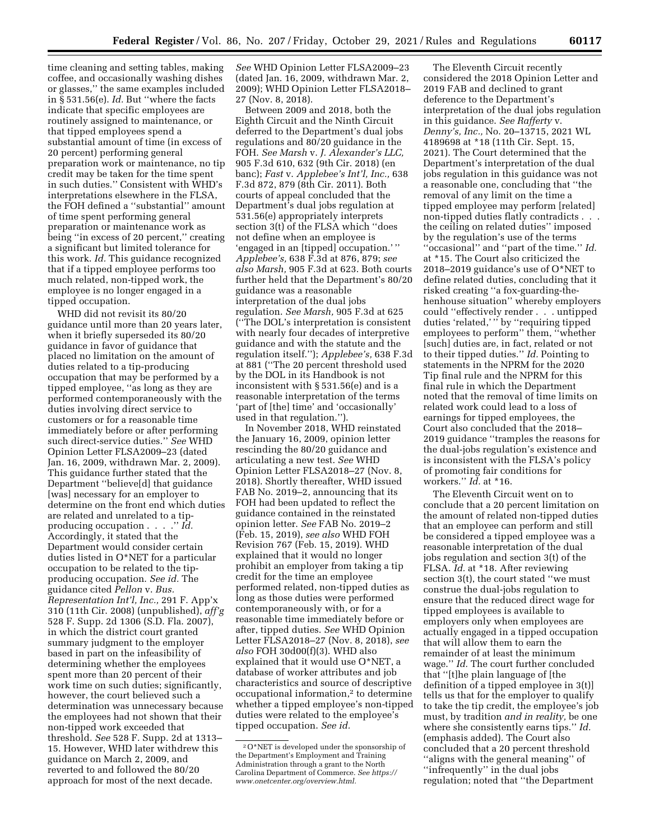time cleaning and setting tables, making coffee, and occasionally washing dishes or glasses,'' the same examples included in § 531.56(e). *Id.* But ''where the facts indicate that specific employees are routinely assigned to maintenance, or that tipped employees spend a substantial amount of time (in excess of 20 percent) performing general preparation work or maintenance, no tip credit may be taken for the time spent in such duties.'' Consistent with WHD's interpretations elsewhere in the FLSA, the FOH defined a ''substantial'' amount of time spent performing general preparation or maintenance work as being ''in excess of 20 percent,'' creating a significant but limited tolerance for this work. *Id.* This guidance recognized that if a tipped employee performs too much related, non-tipped work, the employee is no longer engaged in a tipped occupation.

WHD did not revisit its 80/20 guidance until more than 20 years later, when it briefly superseded its 80/20 guidance in favor of guidance that placed no limitation on the amount of duties related to a tip-producing occupation that may be performed by a tipped employee, ''as long as they are performed contemporaneously with the duties involving direct service to customers or for a reasonable time immediately before or after performing such direct-service duties.'' *See* WHD Opinion Letter FLSA2009–23 (dated Jan. 16, 2009, withdrawn Mar. 2, 2009). This guidance further stated that the Department ''believe[d] that guidance [was] necessary for an employer to determine on the front end which duties are related and unrelated to a tipproducing occupation . . . .'' *Id.*  Accordingly, it stated that the Department would consider certain duties listed in O\*NET for a particular occupation to be related to the tipproducing occupation. *See id.* The guidance cited *Pellon* v. *Bus. Representation Int'l, Inc.,* 291 F. App'x 310 (11th Cir. 2008) (unpublished), *aff'g*  528 F. Supp. 2d 1306 (S.D. Fla. 2007), in which the district court granted summary judgment to the employer based in part on the infeasibility of determining whether the employees spent more than 20 percent of their work time on such duties; significantly, however, the court believed such a determination was unnecessary because the employees had not shown that their non-tipped work exceeded that threshold. *See* 528 F. Supp. 2d at 1313– 15. However, WHD later withdrew this guidance on March 2, 2009, and reverted to and followed the 80/20 approach for most of the next decade.

*See* WHD Opinion Letter FLSA2009–23 (dated Jan. 16, 2009, withdrawn Mar. 2, 2009); WHD Opinion Letter FLSA2018– 27 (Nov. 8, 2018).

Between 2009 and 2018, both the Eighth Circuit and the Ninth Circuit deferred to the Department's dual jobs regulations and 80/20 guidance in the FOH. *See Marsh* v. *J. Alexander's LLC,*  905 F.3d 610, 632 (9th Cir. 2018) (en banc); *Fast* v. *Applebee's Int'l, Inc.,* 638 F.3d 872, 879 (8th Cir. 2011). Both courts of appeal concluded that the Department's dual jobs regulation at 531.56(e) appropriately interprets section 3(t) of the FLSA which ''does not define when an employee is 'engaged in an [tipped] occupation.' '' *Applebee's,* 638 F.3d at 876, 879; *see also Marsh,* 905 F.3d at 623. Both courts further held that the Department's 80/20 guidance was a reasonable interpretation of the dual jobs regulation. *See Marsh,* 905 F.3d at 625 (''The DOL's interpretation is consistent with nearly four decades of interpretive guidance and with the statute and the regulation itself.''); *Applebee's,* 638 F.3d at 881 (''The 20 percent threshold used by the DOL in its Handbook is not inconsistent with § 531.56(e) and is a reasonable interpretation of the terms 'part of [the] time' and 'occasionally' used in that regulation.'').

In November 2018, WHD reinstated the January 16, 2009, opinion letter rescinding the 80/20 guidance and articulating a new test. *See* WHD Opinion Letter FLSA2018–27 (Nov. 8, 2018). Shortly thereafter, WHD issued FAB No. 2019–2, announcing that its FOH had been updated to reflect the guidance contained in the reinstated opinion letter. *See* FAB No. 2019–2 (Feb. 15, 2019), *see also* WHD FOH Revision 767 (Feb. 15, 2019). WHD explained that it would no longer prohibit an employer from taking a tip credit for the time an employee performed related, non-tipped duties as long as those duties were performed contemporaneously with, or for a reasonable time immediately before or after, tipped duties. *See* WHD Opinion Letter FLSA2018–27 (Nov. 8, 2018), *see also* FOH 30d00(f)(3). WHD also explained that it would use O\*NET, a database of worker attributes and job characteristics and source of descriptive occupational information,2 to determine whether a tipped employee's non-tipped duties were related to the employee's tipped occupation. *See id.* 

The Eleventh Circuit recently considered the 2018 Opinion Letter and 2019 FAB and declined to grant deference to the Department's interpretation of the dual jobs regulation in this guidance. *See Rafferty* v. *Denny's, Inc.,* No. 20–13715, 2021 WL 4189698 at \*18 (11th Cir. Sept. 15, 2021). The Court determined that the Department's interpretation of the dual jobs regulation in this guidance was not a reasonable one, concluding that ''the removal of any limit on the time a tipped employee may perform [related] non-tipped duties flatly contradicts . . . the ceiling on related duties'' imposed by the regulation's use of the terms ''occasional'' and ''part of the time.'' *Id.*  at \*15. The Court also criticized the 2018–2019 guidance's use of O\*NET to define related duties, concluding that it risked creating ''a fox-guarding-thehenhouse situation'' whereby employers could ''effectively render . . . untipped duties 'related,' '' by ''requiring tipped employees to perform'' them, ''whether [such] duties are, in fact, related or not to their tipped duties.'' *Id.* Pointing to statements in the NPRM for the 2020 Tip final rule and the NPRM for this final rule in which the Department noted that the removal of time limits on related work could lead to a loss of earnings for tipped employees, the Court also concluded that the 2018– 2019 guidance ''tramples the reasons for the dual-jobs regulation's existence and is inconsistent with the FLSA's policy of promoting fair conditions for workers.'' *Id.* at \*16.

The Eleventh Circuit went on to conclude that a 20 percent limitation on the amount of related non-tipped duties that an employee can perform and still be considered a tipped employee was a reasonable interpretation of the dual jobs regulation and section 3(t) of the FLSA. *Id.* at \*18. After reviewing section 3(t), the court stated ''we must construe the dual-jobs regulation to ensure that the reduced direct wage for tipped employees is available to employers only when employees are actually engaged in a tipped occupation that will allow them to earn the remainder of at least the minimum wage.'' *Id.* The court further concluded that ''[t]he plain language of [the definition of a tipped employee in 3(t)] tells us that for the employer to qualify to take the tip credit, the employee's job must, by tradition *and in reality,* be one where she consistently earns tips.'' *Id.*  (emphasis added). The Court also concluded that a 20 percent threshold ''aligns with the general meaning'' of ''infrequently'' in the dual jobs regulation; noted that ''the Department

<sup>2</sup>O\*NET is developed under the sponsorship of the Department's Employment and Training Administration through a grant to the North Carolina Department of Commerce. *See [https://](https://www.onetcenter.org/overview.html) [www.onetcenter.org/overview.html.](https://www.onetcenter.org/overview.html)*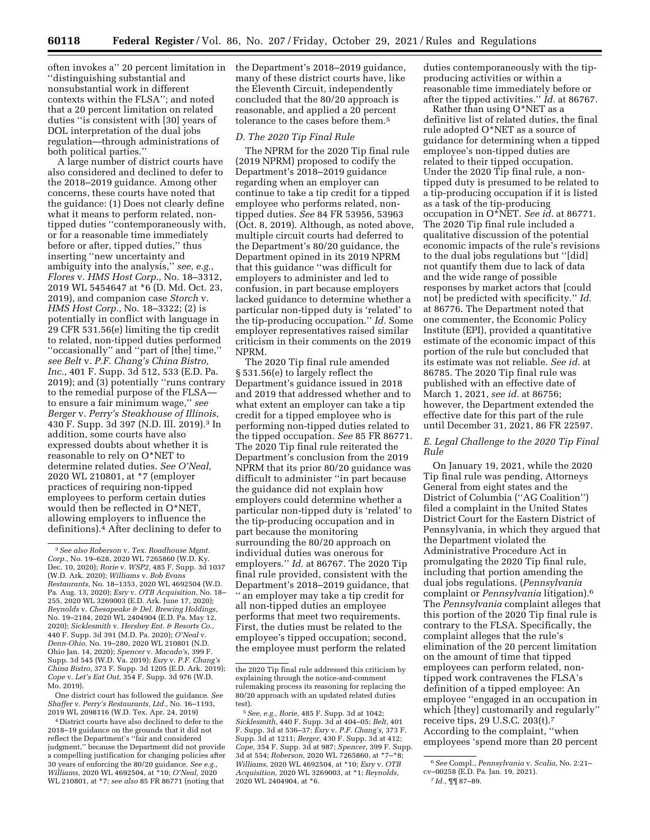often invokes a'' 20 percent limitation in the Department's 2018–2019 guidance, ''distinguishing substantial and nonsubstantial work in different contexts within the FLSA''; and noted that a 20 percent limitation on related duties ''is consistent with [30] years of DOL interpretation of the dual jobs regulation—through administrations of both political parties.''

A large number of district courts have also considered and declined to defer to the 2018–2019 guidance. Among other concerns, these courts have noted that the guidance: (1) Does not clearly define what it means to perform related, nontipped duties ''contemporaneously with, or for a reasonable time immediately before or after, tipped duties,'' thus inserting ''new uncertainty and ambiguity into the analysis,'' *see, e.g., Flores* v. *HMS Host Corp.,* No. 18–3312, 2019 WL 5454647 at \*6 (D. Md. Oct. 23, 2019), and companion case *Storch* v. *HMS Host Corp.,* No. 18–3322; (2) is potentially in conflict with language in 29 CFR 531.56(e) limiting the tip credit to related, non-tipped duties performed ''occasionally'' and ''part of [the] time,'' *see Belt* v. *P.F. Chang's China Bistro, Inc.,* 401 F. Supp. 3d 512, 533 (E.D. Pa. 2019); and (3) potentially ''runs contrary to the remedial purpose of the FLSA to ensure a fair minimum wage,'' *see Berger* v. *Perry's Steakhouse of Illinois,*  430 F. Supp. 3d 397 (N.D. Ill. 2019).3 In addition, some courts have also expressed doubts about whether it is reasonable to rely on O\*NET to determine related duties. *See O'Neal,*  2020 WL 210801, at \*7 (employer practices of requiring non-tipped employees to perform certain duties would then be reflected in O\*NET, allowing employers to influence the definitions).4 After declining to defer to

One district court has followed the guidance. *See Shaffer* v. *Perry's Restaurants, Ltd.,* No. 16–1193, 2019 WL 2098116 (W.D. Tex. Apr. 24, 2019)

4 District courts have also declined to defer to the 2018–19 guidance on the grounds that it did not reflect the Department's ''fair and considered judgment,'' because the Department did not provide a compelling justification for changing policies after 30 years of enforcing the 80/20 guidance. *See e.g., Williams,* 2020 WL 4692504, at \*10; *O'Neal,* 2020 WL 210801, at \*7; *see also* 85 FR 86771 (noting that

many of these district courts have, like the Eleventh Circuit, independently concluded that the 80/20 approach is reasonable, and applied a 20 percent tolerance to the cases before them.5

#### *D. The 2020 Tip Final Rule*

The NPRM for the 2020 Tip final rule (2019 NPRM) proposed to codify the Department's 2018–2019 guidance regarding when an employer can continue to take a tip credit for a tipped employee who performs related, nontipped duties. *See* 84 FR 53956, 53963 (Oct. 8, 2019). Although, as noted above, multiple circuit courts had deferred to the Department's 80/20 guidance, the Department opined in its 2019 NPRM that this guidance ''was difficult for employers to administer and led to confusion, in part because employers lacked guidance to determine whether a particular non-tipped duty is 'related' to the tip-producing occupation.'' *Id.* Some employer representatives raised similar criticism in their comments on the 2019 NPRM.

The 2020 Tip final rule amended § 531.56(e) to largely reflect the Department's guidance issued in 2018 and 2019 that addressed whether and to what extent an employer can take a tip credit for a tipped employee who is performing non-tipped duties related to the tipped occupation. *See* 85 FR 86771. The 2020 Tip final rule reiterated the Department's conclusion from the 2019 NPRM that its prior 80/20 guidance was difficult to administer ''in part because the guidance did not explain how employers could determine whether a particular non-tipped duty is 'related' to the tip-producing occupation and in part because the monitoring surrounding the 80/20 approach on individual duties was onerous for employers.'' *Id.* at 86767. The 2020 Tip final rule provided, consistent with the Department's 2018–2019 guidance, that '' an employer may take a tip credit for all non-tipped duties an employee performs that meet two requirements. First, the duties must be related to the employee's tipped occupation; second, the employee must perform the related

duties contemporaneously with the tipproducing activities or within a reasonable time immediately before or after the tipped activities.'' *Id.* at 86767.

Rather than using O\*NET as a definitive list of related duties, the final rule adopted O\*NET as a source of guidance for determining when a tipped employee's non-tipped duties are related to their tipped occupation. Under the 2020 Tip final rule, a nontipped duty is presumed to be related to a tip-producing occupation if it is listed as a task of the tip-producing occupation in O\*NET. *See id.* at 86771. The 2020 Tip final rule included a qualitative discussion of the potential economic impacts of the rule's revisions to the dual jobs regulations but ''[did] not quantify them due to lack of data and the wide range of possible responses by market actors that [could not] be predicted with specificity.'' *Id.*  at 86776. The Department noted that one commenter, the Economic Policy Institute (EPI), provided a quantitative estimate of the economic impact of this portion of the rule but concluded that its estimate was not reliable. *See id.* at 86785. The 2020 Tip final rule was published with an effective date of March 1, 2021, *see id.* at 86756; however, the Department extended the effective date for this part of the rule until December 31, 2021, 86 FR 22597.

## *E. Legal Challenge to the 2020 Tip Final Rule*

On January 19, 2021, while the 2020 Tip final rule was pending, Attorneys General from eight states and the District of Columbia (''AG Coalition'') filed a complaint in the United States District Court for the Eastern District of Pennsylvania, in which they argued that the Department violated the Administrative Procedure Act in promulgating the 2020 Tip final rule, including that portion amending the dual jobs regulations. (*Pennsylvania*  complaint or *Pennsylvania* litigation).6 The *Pennsylvania* complaint alleges that this portion of the 2020 Tip final rule is contrary to the FLSA. Specifically, the complaint alleges that the rule's elimination of the 20 percent limitation on the amount of time that tipped employees can perform related, nontipped work contravenes the FLSA's definition of a tipped employee: An employee ''engaged in an occupation in which [they] customarily and regularly'' receive tips, 29 U.S.C. 203(t).7 According to the complaint, ''when employees 'spend more than 20 percent

<sup>3</sup>*See also Roberson* v. *Tex. Roadhouse Mgmt. Corp.,* No. 19–628, 2020 WL 7265860 (W.D. Ky. Dec. 10, 2020); *Rorie* v. *WSP2,* 485 F. Supp. 3d 1037 (W.D. Ark. 2020); *Williams* v. *Bob Evans Restaurants,* No. 18–1353, 2020 WL 4692504 (W.D. Pa. Aug. 13, 2020); *Esry* v. *OTB Acquisition,* No. 18– 255, 2020 WL 3269003 (E.D. Ark. June 17, 2020); *Reynolds* v. *Chesapeake & Del. Brewing Holdings,*  No. 19–2184, 2020 WL 2404904 (E.D. Pa. May 12, 2020); *Sicklesmith* v. *Hershey Ent. & Resorts Co.,*  440 F. Supp. 3d 391 (M.D. Pa. 2020); *O'Neal* v. *Denn-Ohio,* No. 19–280, 2020 WL 210801 (N.D. Ohio Jan. 14, 2020); *Spencer* v. *Macado'*s, 399 F. Supp. 3d 545 (W.D. Va. 2019); *Esry* v. *P.F. Chang's China Bistro,* 373 F. Supp. 3d 1205 (E.D. Ark. 2019); *Cope* v. *Let's Eat Out,* 354 F. Supp. 3d 976 (W.D. Mo. 2019).

the 2020 Tip final rule addressed this criticism by explaining through the notice-and-comment rulemaking process its reasoning for replacing the 80/20 approach with an updated related duties test).

<sup>5</sup>*See, e.g., Rorie,* 485 F. Supp. 3d at 1042; *Sicklesmith,* 440 F. Supp. 3d at 404–05; *Belt,* 401 F. Supp. 3d at 536–37; *Esry* v. *P.F. Chang's,* 373 F. Supp. 3d at 1211; *Berger,* 430 F. Supp. 3d at 412; *Cope,* 354 F. Supp. 3d at 987; *Spencer,* 399 F. Supp. 3d at 554; *Roberson,* 2020 WL 7265860, at \*7–\*8; *Williams,* 2020 WL 4692504, at \*10; *Esry* v. *OTB Acquisition,* 2020 WL 3269003, at \*1; *Reynolds,*  2020 WL 2404904, at \*6.

<sup>6</sup>*See* Compl., *Pennsylvania* v. *Scalia,* No. 2:21– cv–00258 (E.D. Pa. Jan. 19, 2021).

<sup>7</sup> *Id.,* ¶¶ 87–89.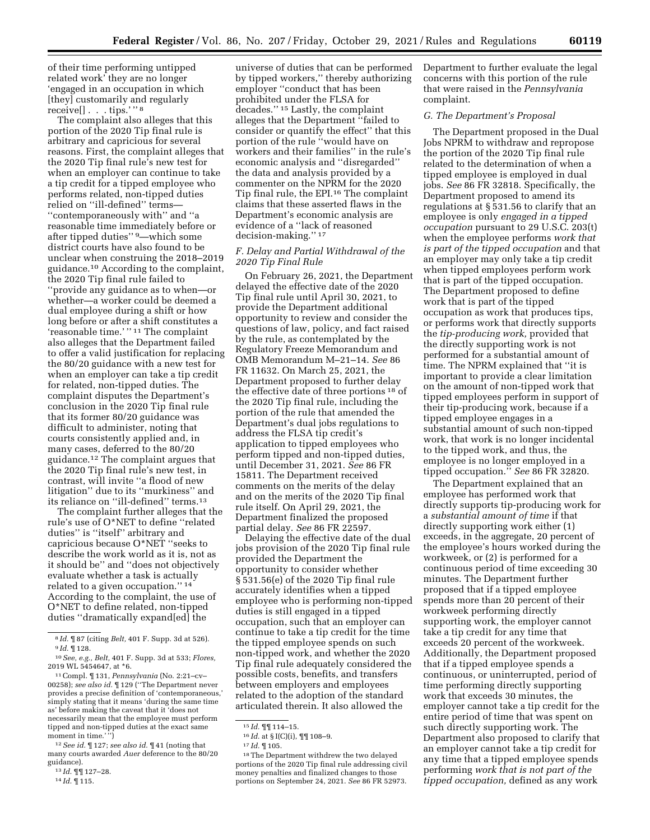of their time performing untipped related work' they are no longer 'engaged in an occupation in which [they] customarily and regularly receive[]...tips.'"<sup>8</sup>

The complaint also alleges that this portion of the 2020 Tip final rule is arbitrary and capricious for several reasons. First, the complaint alleges that the 2020 Tip final rule's new test for when an employer can continue to take a tip credit for a tipped employee who performs related, non-tipped duties relied on ''ill-defined'' terms— ''contemporaneously with'' and ''a reasonable time immediately before or after tipped duties'' 9—which some district courts have also found to be unclear when construing the 2018–2019 guidance.10 According to the complaint, the 2020 Tip final rule failed to ''provide any guidance as to when—or whether—a worker could be deemed a dual employee during a shift or how long before or after a shift constitutes a 'reasonable time.' '' 11 The complaint also alleges that the Department failed to offer a valid justification for replacing the 80/20 guidance with a new test for when an employer can take a tip credit for related, non-tipped duties. The complaint disputes the Department's conclusion in the 2020 Tip final rule that its former 80/20 guidance was difficult to administer, noting that courts consistently applied and, in many cases, deferred to the 80/20 guidance.12 The complaint argues that the 2020 Tip final rule's new test, in contrast, will invite ''a flood of new litigation'' due to its ''murkiness'' and its reliance on ''ill-defined'' terms.13

The complaint further alleges that the rule's use of O\*NET to define ''related duties'' is ''itself'' arbitrary and capricious because O\*NET ''seeks to describe the work world as it is, not as it should be'' and ''does not objectively evaluate whether a task is actually related to a given occupation.'' 14 According to the complaint, the use of O\*NET to define related, non-tipped duties ''dramatically expand[ed] the

14 *Id.* ¶ 115.

universe of duties that can be performed by tipped workers,'' thereby authorizing employer ''conduct that has been prohibited under the FLSA for decades.'' 15 Lastly, the complaint alleges that the Department ''failed to consider or quantify the effect'' that this portion of the rule ''would have on workers and their families'' in the rule's economic analysis and ''disregarded'' the data and analysis provided by a commenter on the NPRM for the 2020 Tip final rule, the EPI.16 The complaint claims that these asserted flaws in the Department's economic analysis are evidence of a ''lack of reasoned decision-making.'' 17

# *F. Delay and Partial Withdrawal of the 2020 Tip Final Rule*

On February 26, 2021, the Department delayed the effective date of the 2020 Tip final rule until April 30, 2021, to provide the Department additional opportunity to review and consider the questions of law, policy, and fact raised by the rule, as contemplated by the Regulatory Freeze Memorandum and OMB Memorandum M–21–14. *See* 86 FR 11632. On March 25, 2021, the Department proposed to further delay the effective date of three portions 18 of the 2020 Tip final rule, including the portion of the rule that amended the Department's dual jobs regulations to address the FLSA tip credit's application to tipped employees who perform tipped and non-tipped duties, until December 31, 2021. *See* 86 FR 15811. The Department received comments on the merits of the delay and on the merits of the 2020 Tip final rule itself. On April 29, 2021, the Department finalized the proposed partial delay. *See* 86 FR 22597.

Delaying the effective date of the dual jobs provision of the 2020 Tip final rule provided the Department the opportunity to consider whether § 531.56(e) of the 2020 Tip final rule accurately identifies when a tipped employee who is performing non-tipped duties is still engaged in a tipped occupation, such that an employer can continue to take a tip credit for the time the tipped employee spends on such non-tipped work, and whether the 2020 Tip final rule adequately considered the possible costs, benefits, and transfers between employers and employees related to the adoption of the standard articulated therein. It also allowed the

Department to further evaluate the legal concerns with this portion of the rule that were raised in the *Pennsylvania*  complaint.

# *G. The Department's Proposal*

The Department proposed in the Dual Jobs NPRM to withdraw and repropose the portion of the 2020 Tip final rule related to the determination of when a tipped employee is employed in dual jobs. *See* 86 FR 32818. Specifically, the Department proposed to amend its regulations at § 531.56 to clarify that an employee is only *engaged in a tipped occupation* pursuant to 29 U.S.C. 203(t) when the employee performs *work that is part of the tipped occupation* and that an employer may only take a tip credit when tipped employees perform work that is part of the tipped occupation. The Department proposed to define work that is part of the tipped occupation as work that produces tips, or performs work that directly supports the *tip-producing work,* provided that the directly supporting work is not performed for a substantial amount of time. The NPRM explained that ''it is important to provide a clear limitation on the amount of non-tipped work that tipped employees perform in support of their tip-producing work, because if a tipped employee engages in a substantial amount of such non-tipped work, that work is no longer incidental to the tipped work, and thus, the employee is no longer employed in a tipped occupation.'' *See* 86 FR 32820.

The Department explained that an employee has performed work that directly supports tip-producing work for a *substantial amount of time* if that directly supporting work either (1) exceeds, in the aggregate, 20 percent of the employee's hours worked during the workweek, or (2) is performed for a continuous period of time exceeding 30 minutes. The Department further proposed that if a tipped employee spends more than 20 percent of their workweek performing directly supporting work, the employer cannot take a tip credit for any time that exceeds 20 percent of the workweek. Additionally, the Department proposed that if a tipped employee spends a continuous, or uninterrupted, period of time performing directly supporting work that exceeds 30 minutes, the employer cannot take a tip credit for the entire period of time that was spent on such directly supporting work. The Department also proposed to clarify that an employer cannot take a tip credit for any time that a tipped employee spends performing *work that is not part of the tipped occupation,* defined as any work

<sup>8</sup> *Id.* ¶ 87 (citing *Belt,* 401 F. Supp. 3d at 526). 9 *Id.* ¶ 128.

<sup>10</sup>*See, e.g., Belt,* 401 F. Supp. 3d at 533; *Flores,*  2019 WL 5454647, at \*6.

<sup>11</sup>Compl. ¶ 131, *Pennsylvania* (No. 2:21–cv– 00258); *see also id.* ¶ 129 (''The Department never provides a precise definition of 'contemporaneous,' simply stating that it means 'during the same time as' before making the caveat that it 'does not necessarily mean that the employee must perform tipped and non-tipped duties at the exact same moment in time.'")

<sup>12</sup>*See id.* ¶ 127; *see also id.* ¶ 41 (noting that many courts awarded *Auer* deference to the 80/20 guidance).

<sup>13</sup> *Id.* ¶¶ 127–28.

<sup>15</sup> *Id.* ¶¶ 114–15.

<sup>16</sup> *Id.* at § I(C)(i), ¶¶ 108–9.

<sup>17</sup> *Id.* ¶ 105.

<sup>18</sup>The Department withdrew the two delayed portions of the 2020 Tip final rule addressing civil money penalties and finalized changes to those portions on September 24, 2021. *See* 86 FR 52973.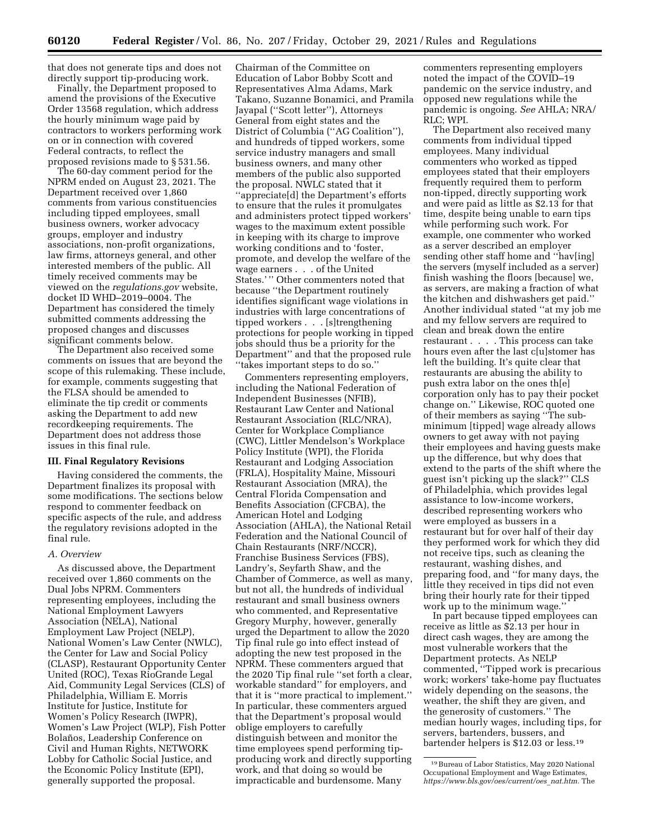that does not generate tips and does not directly support tip-producing work.

Finally, the Department proposed to amend the provisions of the Executive Order 13568 regulation, which address the hourly minimum wage paid by contractors to workers performing work on or in connection with covered Federal contracts, to reflect the proposed revisions made to § 531.56.

The 60-day comment period for the NPRM ended on August 23, 2021. The Department received over 1,860 comments from various constituencies including tipped employees, small business owners, worker advocacy groups, employer and industry associations, non-profit organizations, law firms, attorneys general, and other interested members of the public. All timely received comments may be viewed on the *regulations.gov* website, docket ID WHD–2019–0004. The Department has considered the timely submitted comments addressing the proposed changes and discusses significant comments below.

The Department also received some comments on issues that are beyond the scope of this rulemaking. These include, for example, comments suggesting that the FLSA should be amended to eliminate the tip credit or comments asking the Department to add new recordkeeping requirements. The Department does not address those issues in this final rule.

#### **III. Final Regulatory Revisions**

Having considered the comments, the Department finalizes its proposal with some modifications. The sections below respond to commenter feedback on specific aspects of the rule, and address the regulatory revisions adopted in the final rule.

#### *A. Overview*

As discussed above, the Department received over 1,860 comments on the Dual Jobs NPRM. Commenters representing employees, including the National Employment Lawyers Association (NELA), National Employment Law Project (NELP), National Women's Law Center (NWLC), the Center for Law and Social Policy (CLASP), Restaurant Opportunity Center United (ROC), Texas RioGrande Legal Aid, Community Legal Services (CLS) of Philadelphia, William E. Morris Institute for Justice, Institute for Women's Policy Research (IWPR), Women's Law Project (WLP), Fish Potter Bolaños, Leadership Conference on Civil and Human Rights, NETWORK Lobby for Catholic Social Justice, and the Economic Policy Institute (EPI), generally supported the proposal.

Chairman of the Committee on Education of Labor Bobby Scott and Representatives Alma Adams, Mark Takano, Suzanne Bonamici, and Pramila Jayapal (''Scott letter''), Attorneys General from eight states and the District of Columbia (''AG Coalition''), and hundreds of tipped workers, some service industry managers and small business owners, and many other members of the public also supported the proposal. NWLC stated that it ''appreciate[d] the Department's efforts to ensure that the rules it promulgates and administers protect tipped workers' wages to the maximum extent possible in keeping with its charge to improve working conditions and to 'foster, promote, and develop the welfare of the wage earners . . . of the United States.' '' Other commenters noted that because ''the Department routinely identifies significant wage violations in industries with large concentrations of tipped workers . . . [s]trengthening protections for people working in tipped jobs should thus be a priority for the Department'' and that the proposed rule ''takes important steps to do so.''

Commenters representing employers, including the National Federation of Independent Businesses (NFIB), Restaurant Law Center and National Restaurant Association (RLC/NRA), Center for Workplace Compliance (CWC), Littler Mendelson's Workplace Policy Institute (WPI), the Florida Restaurant and Lodging Association (FRLA), Hospitality Maine, Missouri Restaurant Association (MRA), the Central Florida Compensation and Benefits Association (CFCBA), the American Hotel and Lodging Association (AHLA), the National Retail Federation and the National Council of Chain Restaurants (NRF/NCCR), Franchise Business Services (FBS), Landry's, Seyfarth Shaw, and the Chamber of Commerce, as well as many, but not all, the hundreds of individual restaurant and small business owners who commented, and Representative Gregory Murphy, however, generally urged the Department to allow the 2020 Tip final rule go into effect instead of adopting the new test proposed in the NPRM. These commenters argued that the 2020 Tip final rule ''set forth a clear, workable standard'' for employers, and that it is ''more practical to implement.'' In particular, these commenters argued that the Department's proposal would oblige employers to carefully distinguish between and monitor the time employees spend performing tipproducing work and directly supporting work, and that doing so would be impracticable and burdensome. Many

commenters representing employers noted the impact of the COVID–19 pandemic on the service industry, and opposed new regulations while the pandemic is ongoing. *See* AHLA; NRA/ RLC; WPI.

The Department also received many comments from individual tipped employees. Many individual commenters who worked as tipped employees stated that their employers frequently required them to perform non-tipped, directly supporting work and were paid as little as \$2.13 for that time, despite being unable to earn tips while performing such work. For example, one commenter who worked as a server described an employer sending other staff home and ''hav[ing] the servers (myself included as a server) finish washing the floors [because] we, as servers, are making a fraction of what the kitchen and dishwashers get paid.'' Another individual stated ''at my job me and my fellow servers are required to clean and break down the entire restaurant . . . . This process can take hours even after the last c[u]stomer has left the building. It's quite clear that restaurants are abusing the ability to push extra labor on the ones th[e] corporation only has to pay their pocket change on.'' Likewise, ROC quoted one of their members as saying ''The subminimum [tipped] wage already allows owners to get away with not paying their employees and having guests make up the difference, but why does that extend to the parts of the shift where the guest isn't picking up the slack?'' CLS of Philadelphia, which provides legal assistance to low-income workers, described representing workers who were employed as bussers in a restaurant but for over half of their day they performed work for which they did not receive tips, such as cleaning the restaurant, washing dishes, and preparing food, and ''for many days, the little they received in tips did not even bring their hourly rate for their tipped work up to the minimum wage.''

In part because tipped employees can receive as little as \$2.13 per hour in direct cash wages, they are among the most vulnerable workers that the Department protects. As NELP commented, ''Tipped work is precarious work; workers' take-home pay fluctuates widely depending on the seasons, the weather, the shift they are given, and the generosity of customers.'' The median hourly wages, including tips, for servers, bartenders, bussers, and bartender helpers is \$12.03 or less.19

<sup>19</sup>Bureau of Labor Statistics, May 2020 National Occupational Employment and Wage Estimates, *[https://www.bls.gov/oes/current/oes](https://www.bls.gov/oes/current/oes_nat.htm)*\_*nat.htm.* The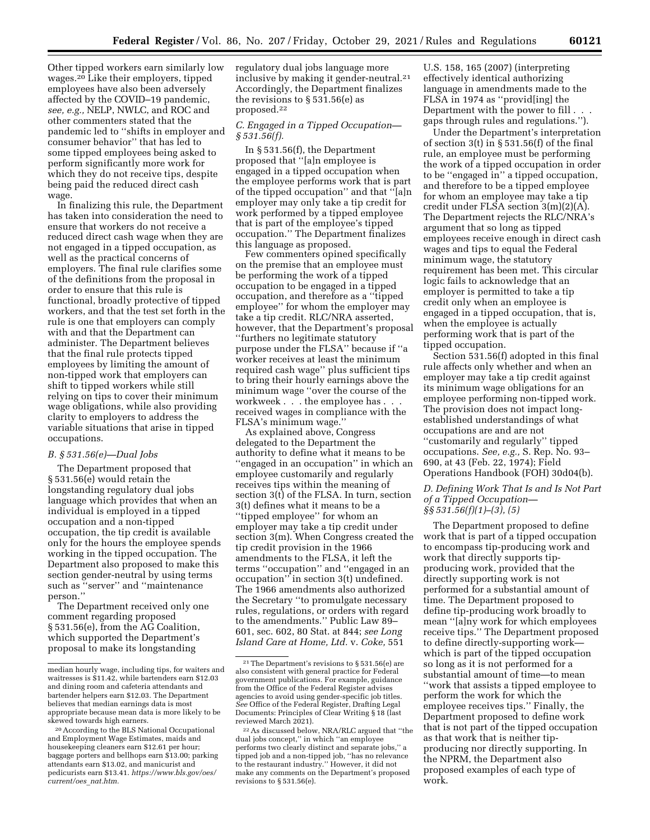Other tipped workers earn similarly low wages.20 Like their employers, tipped employees have also been adversely affected by the COVID–19 pandemic, *see, e.g.,* NELP, NWLC, and ROC and other commenters stated that the pandemic led to ''shifts in employer and consumer behavior'' that has led to some tipped employees being asked to perform significantly more work for which they do not receive tips, despite being paid the reduced direct cash wage.

In finalizing this rule, the Department has taken into consideration the need to ensure that workers do not receive a reduced direct cash wage when they are not engaged in a tipped occupation, as well as the practical concerns of employers. The final rule clarifies some of the definitions from the proposal in order to ensure that this rule is functional, broadly protective of tipped workers, and that the test set forth in the rule is one that employers can comply with and that the Department can administer. The Department believes that the final rule protects tipped employees by limiting the amount of non-tipped work that employers can shift to tipped workers while still relying on tips to cover their minimum wage obligations, while also providing clarity to employers to address the variable situations that arise in tipped occupations.

# *B. § 531.56(e)—Dual Jobs*

The Department proposed that § 531.56(e) would retain the longstanding regulatory dual jobs language which provides that when an individual is employed in a tipped occupation and a non-tipped occupation, the tip credit is available only for the hours the employee spends working in the tipped occupation. The Department also proposed to make this section gender-neutral by using terms such as ''server'' and ''maintenance person.''

The Department received only one comment regarding proposed § 531.56(e), from the AG Coalition, which supported the Department's proposal to make its longstanding

regulatory dual jobs language more inclusive by making it gender-neutral.21 Accordingly, the Department finalizes the revisions to § 531.56(e) as proposed.22

# *C. Engaged in a Tipped Occupation— § 531.56(f).*

In § 531.56(f), the Department proposed that ''[a]n employee is engaged in a tipped occupation when the employee performs work that is part of the tipped occupation'' and that ''[a]n employer may only take a tip credit for work performed by a tipped employee that is part of the employee's tipped occupation.'' The Department finalizes this language as proposed.

Few commenters opined specifically on the premise that an employee must be performing the work of a tipped occupation to be engaged in a tipped occupation, and therefore as a ''tipped employee'' for whom the employer may take a tip credit. RLC/NRA asserted, however, that the Department's proposal ''furthers no legitimate statutory purpose under the FLSA'' because if ''a worker receives at least the minimum required cash wage'' plus sufficient tips to bring their hourly earnings above the minimum wage ''over the course of the workweek . . . the employee has . received wages in compliance with the FLSA's minimum wage.''

As explained above, Congress delegated to the Department the authority to define what it means to be ''engaged in an occupation'' in which an employee customarily and regularly receives tips within the meaning of section 3(t) of the FLSA. In turn, section 3(t) defines what it means to be a ''tipped employee'' for whom an employer may take a tip credit under section 3(m). When Congress created the tip credit provision in the 1966 amendments to the FLSA, it left the terms ''occupation'' and ''engaged in an occupation'' in section 3(t) undefined. The 1966 amendments also authorized the Secretary ''to promulgate necessary rules, regulations, or orders with regard to the amendments.'' Public Law 89– 601, sec. 602, 80 Stat. at 844; *see Long Island Care at Home, Ltd.* v. *Coke,* 551

U.S. 158, 165 (2007) (interpreting effectively identical authorizing language in amendments made to the FLSA in 1974 as ''provid[ing] the Department with the power to fill. gaps through rules and regulations.'').

Under the Department's interpretation of section 3(t) in § 531.56(f) of the final rule, an employee must be performing the work of a tipped occupation in order to be ''engaged in'' a tipped occupation, and therefore to be a tipped employee for whom an employee may take a tip credit under FLSA section 3(m)(2)(A). The Department rejects the RLC/NRA's argument that so long as tipped employees receive enough in direct cash wages and tips to equal the Federal minimum wage, the statutory requirement has been met. This circular logic fails to acknowledge that an employer is permitted to take a tip credit only when an employee is engaged in a tipped occupation, that is, when the employee is actually performing work that is part of the tipped occupation.

Section 531.56(f) adopted in this final rule affects only whether and when an employer may take a tip credit against its minimum wage obligations for an employee performing non-tipped work. The provision does not impact longestablished understandings of what occupations are and are not ''customarily and regularly'' tipped occupations. *See, e.g.,* S. Rep. No. 93– 690, at 43 (Feb. 22, 1974); Field Operations Handbook (FOH) 30d04(b).

# *D. Defining Work That Is and Is Not Part of a Tipped Occupation— §§ 531.56(f)(1)–(3), (5)*

The Department proposed to define work that is part of a tipped occupation to encompass tip-producing work and work that directly supports tipproducing work, provided that the directly supporting work is not performed for a substantial amount of time. The Department proposed to define tip-producing work broadly to mean ''[a]ny work for which employees receive tips.'' The Department proposed to define directly-supporting work which is part of the tipped occupation so long as it is not performed for a substantial amount of time—to mean ''work that assists a tipped employee to perform the work for which the employee receives tips.'' Finally, the Department proposed to define work that is not part of the tipped occupation as that work that is neither tipproducing nor directly supporting. In the NPRM, the Department also proposed examples of each type of work.

median hourly wage, including tips, for waiters and waitresses is \$11.42, while bartenders earn \$12.03 and dining room and cafeteria attendants and bartender helpers earn \$12.03. The Department believes that median earnings data is most appropriate because mean data is more likely to be skewed towards high earners.

<sup>20</sup>According to the BLS National Occupational and Employment Wage Estimates, maids and housekeeping cleaners earn \$12.61 per hour; baggage porters and bellhops earn \$13.00; parking attendants earn \$13.02, and manicurist and pedicurists earn \$13.41. *[https://www.bls.gov/oes/](https://www.bls.gov/oes/current/oes_nat.htm)  [current/oes](https://www.bls.gov/oes/current/oes_nat.htm)*\_*nat.htm.* 

<sup>21</sup>The Department's revisions to § 531.56(e) are also consistent with general practice for Federal government publications. For example, guidance from the Office of the Federal Register advises agencies to avoid using gender-specific job titles. *See* Office of the Federal Register, Drafting Legal Documents: Principles of Clear Writing § 18 (last reviewed March 2021).

<sup>22</sup>As discussed below, NRA/RLC argued that ''the dual jobs concept,'' in which ''an employee performs two clearly distinct and separate jobs,'' a tipped job and a non-tipped job, ''has no relevance to the restaurant industry.'' However, it did not make any comments on the Department's proposed revisions to § 531.56(e).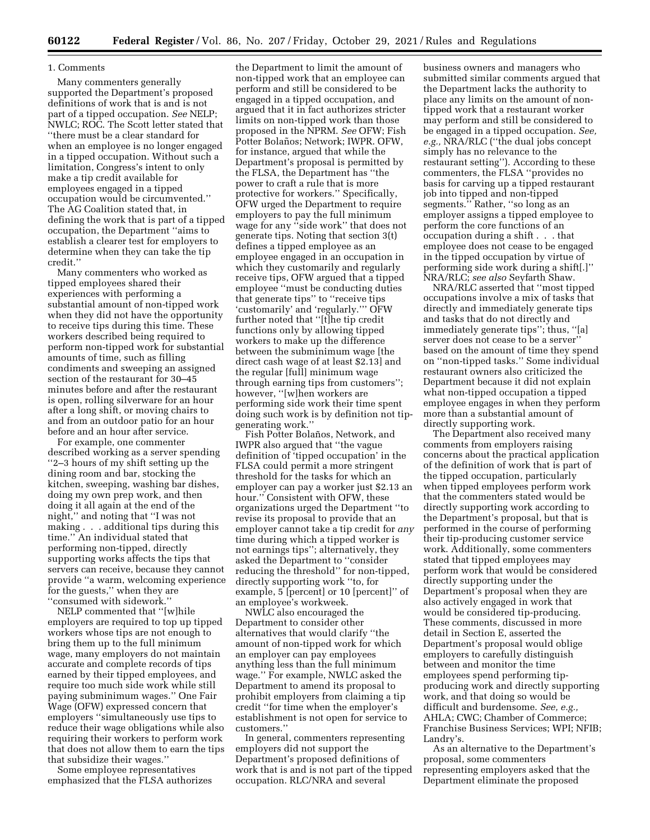## 1. Comments

Many commenters generally supported the Department's proposed definitions of work that is and is not part of a tipped occupation. *See* NELP; NWLC; ROC. The Scott letter stated that ''there must be a clear standard for when an employee is no longer engaged in a tipped occupation. Without such a limitation, Congress's intent to only make a tip credit available for employees engaged in a tipped occupation would be circumvented.'' The AG Coalition stated that, in defining the work that is part of a tipped occupation, the Department ''aims to establish a clearer test for employers to determine when they can take the tip credit.''

Many commenters who worked as tipped employees shared their experiences with performing a substantial amount of non-tipped work when they did not have the opportunity to receive tips during this time. These workers described being required to perform non-tipped work for substantial amounts of time, such as filling condiments and sweeping an assigned section of the restaurant for 30–45 minutes before and after the restaurant is open, rolling silverware for an hour after a long shift, or moving chairs to and from an outdoor patio for an hour before and an hour after service.

For example, one commenter described working as a server spending ''2–3 hours of my shift setting up the dining room and bar, stocking the kitchen, sweeping, washing bar dishes, doing my own prep work, and then doing it all again at the end of the night,'' and noting that ''I was not making . . . additional tips during this time.'' An individual stated that performing non-tipped, directly supporting works affects the tips that servers can receive, because they cannot provide ''a warm, welcoming experience for the guests,'' when they are ''consumed with sidework.''

NELP commented that ''[w]hile employers are required to top up tipped workers whose tips are not enough to bring them up to the full minimum wage, many employers do not maintain accurate and complete records of tips earned by their tipped employees, and require too much side work while still paying subminimum wages.'' One Fair Wage (OFW) expressed concern that employers ''simultaneously use tips to reduce their wage obligations while also requiring their workers to perform work that does not allow them to earn the tips that subsidize their wages.''

Some employee representatives emphasized that the FLSA authorizes

the Department to limit the amount of non-tipped work that an employee can perform and still be considered to be engaged in a tipped occupation, and argued that it in fact authorizes stricter limits on non-tipped work than those proposed in the NPRM. *See* OFW; Fish Potter Bolaños; Network; IWPR. OFW, for instance, argued that while the Department's proposal is permitted by the FLSA, the Department has ''the power to craft a rule that is more protective for workers.'' Specifically, OFW urged the Department to require employers to pay the full minimum wage for any ''side work'' that does not generate tips. Noting that section 3(t) defines a tipped employee as an employee engaged in an occupation in which they customarily and regularly receive tips, OFW argued that a tipped employee ''must be conducting duties that generate tips'' to ''receive tips 'customarily' and 'regularly.''' OFW further noted that ''[t]he tip credit functions only by allowing tipped workers to make up the difference between the subminimum wage [the direct cash wage of at least \$2.13] and the regular [full] minimum wage through earning tips from customers''; however, ''[w]hen workers are performing side work their time spent doing such work is by definition not tipgenerating work.''

Fish Potter Bolaños, Network, and IWPR also argued that ''the vague definition of 'tipped occupation' in the FLSA could permit a more stringent threshold for the tasks for which an employer can pay a worker just \$2.13 an hour.'' Consistent with OFW, these organizations urged the Department ''to revise its proposal to provide that an employer cannot take a tip credit for *any*  time during which a tipped worker is not earnings tips''; alternatively, they asked the Department to ''consider reducing the threshold'' for non-tipped, directly supporting work ''to, for example, 5 [percent] or 10 [percent]'' of an employee's workweek.

NWLC also encouraged the Department to consider other alternatives that would clarify ''the amount of non-tipped work for which an employer can pay employees anything less than the full minimum wage.'' For example, NWLC asked the Department to amend its proposal to prohibit employers from claiming a tip credit ''for time when the employer's establishment is not open for service to customers.''

In general, commenters representing employers did not support the Department's proposed definitions of work that is and is not part of the tipped occupation. RLC/NRA and several

business owners and managers who submitted similar comments argued that the Department lacks the authority to place any limits on the amount of nontipped work that a restaurant worker may perform and still be considered to be engaged in a tipped occupation. *See, e.g.,* NRA/RLC (''the dual jobs concept simply has no relevance to the restaurant setting''). According to these commenters, the FLSA ''provides no basis for carving up a tipped restaurant job into tipped and non-tipped segments.'' Rather, ''so long as an employer assigns a tipped employee to perform the core functions of an occupation during a shift . . . that employee does not cease to be engaged in the tipped occupation by virtue of performing side work during a shift[.]'' NRA/RLC; *see also* Seyfarth Shaw.

NRA/RLC asserted that ''most tipped occupations involve a mix of tasks that directly and immediately generate tips and tasks that do not directly and immediately generate tips''; thus, ''[a] server does not cease to be a server'' based on the amount of time they spend on ''non-tipped tasks.'' Some individual restaurant owners also criticized the Department because it did not explain what non-tipped occupation a tipped employee engages in when they perform more than a substantial amount of directly supporting work.

The Department also received many comments from employers raising concerns about the practical application of the definition of work that is part of the tipped occupation, particularly when tipped employees perform work that the commenters stated would be directly supporting work according to the Department's proposal, but that is performed in the course of performing their tip-producing customer service work. Additionally, some commenters stated that tipped employees may perform work that would be considered directly supporting under the Department's proposal when they are also actively engaged in work that would be considered tip-producing. These comments, discussed in more detail in Section E, asserted the Department's proposal would oblige employers to carefully distinguish between and monitor the time employees spend performing tipproducing work and directly supporting work, and that doing so would be difficult and burdensome. *See, e.g.,*  AHLA; CWC; Chamber of Commerce; Franchise Business Services; WPI; NFIB; Landry's.

As an alternative to the Department's proposal, some commenters representing employers asked that the Department eliminate the proposed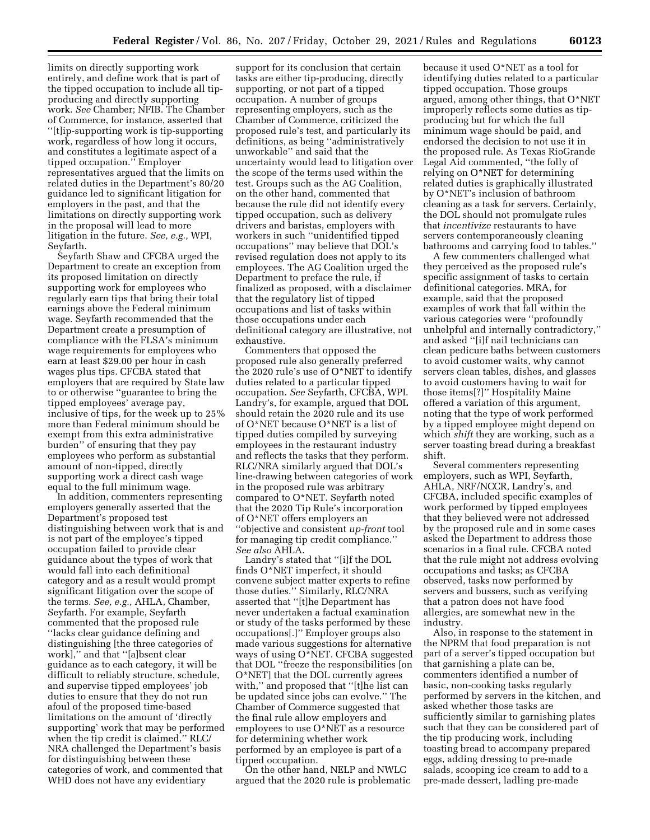limits on directly supporting work entirely, and define work that is part of the tipped occupation to include all tipproducing and directly supporting work. *See* Chamber; NFIB. The Chamber of Commerce, for instance, asserted that ''[t]ip-supporting work is tip-supporting work, regardless of how long it occurs, and constitutes a legitimate aspect of a tipped occupation.'' Employer representatives argued that the limits on related duties in the Department's 80/20 guidance led to significant litigation for employers in the past, and that the limitations on directly supporting work in the proposal will lead to more litigation in the future. *See, e.g.,* WPI, Seyfarth.

Seyfarth Shaw and CFCBA urged the Department to create an exception from its proposed limitation on directly supporting work for employees who regularly earn tips that bring their total earnings above the Federal minimum wage. Seyfarth recommended that the Department create a presumption of compliance with the FLSA's minimum wage requirements for employees who earn at least \$29.00 per hour in cash wages plus tips. CFCBA stated that employers that are required by State law to or otherwise ''guarantee to bring the tipped employees' average pay, inclusive of tips, for the week up to 25% more than Federal minimum should be exempt from this extra administrative burden'' of ensuring that they pay employees who perform as substantial amount of non-tipped, directly supporting work a direct cash wage equal to the full minimum wage.

In addition, commenters representing employers generally asserted that the Department's proposed test distinguishing between work that is and is not part of the employee's tipped occupation failed to provide clear guidance about the types of work that would fall into each definitional category and as a result would prompt significant litigation over the scope of the terms. *See, e.g.,* AHLA, Chamber, Seyfarth. For example, Seyfarth commented that the proposed rule ''lacks clear guidance defining and distinguishing [the three categories of work],'' and that ''[a]bsent clear guidance as to each category, it will be difficult to reliably structure, schedule, and supervise tipped employees' job duties to ensure that they do not run afoul of the proposed time-based limitations on the amount of 'directly supporting' work that may be performed when the tip credit is claimed.'' RLC/ NRA challenged the Department's basis for distinguishing between these categories of work, and commented that WHD does not have any evidentiary

support for its conclusion that certain tasks are either tip-producing, directly supporting, or not part of a tipped occupation. A number of groups representing employers, such as the Chamber of Commerce, criticized the proposed rule's test, and particularly its definitions, as being ''administratively unworkable'' and said that the uncertainty would lead to litigation over the scope of the terms used within the test. Groups such as the AG Coalition, on the other hand, commented that because the rule did not identify every tipped occupation, such as delivery drivers and baristas, employers with workers in such ''unidentified tipped occupations'' may believe that DOL's revised regulation does not apply to its employees. The AG Coalition urged the Department to preface the rule, if finalized as proposed, with a disclaimer that the regulatory list of tipped occupations and list of tasks within those occupations under each definitional category are illustrative, not exhaustive.

Commenters that opposed the proposed rule also generally preferred the 2020 rule's use of O\*NET to identify duties related to a particular tipped occupation. *See* Seyfarth, CFCBA, WPI. Landry's, for example, argued that DOL should retain the 2020 rule and its use of O\*NET because O\*NET is a list of tipped duties compiled by surveying employees in the restaurant industry and reflects the tasks that they perform. RLC/NRA similarly argued that DOL's line-drawing between categories of work in the proposed rule was arbitrary compared to O\*NET. Seyfarth noted that the 2020 Tip Rule's incorporation of O\*NET offers employers an ''objective and consistent *up-front* tool for managing tip credit compliance.'' *See also* AHLA.

Landry's stated that ''[i]f the DOL finds O\*NET imperfect, it should convene subject matter experts to refine those duties.'' Similarly, RLC/NRA asserted that ''[t]he Department has never undertaken a factual examination or study of the tasks performed by these occupations[.]'' Employer groups also made various suggestions for alternative ways of using O\*NET. CFCBA suggested that DOL ''freeze the responsibilities [on O\*NET] that the DOL currently agrees with,'' and proposed that ''[t]he list can be updated since jobs can evolve.'' The Chamber of Commerce suggested that the final rule allow employers and employees to use O\*NET as a resource for determining whether work performed by an employee is part of a tipped occupation.

On the other hand, NELP and NWLC argued that the 2020 rule is problematic because it used O\*NET as a tool for identifying duties related to a particular tipped occupation. Those groups argued, among other things, that O\*NET improperly reflects some duties as tipproducing but for which the full minimum wage should be paid, and endorsed the decision to not use it in the proposed rule. As Texas RioGrande Legal Aid commented, ''the folly of relying on O\*NET for determining related duties is graphically illustrated by O\*NET's inclusion of bathroom cleaning as a task for servers. Certainly, the DOL should not promulgate rules that *incentivize* restaurants to have servers contemporaneously cleaning bathrooms and carrying food to tables.''

A few commenters challenged what they perceived as the proposed rule's specific assignment of tasks to certain definitional categories. MRA, for example, said that the proposed examples of work that fall within the various categories were ''profoundly unhelpful and internally contradictory,'' and asked ''[i]f nail technicians can clean pedicure baths between customers to avoid customer waits, why cannot servers clean tables, dishes, and glasses to avoid customers having to wait for those items[?]'' Hospitality Maine offered a variation of this argument, noting that the type of work performed by a tipped employee might depend on which *shift* they are working, such as a server toasting bread during a breakfast shift.

Several commenters representing employers, such as WPI, Seyfarth, AHLA, NRF/NCCR, Landry's, and CFCBA, included specific examples of work performed by tipped employees that they believed were not addressed by the proposed rule and in some cases asked the Department to address those scenarios in a final rule. CFCBA noted that the rule might not address evolving occupations and tasks; as CFCBA observed, tasks now performed by servers and bussers, such as verifying that a patron does not have food allergies, are somewhat new in the industry.

Also, in response to the statement in the NPRM that food preparation is not part of a server's tipped occupation but that garnishing a plate can be, commenters identified a number of basic, non-cooking tasks regularly performed by servers in the kitchen, and asked whether those tasks are sufficiently similar to garnishing plates such that they can be considered part of the tip producing work, including toasting bread to accompany prepared eggs, adding dressing to pre-made salads, scooping ice cream to add to a pre-made dessert, ladling pre-made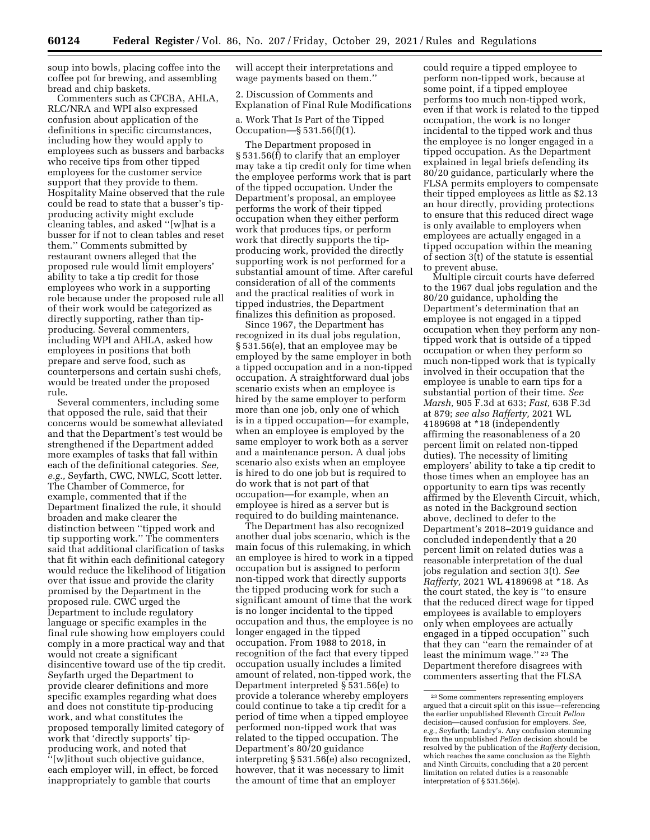soup into bowls, placing coffee into the coffee pot for brewing, and assembling bread and chip baskets.

Commenters such as CFCBA, AHLA, RLC/NRA and WPI also expressed confusion about application of the definitions in specific circumstances, including how they would apply to employees such as bussers and barbacks who receive tips from other tipped employees for the customer service support that they provide to them. Hospitality Maine observed that the rule could be read to state that a busser's tipproducing activity might exclude cleaning tables, and asked ''[w]hat is a busser for if not to clean tables and reset them.'' Comments submitted by restaurant owners alleged that the proposed rule would limit employers' ability to take a tip credit for those employees who work in a supporting role because under the proposed rule all of their work would be categorized as directly supporting, rather than tipproducing. Several commenters, including WPI and AHLA, asked how employees in positions that both prepare and serve food, such as counterpersons and certain sushi chefs, would be treated under the proposed rule.

Several commenters, including some that opposed the rule, said that their concerns would be somewhat alleviated and that the Department's test would be strengthened if the Department added more examples of tasks that fall within each of the definitional categories. *See, e.g.,* Seyfarth, CWC, NWLC, Scott letter. The Chamber of Commerce, for example, commented that if the Department finalized the rule, it should broaden and make clearer the distinction between ''tipped work and tip supporting work.'' The commenters said that additional clarification of tasks that fit within each definitional category would reduce the likelihood of litigation over that issue and provide the clarity promised by the Department in the proposed rule. CWC urged the Department to include regulatory language or specific examples in the final rule showing how employers could comply in a more practical way and that would not create a significant disincentive toward use of the tip credit. Seyfarth urged the Department to provide clearer definitions and more specific examples regarding what does and does not constitute tip-producing work, and what constitutes the proposed temporally limited category of work that 'directly supports' tipproducing work, and noted that ''[w]ithout such objective guidance, each employer will, in effect, be forced inappropriately to gamble that courts

will accept their interpretations and wage payments based on them.''

2. Discussion of Comments and Explanation of Final Rule Modifications

a. Work That Is Part of the Tipped Occupation—§ 531.56(f)(1).

The Department proposed in § 531.56(f) to clarify that an employer may take a tip credit only for time when the employee performs work that is part of the tipped occupation. Under the Department's proposal, an employee performs the work of their tipped occupation when they either perform work that produces tips, or perform work that directly supports the tipproducing work, provided the directly supporting work is not performed for a substantial amount of time. After careful consideration of all of the comments and the practical realities of work in tipped industries, the Department finalizes this definition as proposed.

Since 1967, the Department has recognized in its dual jobs regulation, § 531.56(e), that an employee may be employed by the same employer in both a tipped occupation and in a non-tipped occupation. A straightforward dual jobs scenario exists when an employee is hired by the same employer to perform more than one job, only one of which is in a tipped occupation—for example, when an employee is employed by the same employer to work both as a server and a maintenance person. A dual jobs scenario also exists when an employee is hired to do one job but is required to do work that is not part of that occupation—for example, when an employee is hired as a server but is required to do building maintenance.

The Department has also recognized another dual jobs scenario, which is the main focus of this rulemaking, in which an employee is hired to work in a tipped occupation but is assigned to perform non-tipped work that directly supports the tipped producing work for such a significant amount of time that the work is no longer incidental to the tipped occupation and thus, the employee is no longer engaged in the tipped occupation. From 1988 to 2018, in recognition of the fact that every tipped occupation usually includes a limited amount of related, non-tipped work, the Department interpreted § 531.56(e) to provide a tolerance whereby employers could continue to take a tip credit for a period of time when a tipped employee performed non-tipped work that was related to the tipped occupation. The Department's 80/20 guidance interpreting § 531.56(e) also recognized, however, that it was necessary to limit the amount of time that an employer

could require a tipped employee to perform non-tipped work, because at some point, if a tipped employee performs too much non-tipped work, even if that work is related to the tipped occupation, the work is no longer incidental to the tipped work and thus the employee is no longer engaged in a tipped occupation. As the Department explained in legal briefs defending its 80/20 guidance, particularly where the FLSA permits employers to compensate their tipped employees as little as \$2.13 an hour directly, providing protections to ensure that this reduced direct wage is only available to employers when employees are actually engaged in a tipped occupation within the meaning of section 3(t) of the statute is essential to prevent abuse.

Multiple circuit courts have deferred to the 1967 dual jobs regulation and the 80/20 guidance, upholding the Department's determination that an employee is not engaged in a tipped occupation when they perform any nontipped work that is outside of a tipped occupation or when they perform so much non-tipped work that is typically involved in their occupation that the employee is unable to earn tips for a substantial portion of their time. *See Marsh,* 905 F.3d at 633; *Fast,* 638 F.3d at 879; *see also Rafferty,* 2021 WL 4189698 at \*18 (independently affirming the reasonableness of a 20 percent limit on related non-tipped duties). The necessity of limiting employers' ability to take a tip credit to those times when an employee has an opportunity to earn tips was recently affirmed by the Eleventh Circuit, which, as noted in the Background section above, declined to defer to the Department's 2018–2019 guidance and concluded independently that a 20 percent limit on related duties was a reasonable interpretation of the dual jobs regulation and section 3(t). *See Rafferty,* 2021 WL 4189698 at \*18. As the court stated, the key is ''to ensure that the reduced direct wage for tipped employees is available to employers only when employees are actually engaged in a tipped occupation'' such that they can ''earn the remainder of at least the minimum wage.'' 23 The Department therefore disagrees with commenters asserting that the FLSA

<sup>23</sup>Some commenters representing employers argued that a circuit split on this issue—referencing the earlier unpublished Eleventh Circuit *Pellon*  decision—caused confusion for employers. *See, e.g.,* Seyfarth; Landry's. Any confusion stemming from the unpublished *Pellon* decision should be resolved by the publication of the *Rafferty* decision, which reaches the same conclusion as the Eighth and Ninth Circuits, concluding that a 20 percent limitation on related duties is a reasonable interpretation of § 531.56(e).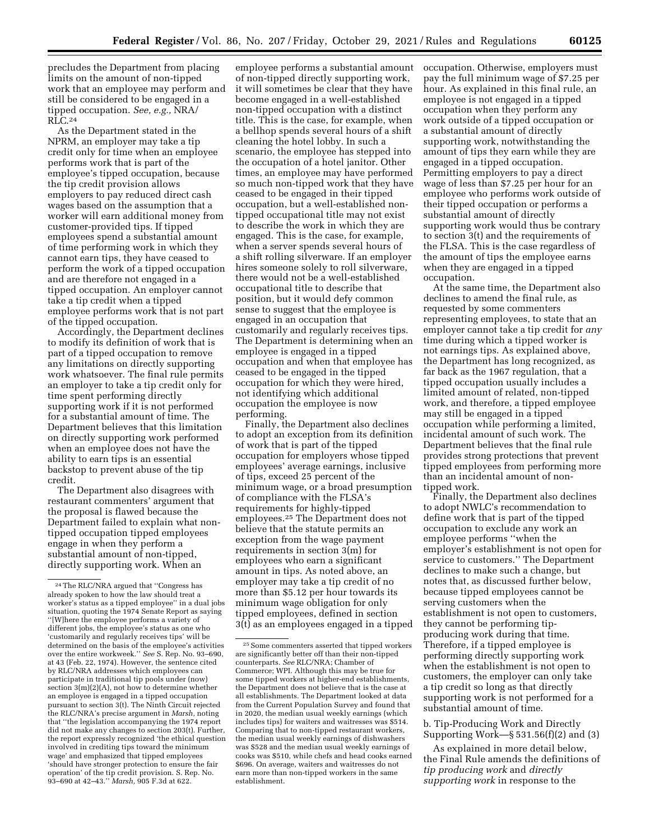precludes the Department from placing limits on the amount of non-tipped work that an employee may perform and still be considered to be engaged in a tipped occupation. *See, e.g.,* NRA/  $\overline{\text{RLC}}$ .  $^{24}$ 

As the Department stated in the NPRM, an employer may take a tip credit only for time when an employee performs work that is part of the employee's tipped occupation, because the tip credit provision allows employers to pay reduced direct cash wages based on the assumption that a worker will earn additional money from customer-provided tips. If tipped employees spend a substantial amount of time performing work in which they cannot earn tips, they have ceased to perform the work of a tipped occupation and are therefore not engaged in a tipped occupation. An employer cannot take a tip credit when a tipped employee performs work that is not part of the tipped occupation.

Accordingly, the Department declines to modify its definition of work that is part of a tipped occupation to remove any limitations on directly supporting work whatsoever. The final rule permits an employer to take a tip credit only for time spent performing directly supporting work if it is not performed for a substantial amount of time. The Department believes that this limitation on directly supporting work performed when an employee does not have the ability to earn tips is an essential backstop to prevent abuse of the tip credit.

The Department also disagrees with restaurant commenters' argument that the proposal is flawed because the Department failed to explain what nontipped occupation tipped employees engage in when they perform a substantial amount of non-tipped, directly supporting work. When an

employee performs a substantial amount of non-tipped directly supporting work, it will sometimes be clear that they have become engaged in a well-established non-tipped occupation with a distinct title. This is the case, for example, when a bellhop spends several hours of a shift cleaning the hotel lobby. In such a scenario, the employee has stepped into the occupation of a hotel janitor. Other times, an employee may have performed so much non-tipped work that they have ceased to be engaged in their tipped occupation, but a well-established nontipped occupational title may not exist to describe the work in which they are engaged. This is the case, for example, when a server spends several hours of a shift rolling silverware. If an employer hires someone solely to roll silverware, there would not be a well-established occupational title to describe that position, but it would defy common sense to suggest that the employee is engaged in an occupation that customarily and regularly receives tips. The Department is determining when an employee is engaged in a tipped occupation and when that employee has ceased to be engaged in the tipped occupation for which they were hired, not identifying which additional occupation the employee is now performing.

Finally, the Department also declines to adopt an exception from its definition of work that is part of the tipped occupation for employers whose tipped employees' average earnings, inclusive of tips, exceed 25 percent of the minimum wage, or a broad presumption of compliance with the FLSA's requirements for highly-tipped employees.25 The Department does not believe that the statute permits an exception from the wage payment requirements in section 3(m) for employees who earn a significant amount in tips. As noted above, an employer may take a tip credit of no more than \$5.12 per hour towards its minimum wage obligation for only tipped employees, defined in section 3(t) as an employees engaged in a tipped occupation. Otherwise, employers must pay the full minimum wage of \$7.25 per hour. As explained in this final rule, an employee is not engaged in a tipped occupation when they perform any work outside of a tipped occupation or a substantial amount of directly supporting work, notwithstanding the amount of tips they earn while they are engaged in a tipped occupation. Permitting employers to pay a direct wage of less than \$7.25 per hour for an employee who performs work outside of their tipped occupation or performs a substantial amount of directly supporting work would thus be contrary to section 3(t) and the requirements of the FLSA. This is the case regardless of the amount of tips the employee earns when they are engaged in a tipped occupation.

At the same time, the Department also declines to amend the final rule, as requested by some commenters representing employees, to state that an employer cannot take a tip credit for *any*  time during which a tipped worker is not earnings tips. As explained above, the Department has long recognized, as far back as the 1967 regulation, that a tipped occupation usually includes a limited amount of related, non-tipped work, and therefore, a tipped employee may still be engaged in a tipped occupation while performing a limited, incidental amount of such work. The Department believes that the final rule provides strong protections that prevent tipped employees from performing more than an incidental amount of nontipped work.

Finally, the Department also declines to adopt NWLC's recommendation to define work that is part of the tipped occupation to exclude any work an employee performs ''when the employer's establishment is not open for service to customers.'' The Department declines to make such a change, but notes that, as discussed further below, because tipped employees cannot be serving customers when the establishment is not open to customers, they cannot be performing tipproducing work during that time. Therefore, if a tipped employee is performing directly supporting work when the establishment is not open to customers, the employer can only take a tip credit so long as that directly supporting work is not performed for a substantial amount of time.

b. Tip-Producing Work and Directly Supporting Work—§ 531.56(f)(2) and (3)

As explained in more detail below, the Final Rule amends the definitions of *tip producing work* and *directly supporting work* in response to the

<sup>24</sup>The RLC/NRA argued that ''Congress has already spoken to how the law should treat a worker's status as a tipped employee'' in a dual jobs situation, quoting the 1974 Senate Report as saying ''[W]here the employee performs a variety of different jobs, the employee's status as one who 'customarily and regularly receives tips' will be determined on the basis of the employee's activities over the entire workweek.'' *See* S. Rep. No. 93–690, at 43 (Feb. 22, 1974). However, the sentence cited by RLC/NRA addresses which employees can participate in traditional tip pools under (now) section 3(m)(2)(A), not how to determine whether an employee is engaged in a tipped occupation pursuant to section 3(t). The Ninth Circuit rejected the RLC/NRA's precise argument in *Marsh,* noting that ''the legislation accompanying the 1974 report did not make any changes to section 203(t). Further, the report expressly recognized 'the ethical question involved in crediting tips toward the minimum wage' and emphasized that tipped employees 'should have stronger protection to ensure the fair operation' of the tip credit provision. S. Rep. No. 93–690 at 42–43.'' *Marsh,* 905 F.3d at 622.

 $^{\rm 25}$  Some commenters asserted that tipped workers are significantly better off than their non-tipped counterparts. *See* RLC/NRA; Chamber of Commerce; WPI. Although this may be true for some tipped workers at higher-end establishments, the Department does not believe that is the case at all establishments. The Department looked at data from the Current Population Survey and found that in 2020, the median usual weekly earnings (which includes tips) for waiters and waitresses was \$514. Comparing that to non-tipped restaurant workers, the median usual weekly earnings of dishwashers was \$528 and the median usual weekly earnings of cooks was \$510, while chefs and head cooks earned \$696. On average, waiters and waitresses do not earn more than non-tipped workers in the same establishment.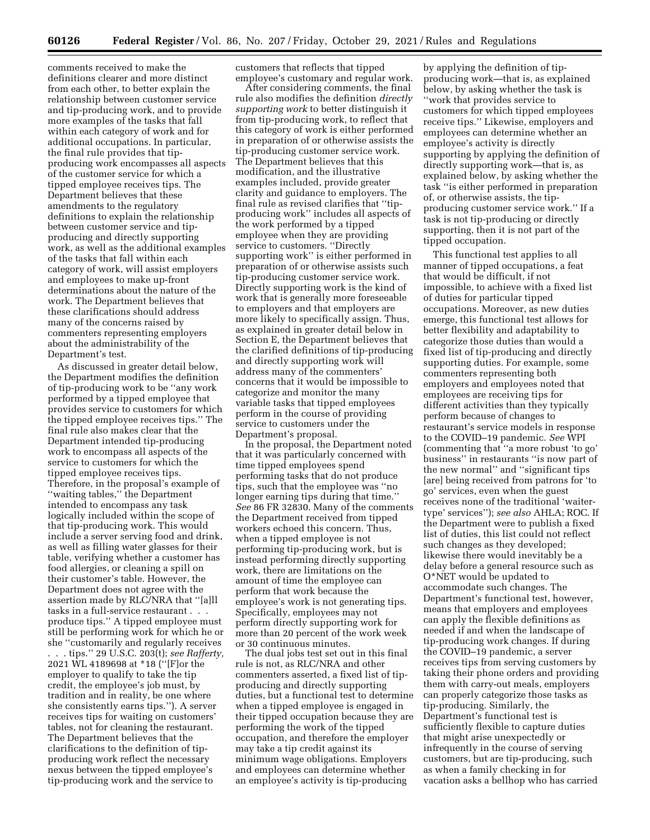comments received to make the definitions clearer and more distinct from each other, to better explain the relationship between customer service and tip-producing work, and to provide more examples of the tasks that fall within each category of work and for additional occupations. In particular, the final rule provides that tipproducing work encompasses all aspects of the customer service for which a tipped employee receives tips. The Department believes that these amendments to the regulatory definitions to explain the relationship between customer service and tipproducing and directly supporting work, as well as the additional examples of the tasks that fall within each category of work, will assist employers and employees to make up-front determinations about the nature of the work. The Department believes that these clarifications should address many of the concerns raised by commenters representing employers about the administrability of the Department's test.

As discussed in greater detail below, the Department modifies the definition of tip-producing work to be ''any work performed by a tipped employee that provides service to customers for which the tipped employee receives tips.'' The final rule also makes clear that the Department intended tip-producing work to encompass all aspects of the service to customers for which the tipped employee receives tips. Therefore, in the proposal's example of ''waiting tables,'' the Department intended to encompass any task logically included within the scope of that tip-producing work. This would include a server serving food and drink, as well as filling water glasses for their table, verifying whether a customer has food allergies, or cleaning a spill on their customer's table. However, the Department does not agree with the assertion made by RLC/NRA that ''[a]ll tasks in a full-service restaurant . . . produce tips.'' A tipped employee must still be performing work for which he or she ''customarily and regularly receives . . . tips.'' 29 U.S.C. 203(t); *see Rafferty,*  2021 WL 4189698 at \*18 (''[F]or the employer to qualify to take the tip credit, the employee's job must, by tradition and in reality, be one where she consistently earns tips.''). A server receives tips for waiting on customers' tables, not for cleaning the restaurant. The Department believes that the clarifications to the definition of tipproducing work reflect the necessary nexus between the tipped employee's tip-producing work and the service to

customers that reflects that tipped employee's customary and regular work.

After considering comments, the final rule also modifies the definition *directly supporting work* to better distinguish it from tip-producing work, to reflect that this category of work is either performed in preparation of or otherwise assists the tip-producing customer service work. The Department believes that this modification, and the illustrative examples included, provide greater clarity and guidance to employers. The final rule as revised clarifies that ''tipproducing work'' includes all aspects of the work performed by a tipped employee when they are providing service to customers. ''Directly supporting work'' is either performed in preparation of or otherwise assists such tip-producing customer service work. Directly supporting work is the kind of work that is generally more foreseeable to employers and that employers are more likely to specifically assign. Thus, as explained in greater detail below in Section E, the Department believes that the clarified definitions of tip-producing and directly supporting work will address many of the commenters' concerns that it would be impossible to categorize and monitor the many variable tasks that tipped employees perform in the course of providing service to customers under the Department's proposal.

In the proposal, the Department noted that it was particularly concerned with time tipped employees spend performing tasks that do not produce tips, such that the employee was ''no longer earning tips during that time.'' *See* 86 FR 32830. Many of the comments the Department received from tipped workers echoed this concern. Thus, when a tipped employee is not performing tip-producing work, but is instead performing directly supporting work, there are limitations on the amount of time the employee can perform that work because the employee's work is not generating tips. Specifically, employees may not perform directly supporting work for more than 20 percent of the work week or 30 continuous minutes.

The dual jobs test set out in this final rule is not, as RLC/NRA and other commenters asserted, a fixed list of tipproducing and directly supporting duties, but a functional test to determine when a tipped employee is engaged in their tipped occupation because they are performing the work of the tipped occupation, and therefore the employer may take a tip credit against its minimum wage obligations. Employers and employees can determine whether an employee's activity is tip-producing

by applying the definition of tipproducing work—that is, as explained below, by asking whether the task is ''work that provides service to customers for which tipped employees receive tips.'' Likewise, employers and employees can determine whether an employee's activity is directly supporting by applying the definition of directly supporting work—that is, as explained below, by asking whether the task ''is either performed in preparation of, or otherwise assists, the tipproducing customer service work.'' If a task is not tip-producing or directly supporting, then it is not part of the tipped occupation.

This functional test applies to all manner of tipped occupations, a feat that would be difficult, if not impossible, to achieve with a fixed list of duties for particular tipped occupations. Moreover, as new duties emerge, this functional test allows for better flexibility and adaptability to categorize those duties than would a fixed list of tip-producing and directly supporting duties. For example, some commenters representing both employers and employees noted that employees are receiving tips for different activities than they typically perform because of changes to restaurant's service models in response to the COVID–19 pandemic. *See* WPI (commenting that ''a more robust 'to go' business'' in restaurants ''is now part of the new normal'' and ''significant tips [are] being received from patrons for 'to go' services, even when the guest receives none of the traditional 'waitertype' services''); *see also* AHLA; ROC. If the Department were to publish a fixed list of duties, this list could not reflect such changes as they developed; likewise there would inevitably be a delay before a general resource such as O\*NET would be updated to accommodate such changes. The Department's functional test, however, means that employers and employees can apply the flexible definitions as needed if and when the landscape of tip-producing work changes. If during the COVID–19 pandemic, a server receives tips from serving customers by taking their phone orders and providing them with carry-out meals, employers can properly categorize those tasks as tip-producing. Similarly, the Department's functional test is sufficiently flexible to capture duties that might arise unexpectedly or infrequently in the course of serving customers, but are tip-producing, such as when a family checking in for vacation asks a bellhop who has carried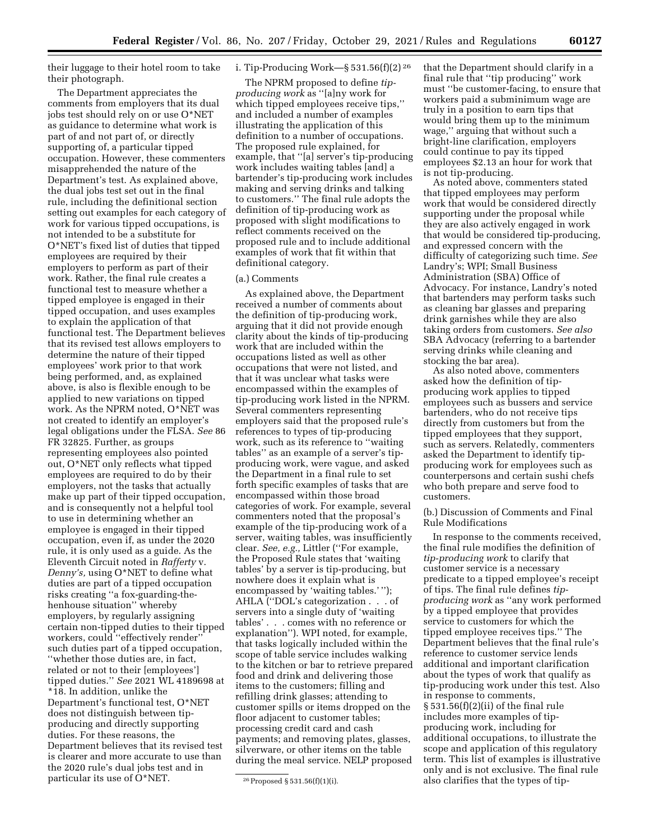their luggage to their hotel room to take their photograph.

The Department appreciates the comments from employers that its dual jobs test should rely on or use O\*NET as guidance to determine what work is part of and not part of, or directly supporting of, a particular tipped occupation. However, these commenters misapprehended the nature of the Department's test. As explained above, the dual jobs test set out in the final rule, including the definitional section setting out examples for each category of work for various tipped occupations, is not intended to be a substitute for O\*NET's fixed list of duties that tipped employees are required by their employers to perform as part of their work. Rather, the final rule creates a functional test to measure whether a tipped employee is engaged in their tipped occupation, and uses examples to explain the application of that functional test. The Department believes that its revised test allows employers to determine the nature of their tipped employees' work prior to that work being performed, and, as explained above, is also is flexible enough to be applied to new variations on tipped work. As the NPRM noted, O\*NET was not created to identify an employer's legal obligations under the FLSA. *See* 86 FR 32825. Further, as groups representing employees also pointed out, O\*NET only reflects what tipped employees are required to do by their employers, not the tasks that actually make up part of their tipped occupation, and is consequently not a helpful tool to use in determining whether an employee is engaged in their tipped occupation, even if, as under the 2020 rule, it is only used as a guide. As the Eleventh Circuit noted in *Rafferty* v. *Denny's,* using O\*NET to define what duties are part of a tipped occupation risks creating ''a fox-guarding-thehenhouse situation'' whereby employers, by regularly assigning certain non-tipped duties to their tipped workers, could ''effectively render'' such duties part of a tipped occupation, ''whether those duties are, in fact, related or not to their [employees'] tipped duties.'' *See* 2021 WL 4189698 at \*18. In addition, unlike the Department's functional test, O\*NET does not distinguish between tipproducing and directly supporting duties. For these reasons, the Department believes that its revised test is clearer and more accurate to use than the 2020 rule's dual jobs test and in particular its use of O\*NET.

# i. Tip-Producing Work—§ 531.56(f)(2) 26

The NPRM proposed to define *tipproducing work* as ''[a]ny work for which tipped employees receive tips,'' and included a number of examples illustrating the application of this definition to a number of occupations. The proposed rule explained, for example, that ''[a] server's tip-producing work includes waiting tables [and] a bartender's tip-producing work includes making and serving drinks and talking to customers.'' The final rule adopts the definition of tip-producing work as proposed with slight modifications to reflect comments received on the proposed rule and to include additional examples of work that fit within that definitional category.

#### (a.) Comments

As explained above, the Department received a number of comments about the definition of tip-producing work, arguing that it did not provide enough clarity about the kinds of tip-producing work that are included within the occupations listed as well as other occupations that were not listed, and that it was unclear what tasks were encompassed within the examples of tip-producing work listed in the NPRM. Several commenters representing employers said that the proposed rule's references to types of tip-producing work, such as its reference to ''waiting tables'' as an example of a server's tipproducing work, were vague, and asked the Department in a final rule to set forth specific examples of tasks that are encompassed within those broad categories of work. For example, several commenters noted that the proposal's example of the tip-producing work of a server, waiting tables, was insufficiently clear. *See, e.g.,* Littler (''For example, the Proposed Rule states that 'waiting tables' by a server is tip-producing, but nowhere does it explain what is encompassed by 'waiting tables.' ''); AHLA (''DOL's categorization . . . of servers into a single duty of 'waiting tables' . . . comes with no reference or explanation''). WPI noted, for example, that tasks logically included within the scope of table service includes walking to the kitchen or bar to retrieve prepared food and drink and delivering those items to the customers; filling and refilling drink glasses; attending to customer spills or items dropped on the floor adjacent to customer tables; processing credit card and cash payments; and removing plates, glasses, silverware, or other items on the table during the meal service. NELP proposed

that the Department should clarify in a final rule that ''tip producing'' work must ''be customer-facing, to ensure that workers paid a subminimum wage are truly in a position to earn tips that would bring them up to the minimum wage,'' arguing that without such a bright-line clarification, employers could continue to pay its tipped employees \$2.13 an hour for work that is not tip-producing.

As noted above, commenters stated that tipped employees may perform work that would be considered directly supporting under the proposal while they are also actively engaged in work that would be considered tip-producing, and expressed concern with the difficulty of categorizing such time. *See*  Landry's; WPI; Small Business Administration (SBA) Office of Advocacy. For instance, Landry's noted that bartenders may perform tasks such as cleaning bar glasses and preparing drink garnishes while they are also taking orders from customers. *See also*  SBA Advocacy (referring to a bartender serving drinks while cleaning and stocking the bar area).

As also noted above, commenters asked how the definition of tipproducing work applies to tipped employees such as bussers and service bartenders, who do not receive tips directly from customers but from the tipped employees that they support, such as servers. Relatedly, commenters asked the Department to identify tipproducing work for employees such as counterpersons and certain sushi chefs who both prepare and serve food to customers.

(b.) Discussion of Comments and Final Rule Modifications

In response to the comments received, the final rule modifies the definition of *tip-producing work* to clarify that customer service is a necessary predicate to a tipped employee's receipt of tips. The final rule defines *tipproducing work* as ''any work performed by a tipped employee that provides service to customers for which the tipped employee receives tips.'' The Department believes that the final rule's reference to customer service lends additional and important clarification about the types of work that qualify as tip-producing work under this test. Also in response to comments, § 531.56(f)(2)(ii) of the final rule includes more examples of tipproducing work, including for additional occupations, to illustrate the scope and application of this regulatory term. This list of examples is illustrative only and is not exclusive. The final rule also clarifies that the types of tip-

<sup>26</sup>Proposed § 531.56(f)(1)(i).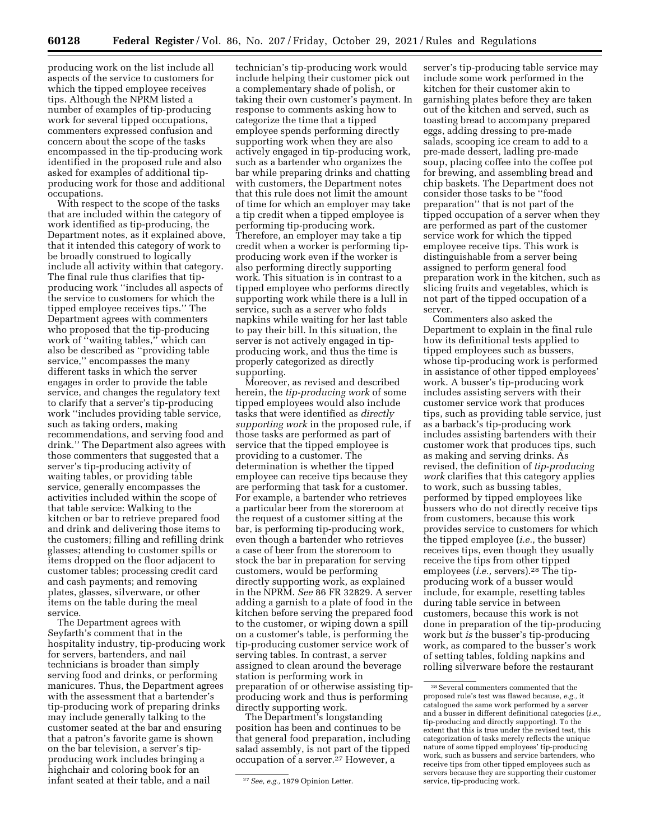producing work on the list include all aspects of the service to customers for which the tipped employee receives tips. Although the NPRM listed a number of examples of tip-producing work for several tipped occupations, commenters expressed confusion and concern about the scope of the tasks encompassed in the tip-producing work identified in the proposed rule and also asked for examples of additional tipproducing work for those and additional occupations.

With respect to the scope of the tasks that are included within the category of work identified as tip-producing, the Department notes, as it explained above, that it intended this category of work to be broadly construed to logically include all activity within that category. The final rule thus clarifies that tipproducing work ''includes all aspects of the service to customers for which the tipped employee receives tips.'' The Department agrees with commenters who proposed that the tip-producing work of ''waiting tables,'' which can also be described as ''providing table service,'' encompasses the many different tasks in which the server engages in order to provide the table service, and changes the regulatory text to clarify that a server's tip-producing work ''includes providing table service, such as taking orders, making recommendations, and serving food and drink.'' The Department also agrees with those commenters that suggested that a server's tip-producing activity of waiting tables, or providing table service, generally encompasses the activities included within the scope of that table service: Walking to the kitchen or bar to retrieve prepared food and drink and delivering those items to the customers; filling and refilling drink glasses; attending to customer spills or items dropped on the floor adjacent to customer tables; processing credit card and cash payments; and removing plates, glasses, silverware, or other items on the table during the meal service.

The Department agrees with Seyfarth's comment that in the hospitality industry, tip-producing work for servers, bartenders, and nail technicians is broader than simply serving food and drinks, or performing manicures. Thus, the Department agrees with the assessment that a bartender's tip-producing work of preparing drinks may include generally talking to the customer seated at the bar and ensuring that a patron's favorite game is shown on the bar television, a server's tipproducing work includes bringing a highchair and coloring book for an infant seated at their table, and a nail

technician's tip-producing work would include helping their customer pick out a complementary shade of polish, or taking their own customer's payment. In response to comments asking how to categorize the time that a tipped employee spends performing directly supporting work when they are also actively engaged in tip-producing work, such as a bartender who organizes the bar while preparing drinks and chatting with customers, the Department notes that this rule does not limit the amount of time for which an employer may take a tip credit when a tipped employee is performing tip-producing work. Therefore, an employer may take a tip credit when a worker is performing tipproducing work even if the worker is also performing directly supporting work. This situation is in contrast to a tipped employee who performs directly supporting work while there is a lull in service, such as a server who folds napkins while waiting for her last table to pay their bill. In this situation, the server is not actively engaged in tipproducing work, and thus the time is properly categorized as directly supporting.

Moreover, as revised and described herein, the *tip-producing work* of some tipped employees would also include tasks that were identified as *directly supporting work* in the proposed rule, if those tasks are performed as part of service that the tipped employee is providing to a customer. The determination is whether the tipped employee can receive tips because they are performing that task for a customer. For example, a bartender who retrieves a particular beer from the storeroom at the request of a customer sitting at the bar, is performing tip-producing work, even though a bartender who retrieves a case of beer from the storeroom to stock the bar in preparation for serving customers, would be performing directly supporting work, as explained in the NPRM. *See* 86 FR 32829. A server adding a garnish to a plate of food in the kitchen before serving the prepared food to the customer, or wiping down a spill on a customer's table, is performing the tip-producing customer service work of serving tables. In contrast, a server assigned to clean around the beverage station is performing work in preparation of or otherwise assisting tipproducing work and thus is performing directly supporting work.

The Department's longstanding position has been and continues to be that general food preparation, including salad assembly, is not part of the tipped occupation of a server.<sup>27</sup> However, a

server's tip-producing table service may include some work performed in the kitchen for their customer akin to garnishing plates before they are taken out of the kitchen and served, such as toasting bread to accompany prepared eggs, adding dressing to pre-made salads, scooping ice cream to add to a pre-made dessert, ladling pre-made soup, placing coffee into the coffee pot for brewing, and assembling bread and chip baskets. The Department does not consider those tasks to be ''food preparation'' that is not part of the tipped occupation of a server when they are performed as part of the customer service work for which the tipped employee receive tips. This work is distinguishable from a server being assigned to perform general food preparation work in the kitchen, such as slicing fruits and vegetables, which is not part of the tipped occupation of a server.

Commenters also asked the Department to explain in the final rule how its definitional tests applied to tipped employees such as bussers, whose tip-producing work is performed in assistance of other tipped employees' work. A busser's tip-producing work includes assisting servers with their customer service work that produces tips, such as providing table service, just as a barback's tip-producing work includes assisting bartenders with their customer work that produces tips, such as making and serving drinks. As revised, the definition of *tip-producing work* clarifies that this category applies to work, such as bussing tables, performed by tipped employees like bussers who do not directly receive tips from customers, because this work provides service to customers for which the tipped employee (*i.e.,* the busser) receives tips, even though they usually receive the tips from other tipped employees (*i.e.*, servers).<sup>28</sup> The tipproducing work of a busser would include, for example, resetting tables during table service in between customers, because this work is not done in preparation of the tip-producing work but *is* the busser's tip-producing work, as compared to the busser's work of setting tables, folding napkins and rolling silverware before the restaurant

<sup>27</sup>*See, e.g.,* 1979 Opinion Letter.

<sup>28</sup>Several commenters commented that the proposed rule's test was flawed because, *e.g.,* it catalogued the same work performed by a server and a busser in different definitional categories (*i.e.,*  tip-producing and directly supporting). To the extent that this is true under the revised test, this categorization of tasks merely reflects the unique nature of some tipped employees' tip-producing work, such as bussers and service bartenders, who receive tips from other tipped employees such as servers because they are supporting their customer service, tip-producing work.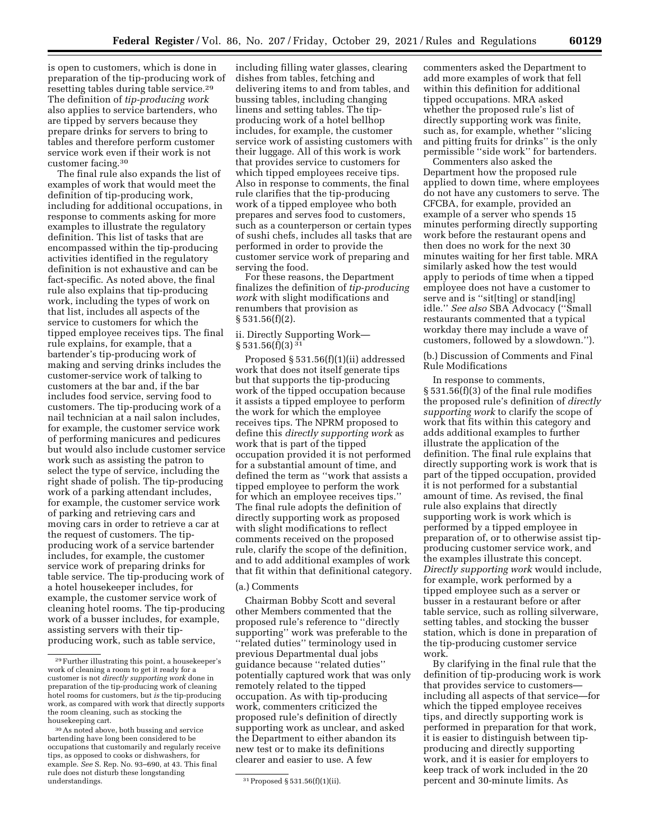is open to customers, which is done in preparation of the tip-producing work of resetting tables during table service.29 The definition of *tip-producing work*  also applies to service bartenders, who are tipped by servers because they prepare drinks for servers to bring to tables and therefore perform customer service work even if their work is not customer facing.30

The final rule also expands the list of examples of work that would meet the definition of tip-producing work, including for additional occupations, in response to comments asking for more examples to illustrate the regulatory definition. This list of tasks that are encompassed within the tip-producing activities identified in the regulatory definition is not exhaustive and can be fact-specific. As noted above, the final rule also explains that tip-producing work, including the types of work on that list, includes all aspects of the service to customers for which the tipped employee receives tips. The final rule explains, for example, that a bartender's tip-producing work of making and serving drinks includes the customer-service work of talking to customers at the bar and, if the bar includes food service, serving food to customers. The tip-producing work of a nail technician at a nail salon includes, for example, the customer service work of performing manicures and pedicures but would also include customer service work such as assisting the patron to select the type of service, including the right shade of polish. The tip-producing work of a parking attendant includes, for example, the customer service work of parking and retrieving cars and moving cars in order to retrieve a car at the request of customers. The tipproducing work of a service bartender includes, for example, the customer service work of preparing drinks for table service. The tip-producing work of a hotel housekeeper includes, for example, the customer service work of cleaning hotel rooms. The tip-producing work of a busser includes, for example, assisting servers with their tipproducing work, such as table service,

including filling water glasses, clearing dishes from tables, fetching and delivering items to and from tables, and bussing tables, including changing linens and setting tables. The tipproducing work of a hotel bellhop includes, for example, the customer service work of assisting customers with their luggage. All of this work is work that provides service to customers for which tipped employees receive tips. Also in response to comments, the final rule clarifies that the tip-producing work of a tipped employee who both prepares and serves food to customers, such as a counterperson or certain types of sushi chefs, includes all tasks that are performed in order to provide the customer service work of preparing and serving the food.

For these reasons, the Department finalizes the definition of *tip-producing work* with slight modifications and renumbers that provision as § 531.56(f)(2).

#### ii. Directly Supporting Work—  $§ 531.56(f)(3)<sup>31</sup>$

Proposed § 531.56(f)(1)(ii) addressed work that does not itself generate tips but that supports the tip-producing work of the tipped occupation because it assists a tipped employee to perform the work for which the employee receives tips. The NPRM proposed to define this *directly supporting work* as work that is part of the tipped occupation provided it is not performed for a substantial amount of time, and defined the term as ''work that assists a tipped employee to perform the work for which an employee receives tips.'' The final rule adopts the definition of directly supporting work as proposed with slight modifications to reflect comments received on the proposed rule, clarify the scope of the definition, and to add additional examples of work that fit within that definitional category.

# (a.) Comments

Chairman Bobby Scott and several other Members commented that the proposed rule's reference to ''directly supporting'' work was preferable to the ''related duties'' terminology used in previous Departmental dual jobs guidance because ''related duties'' potentially captured work that was only remotely related to the tipped occupation. As with tip-producing work, commenters criticized the proposed rule's definition of directly supporting work as unclear, and asked the Department to either abandon its new test or to make its definitions clearer and easier to use. A few

commenters asked the Department to add more examples of work that fell within this definition for additional tipped occupations. MRA asked whether the proposed rule's list of directly supporting work was finite, such as, for example, whether ''slicing and pitting fruits for drinks'' is the only permissible ''side work'' for bartenders.

Commenters also asked the Department how the proposed rule applied to down time, where employees do not have any customers to serve. The CFCBA, for example, provided an example of a server who spends 15 minutes performing directly supporting work before the restaurant opens and then does no work for the next 30 minutes waiting for her first table. MRA similarly asked how the test would apply to periods of time when a tipped employee does not have a customer to serve and is ''sit[ting] or stand[ing] idle.'' *See also* SBA Advocacy (''Small restaurants commented that a typical workday there may include a wave of customers, followed by a slowdown.'').

(b.) Discussion of Comments and Final Rule Modifications

In response to comments, § 531.56(f)(3) of the final rule modifies the proposed rule's definition of *directly supporting work* to clarify the scope of work that fits within this category and adds additional examples to further illustrate the application of the definition. The final rule explains that directly supporting work is work that is part of the tipped occupation, provided it is not performed for a substantial amount of time. As revised, the final rule also explains that directly supporting work is work which is performed by a tipped employee in preparation of, or to otherwise assist tipproducing customer service work, and the examples illustrate this concept. *Directly supporting work* would include, for example, work performed by a tipped employee such as a server or busser in a restaurant before or after table service, such as rolling silverware, setting tables, and stocking the busser station, which is done in preparation of the tip-producing customer service work.

By clarifying in the final rule that the definition of tip-producing work is work that provides service to customers including all aspects of that service—for which the tipped employee receives tips, and directly supporting work is performed in preparation for that work, it is easier to distinguish between tipproducing and directly supporting work, and it is easier for employers to keep track of work included in the 20 percent and 30-minute limits. As

<sup>29</sup>Further illustrating this point, a housekeeper's work of cleaning a room to get it ready for a customer is not *directly supporting work* done in preparation of the tip-producing work of cleaning hotel rooms for customers, but *is* the tip-producing work, as compared with work that directly supports the room cleaning, such as stocking the housekeeping cart.

<sup>30</sup>As noted above, both bussing and service bartending have long been considered to be occupations that customarily and regularly receive tips, as opposed to cooks or dishwashers, for example. *See* S. Rep. No. 93–690, at 43. This final rule does not disturb these longstanding

<sup>31</sup> Proposed § 531.56(f)(1)(ii).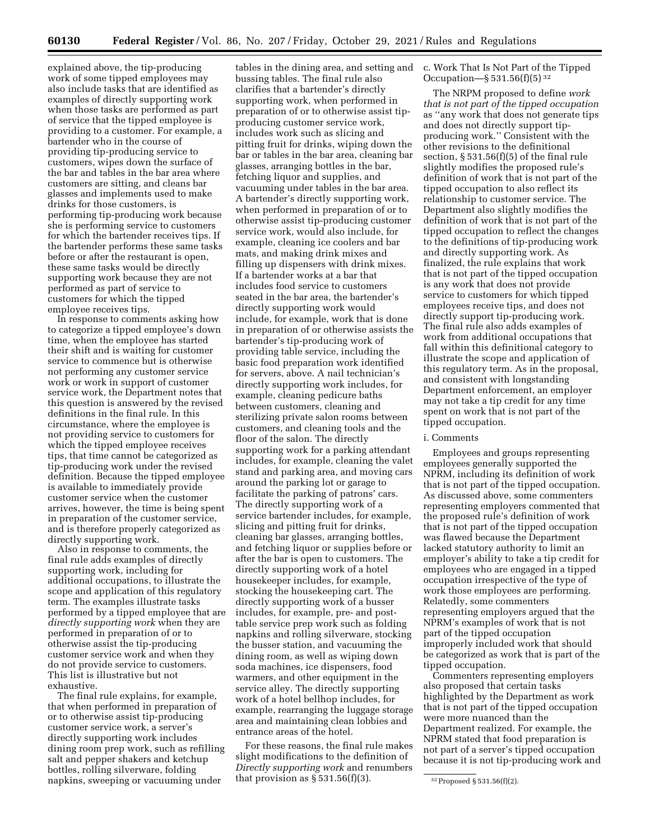explained above, the tip-producing work of some tipped employees may also include tasks that are identified as examples of directly supporting work when those tasks are performed as part of service that the tipped employee is providing to a customer. For example, a bartender who in the course of providing tip-producing service to customers, wipes down the surface of the bar and tables in the bar area where customers are sitting, and cleans bar glasses and implements used to make drinks for those customers, is performing tip-producing work because she is performing service to customers for which the bartender receives tips. If the bartender performs these same tasks before or after the restaurant is open, these same tasks would be directly supporting work because they are not performed as part of service to customers for which the tipped employee receives tips.

In response to comments asking how to categorize a tipped employee's down time, when the employee has started their shift and is waiting for customer service to commence but is otherwise not performing any customer service work or work in support of customer service work, the Department notes that this question is answered by the revised definitions in the final rule. In this circumstance, where the employee is not providing service to customers for which the tipped employee receives tips, that time cannot be categorized as tip-producing work under the revised definition. Because the tipped employee is available to immediately provide customer service when the customer arrives, however, the time is being spent in preparation of the customer service, and is therefore properly categorized as directly supporting work.

Also in response to comments, the final rule adds examples of directly supporting work, including for additional occupations, to illustrate the scope and application of this regulatory term. The examples illustrate tasks performed by a tipped employee that are *directly supporting work* when they are performed in preparation of or to otherwise assist the tip-producing customer service work and when they do not provide service to customers. This list is illustrative but not exhaustive.

The final rule explains, for example, that when performed in preparation of or to otherwise assist tip-producing customer service work, a server's directly supporting work includes dining room prep work, such as refilling salt and pepper shakers and ketchup bottles, rolling silverware, folding napkins, sweeping or vacuuming under

tables in the dining area, and setting and bussing tables. The final rule also clarifies that a bartender's directly supporting work, when performed in preparation of or to otherwise assist tipproducing customer service work, includes work such as slicing and pitting fruit for drinks, wiping down the bar or tables in the bar area, cleaning bar glasses, arranging bottles in the bar, fetching liquor and supplies, and vacuuming under tables in the bar area. A bartender's directly supporting work, when performed in preparation of or to otherwise assist tip-producing customer service work, would also include, for example, cleaning ice coolers and bar mats, and making drink mixes and filling up dispensers with drink mixes. If a bartender works at a bar that includes food service to customers seated in the bar area, the bartender's directly supporting work would include, for example, work that is done in preparation of or otherwise assists the bartender's tip-producing work of providing table service, including the basic food preparation work identified for servers, above. A nail technician's directly supporting work includes, for example, cleaning pedicure baths between customers, cleaning and sterilizing private salon rooms between customers, and cleaning tools and the floor of the salon. The directly supporting work for a parking attendant includes, for example, cleaning the valet stand and parking area, and moving cars around the parking lot or garage to facilitate the parking of patrons' cars. The directly supporting work of a service bartender includes, for example, slicing and pitting fruit for drinks, cleaning bar glasses, arranging bottles, and fetching liquor or supplies before or after the bar is open to customers. The directly supporting work of a hotel housekeeper includes, for example, stocking the housekeeping cart. The directly supporting work of a busser includes, for example, pre- and posttable service prep work such as folding napkins and rolling silverware, stocking the busser station, and vacuuming the dining room, as well as wiping down soda machines, ice dispensers, food warmers, and other equipment in the service alley. The directly supporting work of a hotel bellhop includes, for example, rearranging the luggage storage area and maintaining clean lobbies and entrance areas of the hotel.

For these reasons, the final rule makes slight modifications to the definition of *Directly supporting work* and renumbers that provision as  $\S 531.56(f)(3)$ .

c. Work That Is Not Part of the Tipped Occupation—§ 531.56(f)(5) 32

The NRPM proposed to define *work that is not part of the tipped occupation*  as ''any work that does not generate tips and does not directly support tipproducing work.'' Consistent with the other revisions to the definitional section, § 531.56(f)(5) of the final rule slightly modifies the proposed rule's definition of work that is not part of the tipped occupation to also reflect its relationship to customer service. The Department also slightly modifies the definition of work that is not part of the tipped occupation to reflect the changes to the definitions of tip-producing work and directly supporting work. As finalized, the rule explains that work that is not part of the tipped occupation is any work that does not provide service to customers for which tipped employees receive tips, and does not directly support tip-producing work. The final rule also adds examples of work from additional occupations that fall within this definitional category to illustrate the scope and application of this regulatory term. As in the proposal, and consistent with longstanding Department enforcement, an employer may not take a tip credit for any time spent on work that is not part of the tipped occupation.

#### i. Comments

Employees and groups representing employees generally supported the NPRM, including its definition of work that is not part of the tipped occupation. As discussed above, some commenters representing employers commented that the proposed rule's definition of work that is not part of the tipped occupation was flawed because the Department lacked statutory authority to limit an employer's ability to take a tip credit for employees who are engaged in a tipped occupation irrespective of the type of work those employees are performing. Relatedly, some commenters representing employers argued that the NPRM's examples of work that is not part of the tipped occupation improperly included work that should be categorized as work that is part of the tipped occupation.

Commenters representing employers also proposed that certain tasks highlighted by the Department as work that is not part of the tipped occupation were more nuanced than the Department realized. For example, the NPRM stated that food preparation is not part of a server's tipped occupation because it is not tip-producing work and

<sup>32</sup>Proposed § 531.56(f)(2).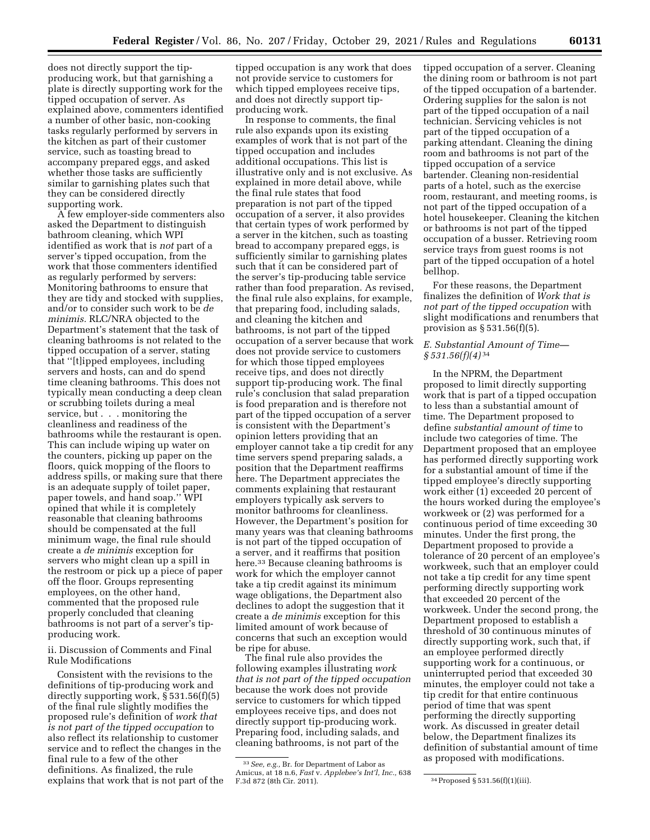does not directly support the tipproducing work, but that garnishing a plate is directly supporting work for the tipped occupation of server. As explained above, commenters identified a number of other basic, non-cooking tasks regularly performed by servers in the kitchen as part of their customer service, such as toasting bread to accompany prepared eggs, and asked whether those tasks are sufficiently similar to garnishing plates such that they can be considered directly supporting work.

A few employer-side commenters also asked the Department to distinguish bathroom cleaning, which WPI identified as work that is *not* part of a server's tipped occupation, from the work that those commenters identified as regularly performed by servers: Monitoring bathrooms to ensure that they are tidy and stocked with supplies, and/or to consider such work to be *de minimis.* RLC/NRA objected to the Department's statement that the task of cleaning bathrooms is not related to the tipped occupation of a server, stating that ''[t]ipped employees, including servers and hosts, can and do spend time cleaning bathrooms. This does not typically mean conducting a deep clean or scrubbing toilets during a meal service, but . . . monitoring the cleanliness and readiness of the bathrooms while the restaurant is open. This can include wiping up water on the counters, picking up paper on the floors, quick mopping of the floors to address spills, or making sure that there is an adequate supply of toilet paper, paper towels, and hand soap.'' WPI opined that while it is completely reasonable that cleaning bathrooms should be compensated at the full minimum wage, the final rule should create a *de minimis* exception for servers who might clean up a spill in the restroom or pick up a piece of paper off the floor. Groups representing employees, on the other hand, commented that the proposed rule properly concluded that cleaning bathrooms is not part of a server's tipproducing work.

ii. Discussion of Comments and Final Rule Modifications

Consistent with the revisions to the definitions of tip-producing work and directly supporting work, § 531.56(f)(5) of the final rule slightly modifies the proposed rule's definition of *work that is not part of the tipped occupation* to also reflect its relationship to customer service and to reflect the changes in the final rule to a few of the other definitions. As finalized, the rule explains that work that is not part of the

tipped occupation is any work that does not provide service to customers for which tipped employees receive tips, and does not directly support tipproducing work.

In response to comments, the final rule also expands upon its existing examples of work that is not part of the tipped occupation and includes additional occupations. This list is illustrative only and is not exclusive. As explained in more detail above, while the final rule states that food preparation is not part of the tipped occupation of a server, it also provides that certain types of work performed by a server in the kitchen, such as toasting bread to accompany prepared eggs, is sufficiently similar to garnishing plates such that it can be considered part of the server's tip-producing table service rather than food preparation. As revised, the final rule also explains, for example, that preparing food, including salads, and cleaning the kitchen and bathrooms, is not part of the tipped occupation of a server because that work does not provide service to customers for which those tipped employees receive tips, and does not directly support tip-producing work. The final rule's conclusion that salad preparation is food preparation and is therefore not part of the tipped occupation of a server is consistent with the Department's opinion letters providing that an employer cannot take a tip credit for any time servers spend preparing salads, a position that the Department reaffirms here. The Department appreciates the comments explaining that restaurant employers typically ask servers to monitor bathrooms for cleanliness. However, the Department's position for many years was that cleaning bathrooms is not part of the tipped occupation of a server, and it reaffirms that position here.33 Because cleaning bathrooms is work for which the employer cannot take a tip credit against its minimum wage obligations, the Department also declines to adopt the suggestion that it create a *de minimis* exception for this limited amount of work because of concerns that such an exception would be ripe for abuse.

The final rule also provides the following examples illustrating *work that is not part of the tipped occupation*  because the work does not provide service to customers for which tipped employees receive tips, and does not directly support tip-producing work. Preparing food, including salads, and cleaning bathrooms, is not part of the

tipped occupation of a server. Cleaning the dining room or bathroom is not part of the tipped occupation of a bartender. Ordering supplies for the salon is not part of the tipped occupation of a nail technician. Servicing vehicles is not part of the tipped occupation of a parking attendant. Cleaning the dining room and bathrooms is not part of the tipped occupation of a service bartender. Cleaning non-residential parts of a hotel, such as the exercise room, restaurant, and meeting rooms, is not part of the tipped occupation of a hotel housekeeper. Cleaning the kitchen or bathrooms is not part of the tipped occupation of a busser. Retrieving room service trays from guest rooms is not part of the tipped occupation of a hotel bellhop.

For these reasons, the Department finalizes the definition of *Work that is not part of the tipped occupation* with slight modifications and renumbers that provision as  $\S 531.56(f)(5)$ .

# *E. Substantial Amount of Time— § 531.56(f)(4)* 34

In the NPRM, the Department proposed to limit directly supporting work that is part of a tipped occupation to less than a substantial amount of time. The Department proposed to define *substantial amount of time* to include two categories of time. The Department proposed that an employee has performed directly supporting work for a substantial amount of time if the tipped employee's directly supporting work either (1) exceeded 20 percent of the hours worked during the employee's workweek or (2) was performed for a continuous period of time exceeding 30 minutes. Under the first prong, the Department proposed to provide a tolerance of 20 percent of an employee's workweek, such that an employer could not take a tip credit for any time spent performing directly supporting work that exceeded 20 percent of the workweek. Under the second prong, the Department proposed to establish a threshold of 30 continuous minutes of directly supporting work, such that, if an employee performed directly supporting work for a continuous, or uninterrupted period that exceeded 30 minutes, the employer could not take a tip credit for that entire continuous period of time that was spent performing the directly supporting work. As discussed in greater detail below, the Department finalizes its definition of substantial amount of time as proposed with modifications.

<sup>33</sup>*See, e.g.,* Br. for Department of Labor as Amicus, at 18 n.6, *Fast* v. *Applebee's Int'l, Inc.,* 638

<sup>&</sup>lt;sup>34</sup> Proposed § 531.56(f)(1)(iii).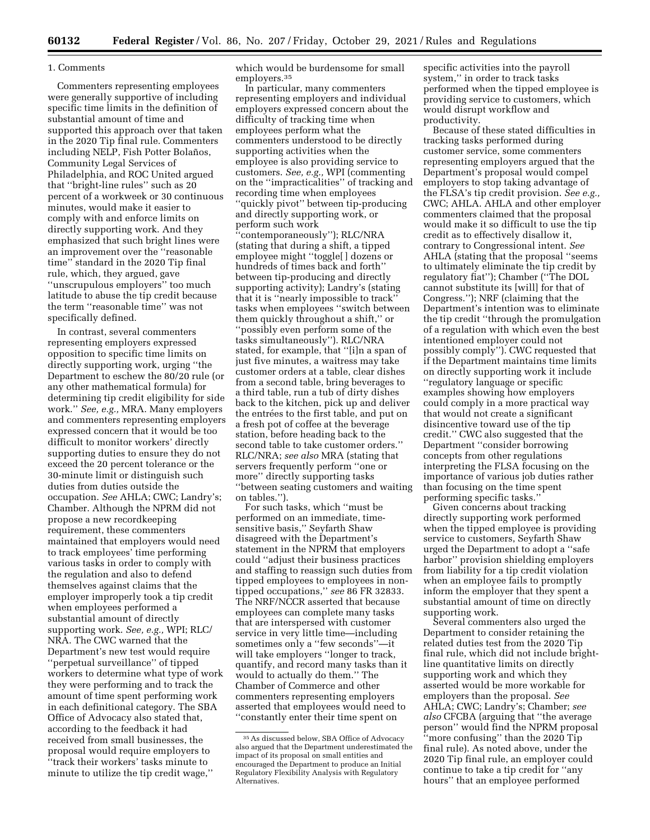# 1. Comments

Commenters representing employees were generally supportive of including specific time limits in the definition of substantial amount of time and supported this approach over that taken in the 2020 Tip final rule. Commenters including NELP, Fish Potter Bolaños, Community Legal Services of Philadelphia, and ROC United argued that ''bright-line rules'' such as 20 percent of a workweek or 30 continuous minutes, would make it easier to comply with and enforce limits on directly supporting work. And they emphasized that such bright lines were an improvement over the ''reasonable time'' standard in the 2020 Tip final rule, which, they argued, gave ''unscrupulous employers'' too much latitude to abuse the tip credit because the term ''reasonable time'' was not specifically defined.

In contrast, several commenters representing employers expressed opposition to specific time limits on directly supporting work, urging ''the Department to eschew the 80/20 rule (or any other mathematical formula) for determining tip credit eligibility for side work.'' *See, e.g.,* MRA. Many employers and commenters representing employers expressed concern that it would be too difficult to monitor workers' directly supporting duties to ensure they do not exceed the 20 percent tolerance or the 30-minute limit or distinguish such duties from duties outside the occupation. *See* AHLA; CWC; Landry's; Chamber. Although the NPRM did not propose a new recordkeeping requirement, these commenters maintained that employers would need to track employees' time performing various tasks in order to comply with the regulation and also to defend themselves against claims that the employer improperly took a tip credit when employees performed a substantial amount of directly supporting work. *See, e.g.,* WPI; RLC/ NRA. The CWC warned that the Department's new test would require ''perpetual surveillance'' of tipped workers to determine what type of work they were performing and to track the amount of time spent performing work in each definitional category. The SBA Office of Advocacy also stated that, according to the feedback it had received from small businesses, the proposal would require employers to ''track their workers' tasks minute to minute to utilize the tip credit wage,''

which would be burdensome for small employers.35

In particular, many commenters representing employers and individual employers expressed concern about the difficulty of tracking time when employees perform what the commenters understood to be directly supporting activities when the employee is also providing service to customers. *See, e.g.,* WPI (commenting on the ''impracticalities'' of tracking and recording time when employees ''quickly pivot'' between tip-producing and directly supporting work, or perform such work

''contemporaneously''); RLC/NRA (stating that during a shift, a tipped employee might ''toggle[ ] dozens or hundreds of times back and forth'' between tip-producing and directly supporting activity); Landry's (stating that it is ''nearly impossible to track'' tasks when employees ''switch between them quickly throughout a shift,'' or ''possibly even perform some of the tasks simultaneously''). RLC/NRA stated, for example, that ''[i]n a span of just five minutes, a waitress may take customer orders at a table, clear dishes from a second table, bring beverages to a third table, run a tub of dirty dishes back to the kitchen, pick up and deliver the entrées to the first table, and put on a fresh pot of coffee at the beverage station, before heading back to the second table to take customer orders.'' RLC/NRA; *see also* MRA (stating that servers frequently perform ''one or more'' directly supporting tasks ''between seating customers and waiting on tables.'').

For such tasks, which ''must be performed on an immediate, timesensitive basis,'' Seyfarth Shaw disagreed with the Department's statement in the NPRM that employers could ''adjust their business practices and staffing to reassign such duties from tipped employees to employees in nontipped occupations,'' *see* 86 FR 32833. The NRF/NCCR asserted that because employees can complete many tasks that are interspersed with customer service in very little time—including sometimes only a ''few seconds''—it will take employers ''longer to track, quantify, and record many tasks than it would to actually do them.'' The Chamber of Commerce and other commenters representing employers asserted that employees would need to ''constantly enter their time spent on

specific activities into the payroll system,'' in order to track tasks performed when the tipped employee is providing service to customers, which would disrupt workflow and productivity.

Because of these stated difficulties in tracking tasks performed during customer service, some commenters representing employers argued that the Department's proposal would compel employers to stop taking advantage of the FLSA's tip credit provision. *See e.g.,*  CWC; AHLA. AHLA and other employer commenters claimed that the proposal would make it so difficult to use the tip credit as to effectively disallow it, contrary to Congressional intent. *See*  AHLA (stating that the proposal ''seems to ultimately eliminate the tip credit by regulatory fiat''); Chamber (''The DOL cannot substitute its [will] for that of Congress.''); NRF (claiming that the Department's intention was to eliminate the tip credit ''through the promulgation of a regulation with which even the best intentioned employer could not possibly comply''). CWC requested that if the Department maintains time limits on directly supporting work it include ''regulatory language or specific examples showing how employers could comply in a more practical way that would not create a significant disincentive toward use of the tip credit.'' CWC also suggested that the Department ''consider borrowing concepts from other regulations interpreting the FLSA focusing on the importance of various job duties rather than focusing on the time spent performing specific tasks.''

Given concerns about tracking directly supporting work performed when the tipped employee is providing service to customers, Seyfarth Shaw urged the Department to adopt a ''safe harbor'' provision shielding employers from liability for a tip credit violation when an employee fails to promptly inform the employer that they spent a substantial amount of time on directly supporting work.

Several commenters also urged the Department to consider retaining the related duties test from the 2020 Tip final rule, which did not include brightline quantitative limits on directly supporting work and which they asserted would be more workable for employers than the proposal. *See*  AHLA; CWC; Landry's; Chamber; *see also* CFCBA (arguing that ''the average person'' would find the NPRM proposal ''more confusing'' than the 2020 Tip final rule). As noted above, under the 2020 Tip final rule, an employer could continue to take a tip credit for ''any hours'' that an employee performed

<sup>35</sup>As discussed below, SBA Office of Advocacy also argued that the Department underestimated the impact of its proposal on small entities and encouraged the Department to produce an Initial Regulatory Flexibility Analysis with Regulatory Alternatives.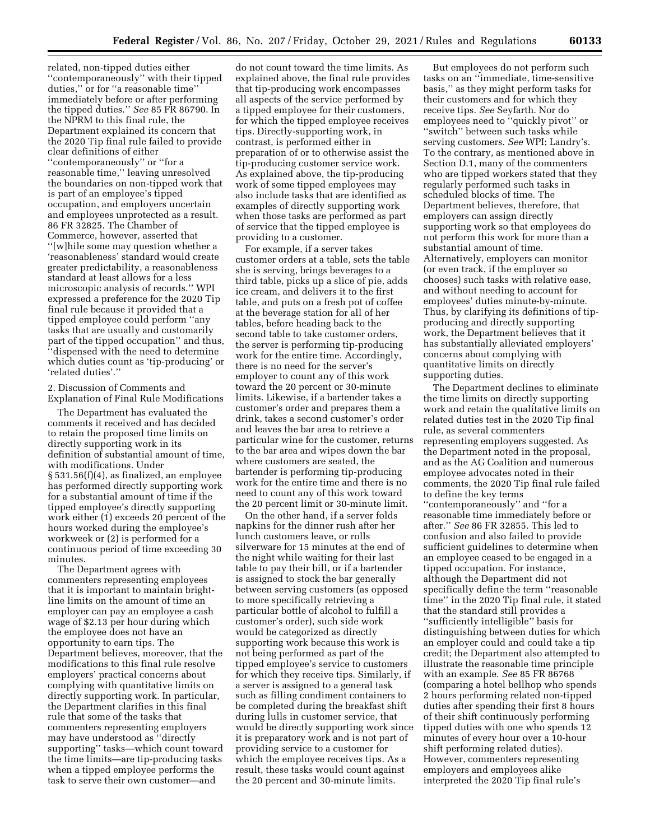related, non-tipped duties either ''contemporaneously'' with their tipped duties,'' or for ''a reasonable time'' immediately before or after performing the tipped duties.'' *See* 85 FR 86790. In the NPRM to this final rule, the Department explained its concern that the 2020 Tip final rule failed to provide clear definitions of either ''contemporaneously'' or ''for a reasonable time,'' leaving unresolved the boundaries on non-tipped work that is part of an employee's tipped occupation, and employers uncertain and employees unprotected as a result. 86 FR 32825. The Chamber of Commerce, however, asserted that ''[w]hile some may question whether a 'reasonableness' standard would create greater predictability, a reasonableness standard at least allows for a less microscopic analysis of records.'' WPI expressed a preference for the 2020 Tip final rule because it provided that a tipped employee could perform ''any tasks that are usually and customarily part of the tipped occupation'' and thus, ''dispensed with the need to determine which duties count as 'tip-producing' or 'related duties'.''

2. Discussion of Comments and Explanation of Final Rule Modifications

The Department has evaluated the comments it received and has decided to retain the proposed time limits on directly supporting work in its definition of substantial amount of time, with modifications. Under § 531.56(f)(4), as finalized, an employee has performed directly supporting work for a substantial amount of time if the tipped employee's directly supporting work either (1) exceeds 20 percent of the hours worked during the employee's workweek or (2) is performed for a continuous period of time exceeding 30 minutes.

The Department agrees with commenters representing employees that it is important to maintain brightline limits on the amount of time an employer can pay an employee a cash wage of \$2.13 per hour during which the employee does not have an opportunity to earn tips. The Department believes, moreover, that the modifications to this final rule resolve employers' practical concerns about complying with quantitative limits on directly supporting work. In particular, the Department clarifies in this final rule that some of the tasks that commenters representing employers may have understood as ''directly supporting'' tasks—which count toward the time limits—are tip-producing tasks when a tipped employee performs the task to serve their own customer—and

do not count toward the time limits. As explained above, the final rule provides that tip-producing work encompasses all aspects of the service performed by a tipped employee for their customers, for which the tipped employee receives tips. Directly-supporting work, in contrast, is performed either in preparation of or to otherwise assist the tip-producing customer service work. As explained above, the tip-producing work of some tipped employees may also include tasks that are identified as examples of directly supporting work when those tasks are performed as part of service that the tipped employee is providing to a customer.

For example, if a server takes customer orders at a table, sets the table she is serving, brings beverages to a third table, picks up a slice of pie, adds ice cream, and delivers it to the first table, and puts on a fresh pot of coffee at the beverage station for all of her tables, before heading back to the second table to take customer orders, the server is performing tip-producing work for the entire time. Accordingly, there is no need for the server's employer to count any of this work toward the 20 percent or 30-minute limits. Likewise, if a bartender takes a customer's order and prepares them a drink, takes a second customer's order and leaves the bar area to retrieve a particular wine for the customer, returns to the bar area and wipes down the bar where customers are seated, the bartender is performing tip-producing work for the entire time and there is no need to count any of this work toward the 20 percent limit or 30-minute limit.

On the other hand, if a server folds napkins for the dinner rush after her lunch customers leave, or rolls silverware for 15 minutes at the end of the night while waiting for their last table to pay their bill, or if a bartender is assigned to stock the bar generally between serving customers (as opposed to more specifically retrieving a particular bottle of alcohol to fulfill a customer's order), such side work would be categorized as directly supporting work because this work is not being performed as part of the tipped employee's service to customers for which they receive tips. Similarly, if a server is assigned to a general task such as filling condiment containers to be completed during the breakfast shift during lulls in customer service, that would be directly supporting work since it is preparatory work and is not part of providing service to a customer for which the employee receives tips. As a result, these tasks would count against the 20 percent and 30-minute limits.

But employees do not perform such tasks on an ''immediate, time-sensitive basis,'' as they might perform tasks for their customers and for which they receive tips. *See* Seyfarth. Nor do employees need to ''quickly pivot'' or ''switch'' between such tasks while serving customers. *See* WPI; Landry's. To the contrary, as mentioned above in Section D.1, many of the commenters who are tipped workers stated that they regularly performed such tasks in scheduled blocks of time. The Department believes, therefore, that employers can assign directly supporting work so that employees do not perform this work for more than a substantial amount of time. Alternatively, employers can monitor (or even track, if the employer so chooses) such tasks with relative ease, and without needing to account for employees' duties minute-by-minute. Thus, by clarifying its definitions of tipproducing and directly supporting work, the Department believes that it has substantially alleviated employers' concerns about complying with quantitative limits on directly supporting duties.

The Department declines to eliminate the time limits on directly supporting work and retain the qualitative limits on related duties test in the 2020 Tip final rule, as several commenters representing employers suggested. As the Department noted in the proposal, and as the AG Coalition and numerous employee advocates noted in their comments, the 2020 Tip final rule failed to define the key terms ''contemporaneously'' and ''for a reasonable time immediately before or after.'' *See* 86 FR 32855. This led to confusion and also failed to provide sufficient guidelines to determine when an employee ceased to be engaged in a tipped occupation. For instance, although the Department did not specifically define the term ''reasonable time'' in the 2020 Tip final rule, it stated that the standard still provides a ''sufficiently intelligible'' basis for distinguishing between duties for which an employer could and could take a tip credit; the Department also attempted to illustrate the reasonable time principle with an example. *See* 85 FR 86768 (comparing a hotel bellhop who spends 2 hours performing related non-tipped duties after spending their first 8 hours of their shift continuously performing tipped duties with one who spends 12 minutes of every hour over a 10-hour shift performing related duties). However, commenters representing employers and employees alike interpreted the 2020 Tip final rule's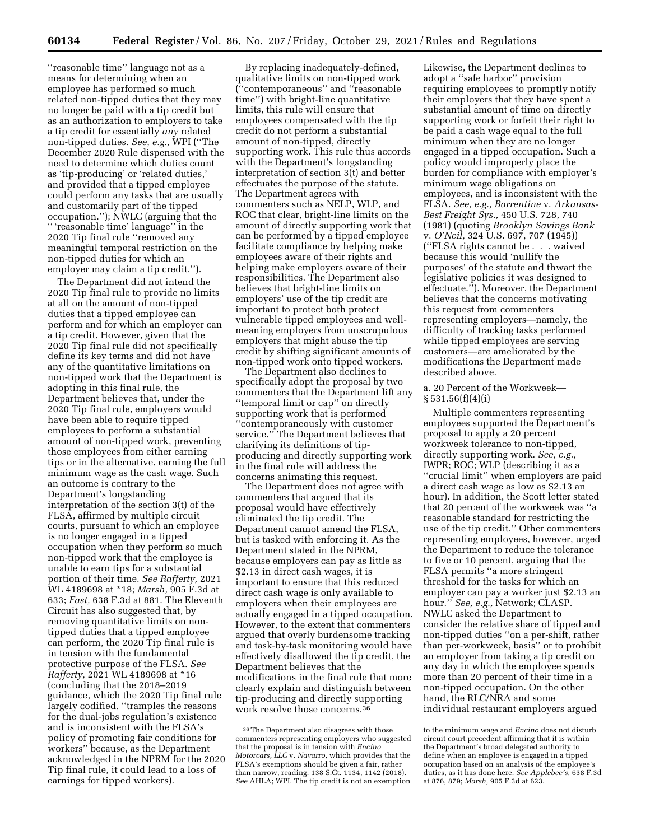''reasonable time'' language not as a means for determining when an employee has performed so much related non-tipped duties that they may no longer be paid with a tip credit but as an authorization to employers to take a tip credit for essentially *any* related non-tipped duties. *See, e.g.,* WPI (''The December 2020 Rule dispensed with the need to determine which duties count as 'tip-producing' or 'related duties,' and provided that a tipped employee could perform any tasks that are usually and customarily part of the tipped occupation.''); NWLC (arguing that the '' 'reasonable time' language'' in the 2020 Tip final rule ''removed any meaningful temporal restriction on the non-tipped duties for which an employer may claim a tip credit.'').

The Department did not intend the 2020 Tip final rule to provide no limits at all on the amount of non-tipped duties that a tipped employee can perform and for which an employer can a tip credit. However, given that the 2020 Tip final rule did not specifically define its key terms and did not have any of the quantitative limitations on non-tipped work that the Department is adopting in this final rule, the Department believes that, under the 2020 Tip final rule, employers would have been able to require tipped employees to perform a substantial amount of non-tipped work, preventing those employees from either earning tips or in the alternative, earning the full minimum wage as the cash wage. Such an outcome is contrary to the Department's longstanding interpretation of the section 3(t) of the FLSA, affirmed by multiple circuit courts, pursuant to which an employee is no longer engaged in a tipped occupation when they perform so much non-tipped work that the employee is unable to earn tips for a substantial portion of their time. *See Rafferty,* 2021 WL 4189698 at \*18; *Marsh,* 905 F.3d at 633; *Fast,* 638 F.3d at 881. The Eleventh Circuit has also suggested that, by removing quantitative limits on nontipped duties that a tipped employee can perform, the 2020 Tip final rule is in tension with the fundamental protective purpose of the FLSA. *See Rafferty,* 2021 WL 4189698 at \*16 (concluding that the 2018–2019 guidance, which the 2020 Tip final rule largely codified, ''tramples the reasons for the dual-jobs regulation's existence and is inconsistent with the FLSA's policy of promoting fair conditions for workers'' because, as the Department acknowledged in the NPRM for the 2020 Tip final rule, it could lead to a loss of earnings for tipped workers).

By replacing inadequately-defined, qualitative limits on non-tipped work (''contemporaneous'' and ''reasonable time'') with bright-line quantitative limits, this rule will ensure that employees compensated with the tip credit do not perform a substantial amount of non-tipped, directly supporting work. This rule thus accords with the Department's longstanding interpretation of section 3(t) and better effectuates the purpose of the statute. The Department agrees with commenters such as NELP, WLP, and ROC that clear, bright-line limits on the amount of directly supporting work that can be performed by a tipped employee facilitate compliance by helping make employees aware of their rights and helping make employers aware of their responsibilities. The Department also believes that bright-line limits on employers' use of the tip credit are important to protect both protect vulnerable tipped employees and wellmeaning employers from unscrupulous employers that might abuse the tip credit by shifting significant amounts of non-tipped work onto tipped workers.

The Department also declines to specifically adopt the proposal by two commenters that the Department lift any ''temporal limit or cap'' on directly supporting work that is performed ''contemporaneously with customer service.'' The Department believes that clarifying its definitions of tipproducing and directly supporting work in the final rule will address the concerns animating this request.

The Department does not agree with commenters that argued that its proposal would have effectively eliminated the tip credit. The Department cannot amend the FLSA, but is tasked with enforcing it. As the Department stated in the NPRM, because employers can pay as little as \$2.13 in direct cash wages, it is important to ensure that this reduced direct cash wage is only available to employers when their employees are actually engaged in a tipped occupation. However, to the extent that commenters argued that overly burdensome tracking and task-by-task monitoring would have effectively disallowed the tip credit, the Department believes that the modifications in the final rule that more clearly explain and distinguish between tip-producing and directly supporting work resolve those concerns.36

Likewise, the Department declines to adopt a ''safe harbor'' provision requiring employees to promptly notify their employers that they have spent a substantial amount of time on directly supporting work or forfeit their right to be paid a cash wage equal to the full minimum when they are no longer engaged in a tipped occupation. Such a policy would improperly place the burden for compliance with employer's minimum wage obligations on employees, and is inconsistent with the FLSA. *See, e.g., Barrentine* v. *Arkansas-Best Freight Sys.,* 450 U.S. 728, 740 (1981) (quoting *Brooklyn Savings Bank*  v. *O'Neil,* 324 U.S. 697, 707 (1945)) (''FLSA rights cannot be . . . waived because this would 'nullify the purposes' of the statute and thwart the legislative policies it was designed to effectuate.''). Moreover, the Department believes that the concerns motivating this request from commenters representing employers—namely, the difficulty of tracking tasks performed while tipped employees are serving customers—are ameliorated by the modifications the Department made described above.

a. 20 Percent of the Workweek—  $§ 531.56(f)(4)(i)$ 

Multiple commenters representing employees supported the Department's proposal to apply a 20 percent workweek tolerance to non-tipped, directly supporting work. *See, e.g.,*  IWPR; ROC; WLP (describing it as a ''crucial limit'' when employers are paid a direct cash wage as low as \$2.13 an hour). In addition, the Scott letter stated that 20 percent of the workweek was ''a reasonable standard for restricting the use of the tip credit.'' Other commenters representing employees, however, urged the Department to reduce the tolerance to five or 10 percent, arguing that the FLSA permits ''a more stringent threshold for the tasks for which an employer can pay a worker just \$2.13 an hour.'' *See, e.g.,* Network; CLASP. NWLC asked the Department to consider the relative share of tipped and non-tipped duties ''on a per-shift, rather than per-workweek, basis'' or to prohibit an employer from taking a tip credit on any day in which the employee spends more than 20 percent of their time in a non-tipped occupation. On the other hand, the RLC/NRA and some individual restaurant employers argued

<sup>36</sup>The Department also disagrees with those commenters representing employers who suggested that the proposal is in tension with *Encino Motorcars, LLC* v. *Navarro,* which provides that the FLSA's exemptions should be given a fair, rather than narrow, reading. 138 S.Ct. 1134, 1142 (2018). *See* AHLA; WPI. The tip credit is not an exemption

to the minimum wage and *Encino* does not disturb circuit court precedent affirming that it is within the Department's broad delegated authority to define when an employee is engaged in a tipped occupation based on an analysis of the employee's duties, as it has done here. *See Applebee's,* 638 F.3d at 876, 879; *Marsh,* 905 F.3d at 623.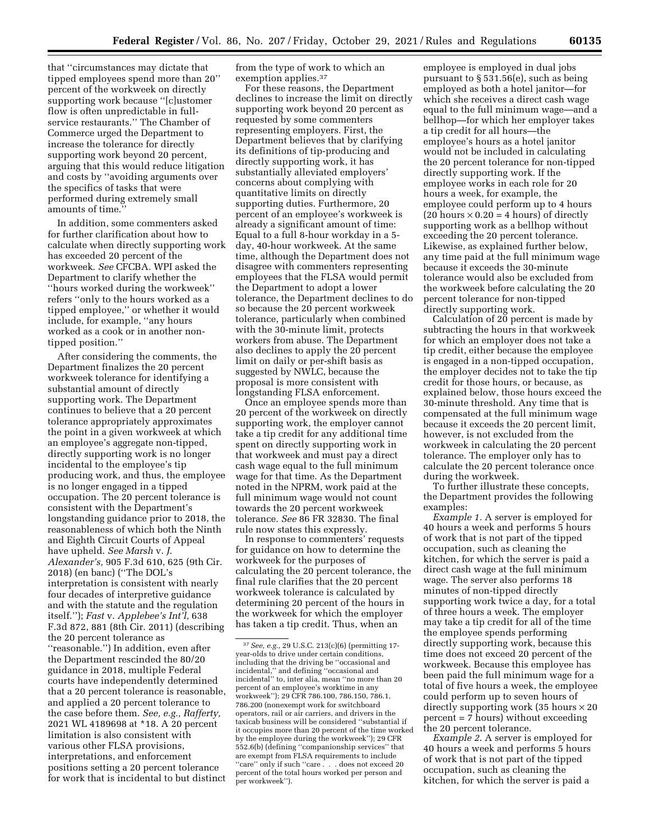that ''circumstances may dictate that tipped employees spend more than 20'' percent of the workweek on directly supporting work because ''[c]ustomer flow is often unpredictable in fullservice restaurants.'' The Chamber of Commerce urged the Department to increase the tolerance for directly supporting work beyond 20 percent, arguing that this would reduce litigation and costs by ''avoiding arguments over the specifics of tasks that were performed during extremely small amounts of time.

In addition, some commenters asked for further clarification about how to calculate when directly supporting work has exceeded 20 percent of the workweek. *See* CFCBA. WPI asked the Department to clarify whether the ''hours worked during the workweek'' refers ''only to the hours worked as a tipped employee,'' or whether it would include, for example, ''any hours worked as a cook or in another nontipped position.''

After considering the comments, the Department finalizes the 20 percent workweek tolerance for identifying a substantial amount of directly supporting work. The Department continues to believe that a 20 percent tolerance appropriately approximates the point in a given workweek at which an employee's aggregate non-tipped, directly supporting work is no longer incidental to the employee's tip producing work, and thus, the employee is no longer engaged in a tipped occupation. The 20 percent tolerance is consistent with the Department's longstanding guidance prior to 2018, the reasonableness of which both the Ninth and Eighth Circuit Courts of Appeal have upheld. *See Marsh* v. *J. Alexander's,* 905 F.3d 610, 625 (9th Cir. 2018) (en banc) (''The DOL's interpretation is consistent with nearly four decades of interpretive guidance and with the statute and the regulation itself.''); *Fast* v. *Applebee's Int'l,* 638 F.3d 872, 881 (8th Cir. 2011) (describing the 20 percent tolerance as ''reasonable.'') In addition, even after the Department rescinded the 80/20 guidance in 2018, multiple Federal courts have independently determined that a 20 percent tolerance is reasonable, and applied a 20 percent tolerance to the case before them. *See, e.g., Rafferty,*  2021 WL 4189698 at \*18. A 20 percent limitation is also consistent with various other FLSA provisions, interpretations, and enforcement positions setting a 20 percent tolerance for work that is incidental to but distinct

from the type of work to which an exemption applies.37

For these reasons, the Department declines to increase the limit on directly supporting work beyond 20 percent as requested by some commenters representing employers. First, the Department believes that by clarifying its definitions of tip-producing and directly supporting work, it has substantially alleviated employers' concerns about complying with quantitative limits on directly supporting duties. Furthermore, 20 percent of an employee's workweek is already a significant amount of time: Equal to a full 8-hour workday in a 5 day, 40-hour workweek. At the same time, although the Department does not disagree with commenters representing employees that the FLSA would permit the Department to adopt a lower tolerance, the Department declines to do so because the 20 percent workweek tolerance, particularly when combined with the 30-minute limit, protects workers from abuse. The Department also declines to apply the 20 percent limit on daily or per-shift basis as suggested by NWLC, because the proposal is more consistent with longstanding FLSA enforcement.

Once an employee spends more than 20 percent of the workweek on directly supporting work, the employer cannot take a tip credit for any additional time spent on directly supporting work in that workweek and must pay a direct cash wage equal to the full minimum wage for that time. As the Department noted in the NPRM, work paid at the full minimum wage would not count towards the 20 percent workweek tolerance. *See* 86 FR 32830. The final rule now states this expressly.

In response to commenters' requests for guidance on how to determine the workweek for the purposes of calculating the 20 percent tolerance, the final rule clarifies that the 20 percent workweek tolerance is calculated by determining 20 percent of the hours in the workweek for which the employer has taken a tip credit. Thus, when an

employee is employed in dual jobs pursuant to § 531.56(e), such as being employed as both a hotel janitor—for which she receives a direct cash wage equal to the full minimum wage—and a bellhop—for which her employer takes a tip credit for all hours—the employee's hours as a hotel janitor would not be included in calculating the 20 percent tolerance for non-tipped directly supporting work. If the employee works in each role for 20 hours a week, for example, the employee could perform up to 4 hours  $(20 \text{ hours} \times 0.20 = 4 \text{ hours})$  of directly supporting work as a bellhop without exceeding the 20 percent tolerance. Likewise, as explained further below, any time paid at the full minimum wage because it exceeds the 30-minute tolerance would also be excluded from the workweek before calculating the 20 percent tolerance for non-tipped directly supporting work.

Calculation of 20 percent is made by subtracting the hours in that workweek for which an employer does not take a tip credit, either because the employee is engaged in a non-tipped occupation, the employer decides not to take the tip credit for those hours, or because, as explained below, those hours exceed the 30-minute threshold. Any time that is compensated at the full minimum wage because it exceeds the 20 percent limit, however, is not excluded from the workweek in calculating the 20 percent tolerance. The employer only has to calculate the 20 percent tolerance once during the workweek.

To further illustrate these concepts, the Department provides the following examples:

*Example 1.* A server is employed for 40 hours a week and performs 5 hours of work that is not part of the tipped occupation, such as cleaning the kitchen, for which the server is paid a direct cash wage at the full minimum wage. The server also performs 18 minutes of non-tipped directly supporting work twice a day, for a total of three hours a week. The employer may take a tip credit for all of the time the employee spends performing directly supporting work, because this time does not exceed 20 percent of the workweek. Because this employee has been paid the full minimum wage for a total of five hours a week, the employee could perform up to seven hours of directly supporting work (35 hours  $\times$  20 percent = 7 hours) without exceeding the 20 percent tolerance.

*Example 2.* A server is employed for 40 hours a week and performs 5 hours of work that is not part of the tipped occupation, such as cleaning the kitchen, for which the server is paid a

<sup>37</sup>*See, e.g.,* 29 U.S.C. 213(c)(6) (permitting 17 year-olds to drive under certain conditions, including that the driving be ''occasional and incidental,'' and defining ''occasional and incidental'' to, inter alia, mean ''no more than 20 percent of an employee's worktime in any workweek''); 29 CFR 786.100, 786.150, 786.1, 786.200 (nonexempt work for switchboard operators, rail or air carriers, and drivers in the taxicab business will be considered ''substantial if it occupies more than 20 percent of the time worked by the employee during the workweek''); 29 CFR 552.6(b) (defining ''companionship services'' that are exempt from FLSA requirements to include "care" only if such "care . . . does not exceed 20 percent of the total hours worked per person and per workweek'').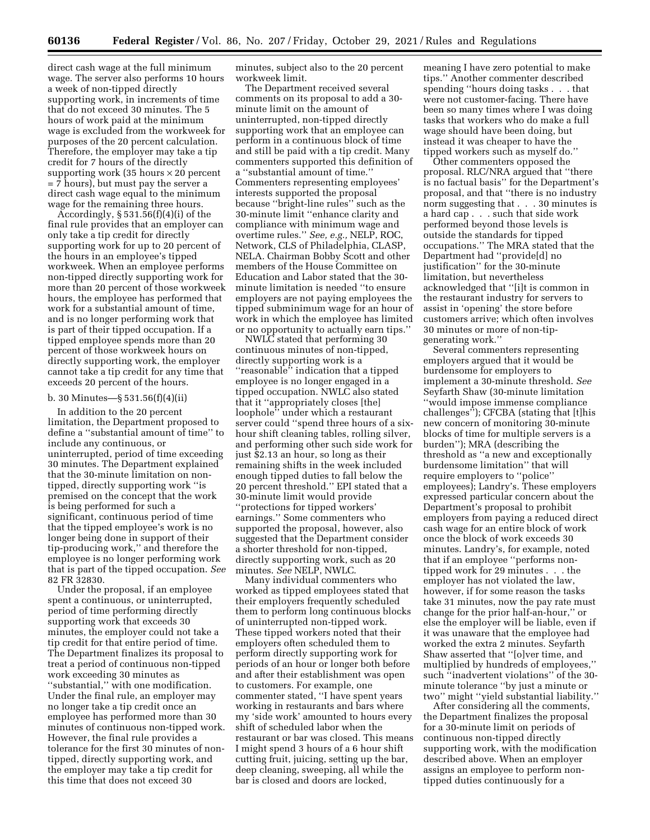direct cash wage at the full minimum wage. The server also performs 10 hours a week of non-tipped directly supporting work, in increments of time that do not exceed 30 minutes. The 5 hours of work paid at the minimum wage is excluded from the workweek for purposes of the 20 percent calculation. Therefore, the employer may take a tip credit for 7 hours of the directly supporting work (35 hours  $\times$  20 percent = 7 hours), but must pay the server a direct cash wage equal to the minimum wage for the remaining three hours.

Accordingly, § 531.56(f)(4)(i) of the final rule provides that an employer can only take a tip credit for directly supporting work for up to 20 percent of the hours in an employee's tipped workweek. When an employee performs non-tipped directly supporting work for more than 20 percent of those workweek hours, the employee has performed that work for a substantial amount of time, and is no longer performing work that is part of their tipped occupation. If a tipped employee spends more than 20 percent of those workweek hours on directly supporting work, the employer cannot take a tip credit for any time that exceeds 20 percent of the hours.

#### b. 30 Minutes—§ 531.56(f)(4)(ii)

In addition to the 20 percent limitation, the Department proposed to define a ''substantial amount of time'' to include any continuous, or uninterrupted, period of time exceeding 30 minutes. The Department explained that the 30-minute limitation on nontipped, directly supporting work ''is premised on the concept that the work is being performed for such a significant, continuous period of time that the tipped employee's work is no longer being done in support of their tip-producing work,'' and therefore the employee is no longer performing work that is part of the tipped occupation. *See*  82 FR 32830.

Under the proposal, if an employee spent a continuous, or uninterrupted, period of time performing directly supporting work that exceeds 30 minutes, the employer could not take a tip credit for that entire period of time. The Department finalizes its proposal to treat a period of continuous non-tipped work exceeding 30 minutes as ''substantial,'' with one modification. Under the final rule, an employer may no longer take a tip credit once an employee has performed more than 30 minutes of continuous non-tipped work. However, the final rule provides a tolerance for the first 30 minutes of nontipped, directly supporting work, and the employer may take a tip credit for this time that does not exceed 30

minutes, subject also to the 20 percent workweek limit.

The Department received several comments on its proposal to add a 30 minute limit on the amount of uninterrupted, non-tipped directly supporting work that an employee can perform in a continuous block of time and still be paid with a tip credit. Many commenters supported this definition of a ''substantial amount of time.'' Commenters representing employees' interests supported the proposal because ''bright-line rules'' such as the 30-minute limit ''enhance clarity and compliance with minimum wage and overtime rules.'' *See, e.g.,* NELP, ROC, Network, CLS of Philadelphia, CLASP, NELA. Chairman Bobby Scott and other members of the House Committee on Education and Labor stated that the 30 minute limitation is needed ''to ensure employers are not paying employees the tipped subminimum wage for an hour of work in which the employee has limited or no opportunity to actually earn tips.''

NWLC stated that performing 30 continuous minutes of non-tipped, directly supporting work is a ''reasonable'' indication that a tipped employee is no longer engaged in a tipped occupation. NWLC also stated that it ''appropriately closes [the] loophole'' under which a restaurant server could ''spend three hours of a sixhour shift cleaning tables, rolling silver, and performing other such side work for just \$2.13 an hour, so long as their remaining shifts in the week included enough tipped duties to fall below the 20 percent threshold.'' EPI stated that a 30-minute limit would provide ''protections for tipped workers' earnings.'' Some commenters who supported the proposal, however, also suggested that the Department consider a shorter threshold for non-tipped, directly supporting work, such as 20 minutes. *See* NELP, NWLC.

Many individual commenters who worked as tipped employees stated that their employers frequently scheduled them to perform long continuous blocks of uninterrupted non-tipped work. These tipped workers noted that their employers often scheduled them to perform directly supporting work for periods of an hour or longer both before and after their establishment was open to customers. For example, one commenter stated, ''I have spent years working in restaurants and bars where my 'side work' amounted to hours every shift of scheduled labor when the restaurant or bar was closed. This means I might spend 3 hours of a 6 hour shift cutting fruit, juicing, setting up the bar, deep cleaning, sweeping, all while the bar is closed and doors are locked,

meaning I have zero potential to make tips.'' Another commenter described spending ''hours doing tasks . . . that were not customer-facing. There have been so many times where I was doing tasks that workers who do make a full wage should have been doing, but instead it was cheaper to have the tipped workers such as myself do.''

Other commenters opposed the proposal. RLC/NRA argued that ''there is no factual basis'' for the Department's proposal, and that ''there is no industry norm suggesting that . . . 30 minutes is a hard cap . . . such that side work performed beyond those levels is outside the standards for tipped occupations.'' The MRA stated that the Department had ''provide[d] no justification'' for the 30-minute limitation, but nevertheless acknowledged that ''[i]t is common in the restaurant industry for servers to assist in 'opening' the store before customers arrive; which often involves 30 minutes or more of non-tipgenerating work.''

Several commenters representing employers argued that it would be burdensome for employers to implement a 30-minute threshold. *See*  Seyfarth Shaw (30-minute limitation ''would impose immense compliance challenges''); CFCBA (stating that [t]his new concern of monitoring 30-minute blocks of time for multiple servers is a burden''); MRA (describing the threshold as ''a new and exceptionally burdensome limitation'' that will require employers to ''police'' employees); Landry's. These employers expressed particular concern about the Department's proposal to prohibit employers from paying a reduced direct cash wage for an entire block of work once the block of work exceeds 30 minutes. Landry's, for example, noted that if an employee ''performs nontipped work for 29 minutes . . . the employer has not violated the law, however, if for some reason the tasks take 31 minutes, now the pay rate must change for the prior half-an-hour,'' or else the employer will be liable, even if it was unaware that the employee had worked the extra 2 minutes. Seyfarth Shaw asserted that ''[o]ver time, and multiplied by hundreds of employees,'' such "inadvertent violations" of the 30minute tolerance ''by just a minute or two'' might ''yield substantial liability.''

After considering all the comments, the Department finalizes the proposal for a 30-minute limit on periods of continuous non-tipped directly supporting work, with the modification described above. When an employer assigns an employee to perform nontipped duties continuously for a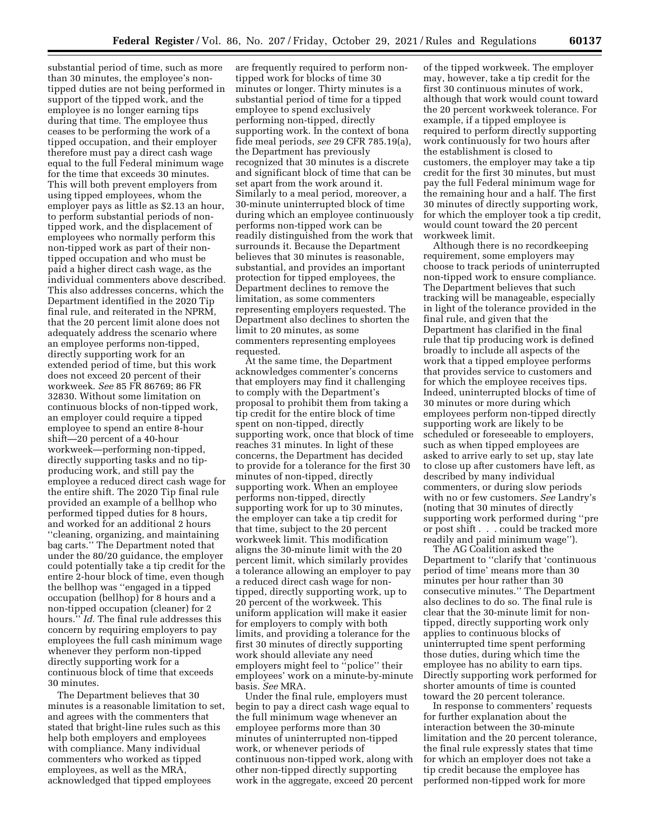substantial period of time, such as more than 30 minutes, the employee's nontipped duties are not being performed in support of the tipped work, and the employee is no longer earning tips during that time. The employee thus ceases to be performing the work of a tipped occupation, and their employer therefore must pay a direct cash wage equal to the full Federal minimum wage for the time that exceeds 30 minutes. This will both prevent employers from using tipped employees, whom the employer pays as little as \$2.13 an hour, to perform substantial periods of nontipped work, and the displacement of employees who normally perform this non-tipped work as part of their nontipped occupation and who must be paid a higher direct cash wage, as the individual commenters above described. This also addresses concerns, which the Department identified in the 2020 Tip final rule, and reiterated in the NPRM, that the 20 percent limit alone does not adequately address the scenario where an employee performs non-tipped, directly supporting work for an extended period of time, but this work does not exceed 20 percent of their workweek. *See* 85 FR 86769; 86 FR 32830. Without some limitation on continuous blocks of non-tipped work, an employer could require a tipped employee to spend an entire 8-hour shift—20 percent of a 40-hour workweek—performing non-tipped, directly supporting tasks and no tipproducing work, and still pay the employee a reduced direct cash wage for the entire shift. The 2020 Tip final rule provided an example of a bellhop who performed tipped duties for 8 hours, and worked for an additional 2 hours ''cleaning, organizing, and maintaining bag carts.'' The Department noted that under the 80/20 guidance, the employer could potentially take a tip credit for the entire 2-hour block of time, even though the bellhop was ''engaged in a tipped occupation (bellhop) for 8 hours and a non-tipped occupation (cleaner) for 2 hours.'' *Id.* The final rule addresses this concern by requiring employers to pay employees the full cash minimum wage whenever they perform non-tipped directly supporting work for a continuous block of time that exceeds 30 minutes.

The Department believes that 30 minutes is a reasonable limitation to set, and agrees with the commenters that stated that bright-line rules such as this help both employers and employees with compliance. Many individual commenters who worked as tipped employees, as well as the MRA, acknowledged that tipped employees

are frequently required to perform nontipped work for blocks of time 30 minutes or longer. Thirty minutes is a substantial period of time for a tipped employee to spend exclusively performing non-tipped, directly supporting work. In the context of bona fide meal periods, *see* 29 CFR 785.19(a), the Department has previously recognized that 30 minutes is a discrete and significant block of time that can be set apart from the work around it. Similarly to a meal period, moreover, a 30-minute uninterrupted block of time during which an employee continuously performs non-tipped work can be readily distinguished from the work that surrounds it. Because the Department believes that 30 minutes is reasonable, substantial, and provides an important protection for tipped employees, the Department declines to remove the limitation, as some commenters representing employers requested. The Department also declines to shorten the limit to 20 minutes, as some commenters representing employees requested.

At the same time, the Department acknowledges commenter's concerns that employers may find it challenging to comply with the Department's proposal to prohibit them from taking a tip credit for the entire block of time spent on non-tipped, directly supporting work, once that block of time reaches 31 minutes. In light of these concerns, the Department has decided to provide for a tolerance for the first 30 minutes of non-tipped, directly supporting work. When an employee performs non-tipped, directly supporting work for up to 30 minutes, the employer can take a tip credit for that time, subject to the 20 percent workweek limit. This modification aligns the 30-minute limit with the 20 percent limit, which similarly provides a tolerance allowing an employer to pay a reduced direct cash wage for nontipped, directly supporting work, up to 20 percent of the workweek. This uniform application will make it easier for employers to comply with both limits, and providing a tolerance for the first 30 minutes of directly supporting work should alleviate any need employers might feel to ''police'' their employees' work on a minute-by-minute basis. *See* MRA.

Under the final rule, employers must begin to pay a direct cash wage equal to the full minimum wage whenever an employee performs more than 30 minutes of uninterrupted non-tipped work, or whenever periods of continuous non-tipped work, along with other non-tipped directly supporting work in the aggregate, exceed 20 percent

of the tipped workweek. The employer may, however, take a tip credit for the first 30 continuous minutes of work, although that work would count toward the 20 percent workweek tolerance. For example, if a tipped employee is required to perform directly supporting work continuously for two hours after the establishment is closed to customers, the employer may take a tip credit for the first 30 minutes, but must pay the full Federal minimum wage for the remaining hour and a half. The first 30 minutes of directly supporting work, for which the employer took a tip credit, would count toward the 20 percent workweek limit.

Although there is no recordkeeping requirement, some employers may choose to track periods of uninterrupted non-tipped work to ensure compliance. The Department believes that such tracking will be manageable, especially in light of the tolerance provided in the final rule, and given that the Department has clarified in the final rule that tip producing work is defined broadly to include all aspects of the work that a tipped employee performs that provides service to customers and for which the employee receives tips. Indeed, uninterrupted blocks of time of 30 minutes or more during which employees perform non-tipped directly supporting work are likely to be scheduled or foreseeable to employers, such as when tipped employees are asked to arrive early to set up, stay late to close up after customers have left, as described by many individual commenters, or during slow periods with no or few customers. *See* Landry's (noting that 30 minutes of directly supporting work performed during ''pre or post shift . . . could be tracked more readily and paid minimum wage'').

The AG Coalition asked the Department to ''clarify that 'continuous period of time' means more than 30 minutes per hour rather than 30 consecutive minutes.'' The Department also declines to do so. The final rule is clear that the 30-minute limit for nontipped, directly supporting work only applies to continuous blocks of uninterrupted time spent performing those duties, during which time the employee has no ability to earn tips. Directly supporting work performed for shorter amounts of time is counted toward the 20 percent tolerance.

In response to commenters' requests for further explanation about the interaction between the 30-minute limitation and the 20 percent tolerance, the final rule expressly states that time for which an employer does not take a tip credit because the employee has performed non-tipped work for more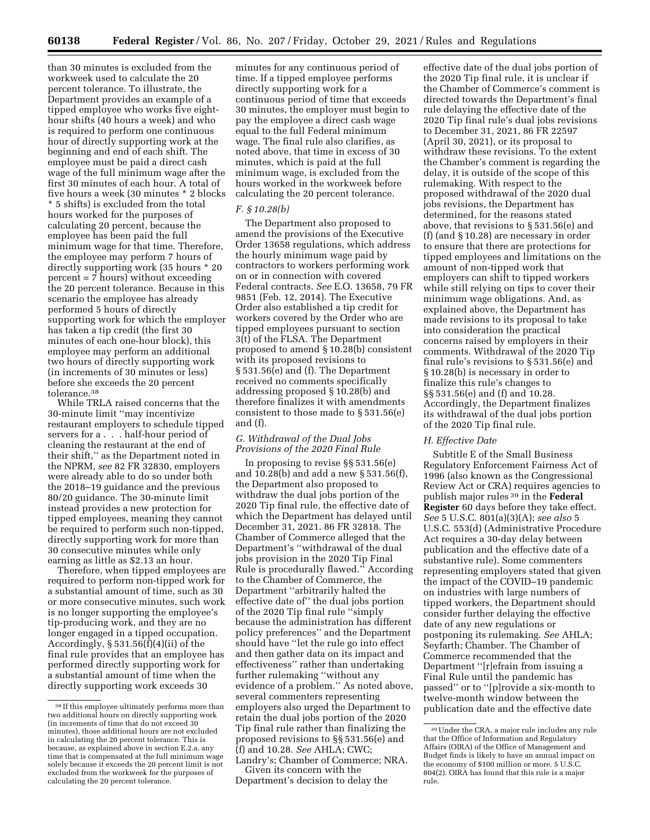than 30 minutes is excluded from the workweek used to calculate the 20 percent tolerance. To illustrate, the Department provides an example of a tipped employee who works five eighthour shifts (40 hours a week) and who is required to perform one continuous hour of directly supporting work at the beginning and end of each shift. The employee must be paid a direct cash wage of the full minimum wage after the first 30 minutes of each hour. A total of five hours a week (30 minutes \* 2 blocks \* 5 shifts) is excluded from the total hours worked for the purposes of calculating 20 percent, because the employee has been paid the full minimum wage for that time. Therefore, the employee may perform 7 hours of directly supporting work (35 hours \* 20 percent = 7 hours) without exceeding the 20 percent tolerance. Because in this scenario the employee has already performed 5 hours of directly supporting work for which the employer has taken a tip credit (the first 30 minutes of each one-hour block), this employee may perform an additional two hours of directly supporting work (in increments of 30 minutes or less) before she exceeds the 20 percent tolerance.38

While TRLA raised concerns that the 30-minute limit ''may incentivize restaurant employers to schedule tipped servers for a . . . half-hour period of cleaning the restaurant at the end of their shift,'' as the Department noted in the NPRM, *see* 82 FR 32830, employers were already able to do so under both the 2018–19 guidance and the previous 80/20 guidance. The 30-minute limit instead provides a new protection for tipped employees, meaning they cannot be required to perform such non-tipped, directly supporting work for more than 30 consecutive minutes while only earning as little as \$2.13 an hour.

Therefore, when tipped employees are required to perform non-tipped work for a substantial amount of time, such as 30 or more consecutive minutes, such work is no longer supporting the employee's tip-producing work, and they are no longer engaged in a tipped occupation. Accordingly,  $\S 531.56(f)(4)(ii)$  of the final rule provides that an employee has performed directly supporting work for a substantial amount of time when the directly supporting work exceeds 30

minutes for any continuous period of time. If a tipped employee performs directly supporting work for a continuous period of time that exceeds 30 minutes, the employer must begin to pay the employee a direct cash wage equal to the full Federal minimum wage. The final rule also clarifies, as noted above, that time in excess of 30 minutes, which is paid at the full minimum wage, is excluded from the hours worked in the workweek before calculating the 20 percent tolerance.

#### *F. § 10.28(b)*

The Department also proposed to amend the provisions of the Executive Order 13658 regulations, which address the hourly minimum wage paid by contractors to workers performing work on or in connection with covered Federal contracts. *See* E.O. 13658, 79 FR 9851 (Feb. 12, 2014). The Executive Order also established a tip credit for workers covered by the Order who are tipped employees pursuant to section 3(t) of the FLSA. The Department proposed to amend § 10.28(b) consistent with its proposed revisions to § 531.56(e) and (f). The Department received no comments specifically addressing proposed § 10.28(b) and therefore finalizes it with amendments consistent to those made to § 531.56(e) and (f).

# *G. Withdrawal of the Dual Jobs Provisions of the 2020 Final Rule*

In proposing to revise §§ 531.56(e) and 10.28(b) and add a new § 531.56(f), the Department also proposed to withdraw the dual jobs portion of the 2020 Tip final rule, the effective date of which the Department has delayed until December 31, 2021. 86 FR 32818. The Chamber of Commerce alleged that the Department's ''withdrawal of the dual jobs provision in the 2020 Tip Final Rule is procedurally flawed.'' According to the Chamber of Commerce, the Department ''arbitrarily halted the effective date of'' the dual jobs portion of the 2020 Tip final rule ''simply because the administration has different policy preferences'' and the Department should have ''let the rule go into effect and then gather data on its impact and effectiveness'' rather than undertaking further rulemaking ''without any evidence of a problem.'' As noted above, several commenters representing employers also urged the Department to retain the dual jobs portion of the 2020 Tip final rule rather than finalizing the proposed revisions to §§ 531.56(e) and (f) and 10.28. *See* AHLA; CWC;

Landry's; Chamber of Commerce; NRA. Given its concern with the

Department's decision to delay the

effective date of the dual jobs portion of the 2020 Tip final rule, it is unclear if the Chamber of Commerce's comment is directed towards the Department's final rule delaying the effective date of the 2020 Tip final rule's dual jobs revisions to December 31, 2021, 86 FR 22597 (April 30, 2021), or its proposal to withdraw these revisions. To the extent the Chamber's comment is regarding the delay, it is outside of the scope of this rulemaking. With respect to the proposed withdrawal of the 2020 dual jobs revisions, the Department has determined, for the reasons stated above, that revisions to § 531.56(e) and (f) (and § 10.28) are necessary in order to ensure that there are protections for tipped employees and limitations on the amount of non-tipped work that employers can shift to tipped workers while still relying on tips to cover their minimum wage obligations. And, as explained above, the Department has made revisions to its proposal to take into consideration the practical concerns raised by employers in their comments. Withdrawal of the 2020 Tip final rule's revisions to § 531.56(e) and § 10.28(b) is necessary in order to finalize this rule's changes to §§ 531.56(e) and (f) and 10.28. Accordingly, the Department finalizes its withdrawal of the dual jobs portion of the 2020 Tip final rule.

#### *H. Effective Date*

Subtitle E of the Small Business Regulatory Enforcement Fairness Act of 1996 (also known as the Congressional Review Act or CRA) requires agencies to publish major rules 39 in the **Federal Register** 60 days before they take effect. *See* 5 U.S.C. 801(a)(3)(A); *see also* 5 U.S.C. 553(d) (Administrative Procedure Act requires a 30-day delay between publication and the effective date of a substantive rule). Some commenters representing employers stated that given the impact of the COVID–19 pandemic on industries with large numbers of tipped workers, the Department should consider further delaying the effective date of any new regulations or postponing its rulemaking. *See* AHLA; Seyfarth; Chamber. The Chamber of Commerce recommended that the Department ''[r]efrain from issuing a Final Rule until the pandemic has passed'' or to ''[p]rovide a six-month to twelve-month window between the publication date and the effective date

 $^{\rm 38}$  If this employee ultimately performs more than two additional hours on directly supporting work (in increments of time that do not exceed 30 minutes), those additional hours are not excluded in calculating the 20 percent tolerance. This is because, as explained above in section E.2.a, any time that is compensated at the full minimum wage solely because it exceeds the 20 percent limit is not excluded from the workweek for the purposes of calculating the 20 percent tolerance.

<sup>39</sup>Under the CRA, a major rule includes any rule that the Office of Information and Regulatory Affairs (OIRA) of the Office of Management and Budget finds is likely to have an annual impact on the economy of \$100 million or more. 5 U.S.C. 804(2). OIRA has found that this rule is a major rule.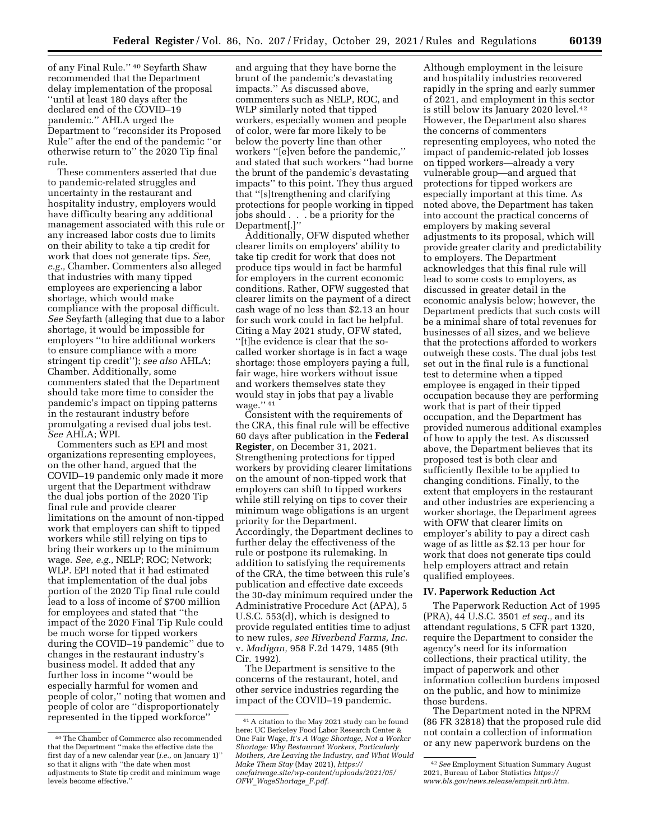of any Final Rule.'' 40 Seyfarth Shaw recommended that the Department delay implementation of the proposal ''until at least 180 days after the declared end of the COVID–19 pandemic.'' AHLA urged the Department to ''reconsider its Proposed Rule'' after the end of the pandemic ''or otherwise return to'' the 2020 Tip final rule.

These commenters asserted that due to pandemic-related struggles and uncertainty in the restaurant and hospitality industry, employers would have difficulty bearing any additional management associated with this rule or any increased labor costs due to limits on their ability to take a tip credit for work that does not generate tips. *See, e.g.,* Chamber. Commenters also alleged that industries with many tipped employees are experiencing a labor shortage, which would make compliance with the proposal difficult. *See* Seyfarth (alleging that due to a labor shortage, it would be impossible for employers ''to hire additional workers to ensure compliance with a more stringent tip credit''); *see also* AHLA; Chamber. Additionally, some commenters stated that the Department should take more time to consider the pandemic's impact on tipping patterns in the restaurant industry before promulgating a revised dual jobs test. *See* AHLA; WPI.

Commenters such as EPI and most organizations representing employees, on the other hand, argued that the COVID–19 pandemic only made it more urgent that the Department withdraw the dual jobs portion of the 2020 Tip final rule and provide clearer limitations on the amount of non-tipped work that employers can shift to tipped workers while still relying on tips to bring their workers up to the minimum wage. *See, e.g.,* NELP; ROC; Network; WLP. EPI noted that it had estimated that implementation of the dual jobs portion of the 2020 Tip final rule could lead to a loss of income of \$700 million for employees and stated that ''the impact of the 2020 Final Tip Rule could be much worse for tipped workers during the COVID–19 pandemic'' due to changes in the restaurant industry's business model. It added that any further loss in income ''would be especially harmful for women and people of color,'' noting that women and people of color are ''disproportionately represented in the tipped workforce''

and arguing that they have borne the brunt of the pandemic's devastating impacts.'' As discussed above, commenters such as NELP, ROC, and WLP similarly noted that tipped workers, especially women and people of color, were far more likely to be below the poverty line than other workers ''[e]ven before the pandemic,'' and stated that such workers ''had borne the brunt of the pandemic's devastating impacts'' to this point. They thus argued that ''[s]trengthening and clarifying protections for people working in tipped jobs should . . . be a priority for the Department[.]''

Additionally, OFW disputed whether clearer limits on employers' ability to take tip credit for work that does not produce tips would in fact be harmful for employers in the current economic conditions. Rather, OFW suggested that clearer limits on the payment of a direct cash wage of no less than \$2.13 an hour for such work could in fact be helpful. Citing a May 2021 study, OFW stated, ''[t]he evidence is clear that the socalled worker shortage is in fact a wage shortage: those employers paying a full, fair wage, hire workers without issue and workers themselves state they would stay in jobs that pay a livable wage.'' 41

Consistent with the requirements of the CRA, this final rule will be effective 60 days after publication in the **Federal Register**, on December 31, 2021. Strengthening protections for tipped workers by providing clearer limitations on the amount of non-tipped work that employers can shift to tipped workers while still relying on tips to cover their minimum wage obligations is an urgent priority for the Department. Accordingly, the Department declines to further delay the effectiveness of the rule or postpone its rulemaking. In addition to satisfying the requirements of the CRA, the time between this rule's publication and effective date exceeds the 30-day minimum required under the Administrative Procedure Act (APA), 5 U.S.C. 553(d), which is designed to provide regulated entities time to adjust to new rules, *see Riverbend Farms, Inc.*  v. *Madigan,* 958 F.2d 1479, 1485 (9th Cir. 1992).

The Department is sensitive to the concerns of the restaurant, hotel, and other service industries regarding the impact of the COVID–19 pandemic.

Although employment in the leisure and hospitality industries recovered rapidly in the spring and early summer of 2021, and employment in this sector is still below its January 2020 level.42 However, the Department also shares the concerns of commenters representing employees, who noted the impact of pandemic-related job losses on tipped workers—already a very vulnerable group—and argued that protections for tipped workers are especially important at this time. As noted above, the Department has taken into account the practical concerns of employers by making several adjustments to its proposal, which will provide greater clarity and predictability to employers. The Department acknowledges that this final rule will lead to some costs to employers, as discussed in greater detail in the economic analysis below; however, the Department predicts that such costs will be a minimal share of total revenues for businesses of all sizes, and we believe that the protections afforded to workers outweigh these costs. The dual jobs test set out in the final rule is a functional test to determine when a tipped employee is engaged in their tipped occupation because they are performing work that is part of their tipped occupation, and the Department has provided numerous additional examples of how to apply the test. As discussed above, the Department believes that its proposed test is both clear and sufficiently flexible to be applied to changing conditions. Finally, to the extent that employers in the restaurant and other industries are experiencing a worker shortage, the Department agrees with OFW that clearer limits on employer's ability to pay a direct cash wage of as little as \$2.13 per hour for work that does not generate tips could help employers attract and retain qualified employees.

#### **IV. Paperwork Reduction Act**

The Paperwork Reduction Act of 1995 (PRA), 44 U.S.C. 3501 *et seq.,* and its attendant regulations, 5 CFR part 1320, require the Department to consider the agency's need for its information collections, their practical utility, the impact of paperwork and other information collection burdens imposed on the public, and how to minimize those burdens.

The Department noted in the NPRM (86 FR 32818) that the proposed rule did not contain a collection of information or any new paperwork burdens on the

<sup>40</sup>The Chamber of Commerce also recommended that the Department ''make the effective date the first day of a new calendar year (*i.e.,* on January 1)'' so that it aligns with ''the date when most adjustments to State tip credit and minimum wage levels become effective.

<sup>41</sup>A citation to the May 2021 study can be found here: UC Berkeley Food Labor Research Center & One Fair Wage, *It's A Wage Shortage, Not a Worker Shortage: Why Restaurant Workers, Particularly Mothers, Are Leaving the Industry, and What Would Make Them Stay* (May 2021), *[https://](https://onefairwage.site/wp-content/uploads/2021/05/OFW_WageShortage_F.pdf) [onefairwage.site/wp-content/uploads/2021/05/](https://onefairwage.site/wp-content/uploads/2021/05/OFW_WageShortage_F.pdf) OFW*\_*[WageShortage](https://onefairwage.site/wp-content/uploads/2021/05/OFW_WageShortage_F.pdf)*\_*F.pdf.* 

<sup>42</sup>*See* Employment Situation Summary August 2021, Bureau of Labor Statistics *[https://](https://www.bls.gov/news.release/empsit.nr0.htm) [www.bls.gov/news.release/empsit.nr0.htm.](https://www.bls.gov/news.release/empsit.nr0.htm)*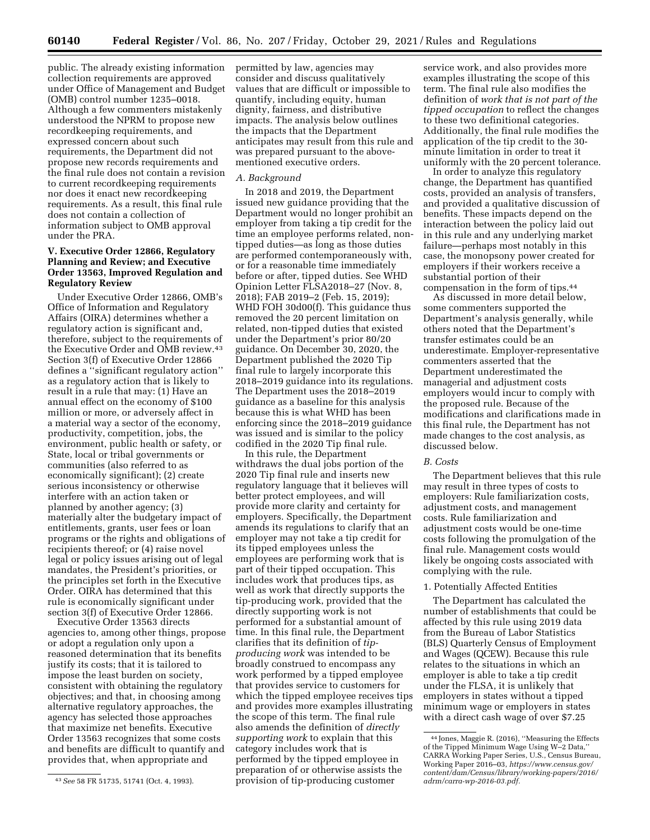public. The already existing information collection requirements are approved under Office of Management and Budget (OMB) control number 1235–0018. Although a few commenters mistakenly understood the NPRM to propose new recordkeeping requirements, and expressed concern about such requirements, the Department did not propose new records requirements and the final rule does not contain a revision to current recordkeeping requirements nor does it enact new recordkeeping requirements. As a result, this final rule does not contain a collection of information subject to OMB approval under the PRA.

# **V. Executive Order 12866, Regulatory Planning and Review; and Executive Order 13563, Improved Regulation and Regulatory Review**

Under Executive Order 12866, OMB's Office of Information and Regulatory Affairs (OIRA) determines whether a regulatory action is significant and, therefore, subject to the requirements of the Executive Order and OMB review.43 Section 3(f) of Executive Order 12866 defines a ''significant regulatory action'' as a regulatory action that is likely to result in a rule that may: (1) Have an annual effect on the economy of \$100 million or more, or adversely affect in a material way a sector of the economy, productivity, competition, jobs, the environment, public health or safety, or State, local or tribal governments or communities (also referred to as economically significant); (2) create serious inconsistency or otherwise interfere with an action taken or planned by another agency; (3) materially alter the budgetary impact of entitlements, grants, user fees or loan programs or the rights and obligations of recipients thereof; or (4) raise novel legal or policy issues arising out of legal mandates, the President's priorities, or the principles set forth in the Executive Order. OIRA has determined that this rule is economically significant under section 3(f) of Executive Order 12866.

Executive Order 13563 directs agencies to, among other things, propose or adopt a regulation only upon a reasoned determination that its benefits justify its costs; that it is tailored to impose the least burden on society, consistent with obtaining the regulatory objectives; and that, in choosing among alternative regulatory approaches, the agency has selected those approaches that maximize net benefits. Executive Order 13563 recognizes that some costs and benefits are difficult to quantify and provides that, when appropriate and

permitted by law, agencies may consider and discuss qualitatively values that are difficult or impossible to quantify, including equity, human dignity, fairness, and distributive impacts. The analysis below outlines the impacts that the Department anticipates may result from this rule and was prepared pursuant to the abovementioned executive orders.

#### *A. Background*

In 2018 and 2019, the Department issued new guidance providing that the Department would no longer prohibit an employer from taking a tip credit for the time an employee performs related, nontipped duties—as long as those duties are performed contemporaneously with, or for a reasonable time immediately before or after, tipped duties. See WHD Opinion Letter FLSA2018–27 (Nov. 8, 2018); FAB 2019–2 (Feb. 15, 2019); WHD FOH 30d00(f). This guidance thus removed the 20 percent limitation on related, non-tipped duties that existed under the Department's prior 80/20 guidance. On December 30, 2020, the Department published the 2020 Tip final rule to largely incorporate this 2018–2019 guidance into its regulations. The Department uses the 2018–2019 guidance as a baseline for this analysis because this is what WHD has been enforcing since the 2018–2019 guidance was issued and is similar to the policy codified in the 2020 Tip final rule.

In this rule, the Department withdraws the dual jobs portion of the 2020 Tip final rule and inserts new regulatory language that it believes will better protect employees, and will provide more clarity and certainty for employers. Specifically, the Department amends its regulations to clarify that an employer may not take a tip credit for its tipped employees unless the employees are performing work that is part of their tipped occupation. This includes work that produces tips, as well as work that directly supports the tip-producing work, provided that the directly supporting work is not performed for a substantial amount of time. In this final rule, the Department clarifies that its definition of *tipproducing work* was intended to be broadly construed to encompass any work performed by a tipped employee that provides service to customers for which the tipped employee receives tips and provides more examples illustrating the scope of this term. The final rule also amends the definition of *directly supporting work* to explain that this category includes work that is performed by the tipped employee in preparation of or otherwise assists the provision of tip-producing customer

service work, and also provides more examples illustrating the scope of this term. The final rule also modifies the definition of *work that is not part of the tipped occupation* to reflect the changes to these two definitional categories. Additionally, the final rule modifies the application of the tip credit to the 30 minute limitation in order to treat it uniformly with the 20 percent tolerance.

In order to analyze this regulatory change, the Department has quantified costs, provided an analysis of transfers, and provided a qualitative discussion of benefits. These impacts depend on the interaction between the policy laid out in this rule and any underlying market failure—perhaps most notably in this case, the monopsony power created for employers if their workers receive a substantial portion of their compensation in the form of tips.44

As discussed in more detail below, some commenters supported the Department's analysis generally, while others noted that the Department's transfer estimates could be an underestimate. Employer-representative commenters asserted that the Department underestimated the managerial and adjustment costs employers would incur to comply with the proposed rule. Because of the modifications and clarifications made in this final rule, the Department has not made changes to the cost analysis, as discussed below.

#### *B. Costs*

The Department believes that this rule may result in three types of costs to employers: Rule familiarization costs, adjustment costs, and management costs. Rule familiarization and adjustment costs would be one-time costs following the promulgation of the final rule. Management costs would likely be ongoing costs associated with complying with the rule.

## 1. Potentially Affected Entities

The Department has calculated the number of establishments that could be affected by this rule using 2019 data from the Bureau of Labor Statistics (BLS) Quarterly Census of Employment and Wages (QCEW). Because this rule relates to the situations in which an employer is able to take a tip credit under the FLSA, it is unlikely that employers in states without a tipped minimum wage or employers in states with a direct cash wage of over \$7.25

<sup>43</sup>*See* 58 FR 51735, 51741 (Oct. 4, 1993).

<sup>44</sup> Jones, Maggie R. (2016), ''Measuring the Effects of the Tipped Minimum Wage Using W–2 Data,'' CARRA Working Paper Series, U.S., Census Bureau, Working Paper 2016–03, *[https://www.census.gov/](https://www.census.gov/content/dam/Census/library/working-papers/2016/adrm/carra-wp-2016-03.pdf)  [content/dam/Census/library/working-papers/2016/](https://www.census.gov/content/dam/Census/library/working-papers/2016/adrm/carra-wp-2016-03.pdf)  [adrm/carra-wp-2016-03.pdf.](https://www.census.gov/content/dam/Census/library/working-papers/2016/adrm/carra-wp-2016-03.pdf)*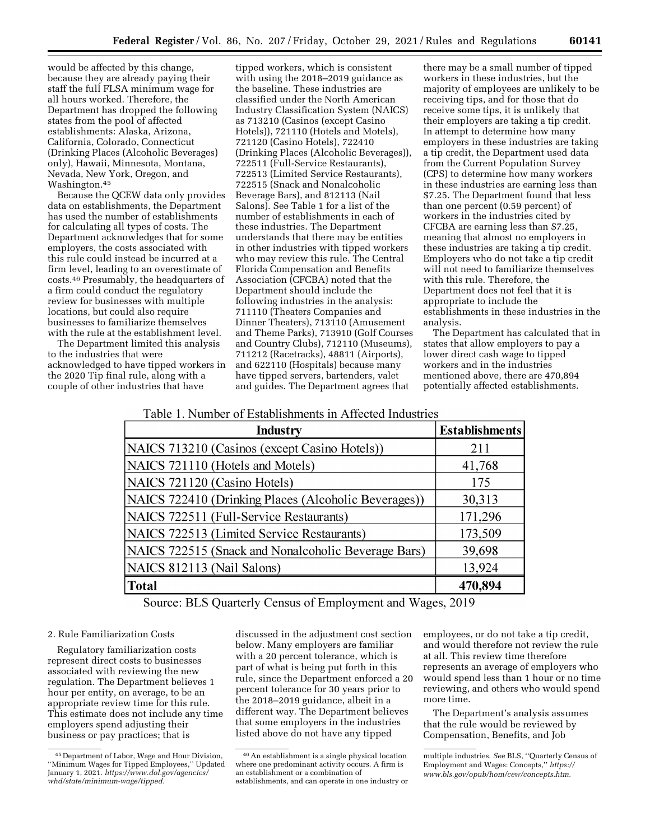would be affected by this change, because they are already paying their staff the full FLSA minimum wage for all hours worked. Therefore, the Department has dropped the following states from the pool of affected establishments: Alaska, Arizona, California, Colorado, Connecticut (Drinking Places (Alcoholic Beverages) only), Hawaii, Minnesota, Montana, Nevada, New York, Oregon, and Washington.45

Because the QCEW data only provides data on establishments, the Department has used the number of establishments for calculating all types of costs. The Department acknowledges that for some employers, the costs associated with this rule could instead be incurred at a firm level, leading to an overestimate of costs.46 Presumably, the headquarters of a firm could conduct the regulatory review for businesses with multiple locations, but could also require businesses to familiarize themselves with the rule at the establishment level.

The Department limited this analysis to the industries that were acknowledged to have tipped workers in the 2020 Tip final rule, along with a couple of other industries that have

tipped workers, which is consistent with using the 2018–2019 guidance as the baseline. These industries are classified under the North American Industry Classification System (NAICS) as 713210 (Casinos (except Casino Hotels)), 721110 (Hotels and Motels), 721120 (Casino Hotels), 722410 (Drinking Places (Alcoholic Beverages)), 722511 (Full-Service Restaurants), 722513 (Limited Service Restaurants), 722515 (Snack and Nonalcoholic Beverage Bars), and 812113 (Nail Salons). See Table 1 for a list of the number of establishments in each of these industries. The Department understands that there may be entities in other industries with tipped workers who may review this rule. The Central Florida Compensation and Benefits Association (CFCBA) noted that the Department should include the following industries in the analysis: 711110 (Theaters Companies and Dinner Theaters), 713110 (Amusement and Theme Parks), 713910 (Golf Courses and Country Clubs), 712110 (Museums), 711212 (Racetracks), 48811 (Airports), and 622110 (Hospitals) because many have tipped servers, bartenders, valet and guides. The Department agrees that

there may be a small number of tipped workers in these industries, but the majority of employees are unlikely to be receiving tips, and for those that do receive some tips, it is unlikely that their employers are taking a tip credit. In attempt to determine how many employers in these industries are taking a tip credit, the Department used data from the Current Population Survey (CPS) to determine how many workers in these industries are earning less than \$7.25. The Department found that less than one percent (0.59 percent) of workers in the industries cited by CFCBA are earning less than \$7.25, meaning that almost no employers in these industries are taking a tip credit. Employers who do not take a tip credit will not need to familiarize themselves with this rule. Therefore, the Department does not feel that it is appropriate to include the establishments in these industries in the analysis.

The Department has calculated that in states that allow employers to pay a lower direct cash wage to tipped workers and in the industries mentioned above, there are 470,894 potentially affected establishments.

# Table 1. Number of Establishments in Affected Industries

| Industry                                             | <b>Establishments</b> |
|------------------------------------------------------|-----------------------|
| NAICS 713210 (Casinos (except Casino Hotels))        | 211                   |
| NAICS 721110 (Hotels and Motels)                     | 41,768                |
| NAICS 721120 (Casino Hotels)                         | 175                   |
| NAICS 722410 (Drinking Places (Alcoholic Beverages)) | 30,313                |
| NAICS 722511 (Full-Service Restaurants)              | 171,296               |
| NAICS 722513 (Limited Service Restaurants)           | 173,509               |
| NAICS 722515 (Snack and Nonalcoholic Beverage Bars)  | 39,698                |
| NAICS 812113 (Nail Salons)                           | 13,924                |
| Total                                                | 470,894               |

Source: BLS Quarterly Census of Employment and Wages, 2019

#### 2. Rule Familiarization Costs

Regulatory familiarization costs represent direct costs to businesses associated with reviewing the new regulation. The Department believes 1 hour per entity, on average, to be an appropriate review time for this rule. This estimate does not include any time employers spend adjusting their business or pay practices; that is

discussed in the adjustment cost section below. Many employers are familiar with a 20 percent tolerance, which is part of what is being put forth in this rule, since the Department enforced a 20 percent tolerance for 30 years prior to the 2018–2019 guidance, albeit in a different way. The Department believes that some employers in the industries listed above do not have any tipped

employees, or do not take a tip credit, and would therefore not review the rule at all. This review time therefore represents an average of employers who would spend less than 1 hour or no time reviewing, and others who would spend more time.

The Department's analysis assumes that the rule would be reviewed by Compensation, Benefits, and Job

<sup>45</sup> Department of Labor, Wage and Hour Division, ''Minimum Wages for Tipped Employees,'' Updated January 1, 2021. *[https://www.dol.gov/agencies/](https://www.dol.gov/agencies/whd/state/minimum-wage/tipped)  [whd/state/minimum-wage/tipped.](https://www.dol.gov/agencies/whd/state/minimum-wage/tipped)* 

<sup>46</sup>An establishment is a single physical location where one predominant activity occurs. A firm is an establishment or a combination of establishments, and can operate in one industry or

multiple industries. *See* BLS, ''Quarterly Census of Employment and Wages: Concepts,'' *[https://](https://www.bls.gov/opub/hom/cew/concepts.htm) [www.bls.gov/opub/hom/cew/concepts.htm.](https://www.bls.gov/opub/hom/cew/concepts.htm)*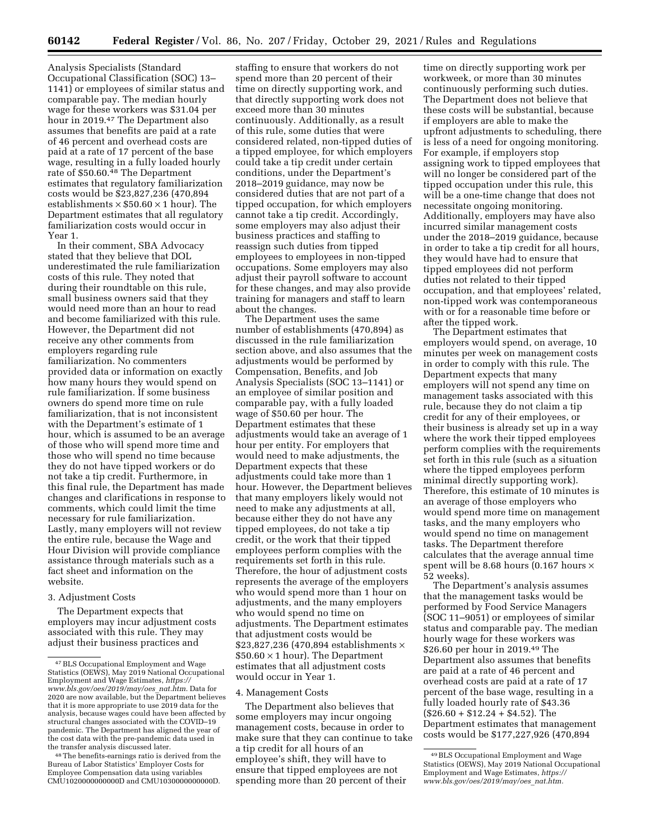Analysis Specialists (Standard Occupational Classification (SOC) 13– 1141) or employees of similar status and comparable pay. The median hourly wage for these workers was \$31.04 per hour in 2019.47 The Department also assumes that benefits are paid at a rate of 46 percent and overhead costs are paid at a rate of 17 percent of the base wage, resulting in a fully loaded hourly rate of \$50.60.<sup>48</sup> The Department estimates that regulatory familiarization costs would be \$23,827,236 (470,894 establishments  $\times$  \$50.60  $\times$  1 hour). The Department estimates that all regulatory familiarization costs would occur in Year 1.

In their comment, SBA Advocacy stated that they believe that DOL underestimated the rule familiarization costs of this rule. They noted that during their roundtable on this rule, small business owners said that they would need more than an hour to read and become familiarized with this rule. However, the Department did not receive any other comments from employers regarding rule familiarization. No commenters provided data or information on exactly how many hours they would spend on rule familiarization. If some business owners do spend more time on rule familiarization, that is not inconsistent with the Department's estimate of 1 hour, which is assumed to be an average of those who will spend more time and those who will spend no time because they do not have tipped workers or do not take a tip credit. Furthermore, in this final rule, the Department has made changes and clarifications in response to comments, which could limit the time necessary for rule familiarization. Lastly, many employers will not review the entire rule, because the Wage and Hour Division will provide compliance assistance through materials such as a fact sheet and information on the website.

#### 3. Adjustment Costs

The Department expects that employers may incur adjustment costs associated with this rule. They may adjust their business practices and

48The benefits-earnings ratio is derived from the Bureau of Labor Statistics' Employer Costs for Employee Compensation data using variables CMU1020000000000D and CMU1030000000000D.

staffing to ensure that workers do not spend more than 20 percent of their time on directly supporting work, and that directly supporting work does not exceed more than 30 minutes continuously. Additionally, as a result of this rule, some duties that were considered related, non-tipped duties of a tipped employee, for which employers could take a tip credit under certain conditions, under the Department's 2018–2019 guidance, may now be considered duties that are not part of a tipped occupation, for which employers cannot take a tip credit. Accordingly, some employers may also adjust their business practices and staffing to reassign such duties from tipped employees to employees in non-tipped occupations. Some employers may also adjust their payroll software to account for these changes, and may also provide training for managers and staff to learn about the changes.

The Department uses the same number of establishments (470,894) as discussed in the rule familiarization section above, and also assumes that the adjustments would be performed by Compensation, Benefits, and Job Analysis Specialists (SOC 13–1141) or an employee of similar position and comparable pay, with a fully loaded wage of \$50.60 per hour. The Department estimates that these adjustments would take an average of 1 hour per entity. For employers that would need to make adjustments, the Department expects that these adjustments could take more than 1 hour. However, the Department believes that many employers likely would not need to make any adjustments at all, because either they do not have any tipped employees, do not take a tip credit, or the work that their tipped employees perform complies with the requirements set forth in this rule. Therefore, the hour of adjustment costs represents the average of the employers who would spend more than 1 hour on adjustments, and the many employers who would spend no time on adjustments. The Department estimates that adjustment costs would be \$23,827,236 (470,894 establishments  $\times$  $$50.60 \times 1$  hour). The Department estimates that all adjustment costs would occur in Year 1.

#### 4. Management Costs

The Department also believes that some employers may incur ongoing management costs, because in order to make sure that they can continue to take a tip credit for all hours of an employee's shift, they will have to ensure that tipped employees are not spending more than 20 percent of their

time on directly supporting work per workweek, or more than 30 minutes continuously performing such duties. The Department does not believe that these costs will be substantial, because if employers are able to make the upfront adjustments to scheduling, there is less of a need for ongoing monitoring. For example, if employers stop assigning work to tipped employees that will no longer be considered part of the tipped occupation under this rule, this will be a one-time change that does not necessitate ongoing monitoring. Additionally, employers may have also incurred similar management costs under the 2018–2019 guidance, because in order to take a tip credit for all hours, they would have had to ensure that tipped employees did not perform duties not related to their tipped occupation, and that employees' related, non-tipped work was contemporaneous with or for a reasonable time before or after the tipped work.

The Department estimates that employers would spend, on average, 10 minutes per week on management costs in order to comply with this rule. The Department expects that many employers will not spend any time on management tasks associated with this rule, because they do not claim a tip credit for any of their employees, or their business is already set up in a way where the work their tipped employees perform complies with the requirements set forth in this rule (such as a situation where the tipped employees perform minimal directly supporting work). Therefore, this estimate of 10 minutes is an average of those employers who would spend more time on management tasks, and the many employers who would spend no time on management tasks. The Department therefore calculates that the average annual time spent will be 8.68 hours  $(0.167$  hours  $\times$ 52 weeks).

The Department's analysis assumes that the management tasks would be performed by Food Service Managers (SOC 11–9051) or employees of similar status and comparable pay. The median hourly wage for these workers was \$26.60 per hour in 2019.49 The Department also assumes that benefits are paid at a rate of 46 percent and overhead costs are paid at a rate of 17 percent of the base wage, resulting in a fully loaded hourly rate of \$43.36  $($26.60 + $12.24 + $4.52)$ . The Department estimates that management costs would be \$177,227,926 (470,894

<sup>47</sup>BLS Occupational Employment and Wage Statistics (OEWS), May 2019 National Occupational Employment and Wage Estimates, *[https://](https://www.bls.gov/oes/2019/may/oes_nat.htm) [www.bls.gov/oes/2019/may/oes](https://www.bls.gov/oes/2019/may/oes_nat.htm)*\_*nat.htm.* Data for 2020 are now available, but the Department believes that it is more appropriate to use 2019 data for the analysis, because wages could have been affected by structural changes associated with the COVID–19 pandemic. The Department has aligned the year of the cost data with the pre-pandemic data used in the transfer analysis discussed later.

<sup>49</sup>BLS Occupational Employment and Wage Statistics (OEWS), May 2019 National Occupational Employment and Wage Estimates, *[https://](https://www.bls.gov/oes/2019/may/oes_nat.htm) [www.bls.gov/oes/2019/may/oes](https://www.bls.gov/oes/2019/may/oes_nat.htm)*\_*nat.htm.*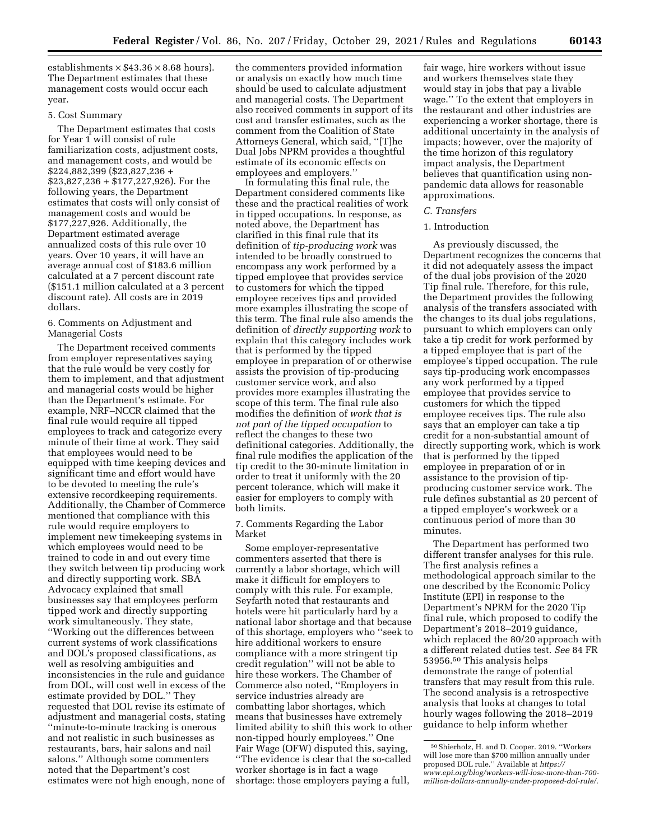establishments  $\times$  \$43.36  $\times$  8.68 hours). The Department estimates that these management costs would occur each year.

#### 5. Cost Summary

The Department estimates that costs for Year 1 will consist of rule familiarization costs, adjustment costs, and management costs, and would be \$224,882,399 (\$23,827,236 + \$23,827,236 + \$177,227,926). For the following years, the Department estimates that costs will only consist of management costs and would be \$177,227,926. Additionally, the Department estimated average annualized costs of this rule over 10 years. Over 10 years, it will have an average annual cost of \$183.6 million calculated at a 7 percent discount rate (\$151.1 million calculated at a 3 percent discount rate). All costs are in 2019 dollars.

# 6. Comments on Adjustment and Managerial Costs

The Department received comments from employer representatives saying that the rule would be very costly for them to implement, and that adjustment and managerial costs would be higher than the Department's estimate. For example, NRF–NCCR claimed that the final rule would require all tipped employees to track and categorize every minute of their time at work. They said that employees would need to be equipped with time keeping devices and significant time and effort would have to be devoted to meeting the rule's extensive recordkeeping requirements. Additionally, the Chamber of Commerce mentioned that compliance with this rule would require employers to implement new timekeeping systems in which employees would need to be trained to code in and out every time they switch between tip producing work and directly supporting work. SBA Advocacy explained that small businesses say that employees perform tipped work and directly supporting work simultaneously. They state, ''Working out the differences between current systems of work classifications and DOL's proposed classifications, as well as resolving ambiguities and inconsistencies in the rule and guidance from DOL, will cost well in excess of the estimate provided by DOL.'' They requested that DOL revise its estimate of adjustment and managerial costs, stating ''minute-to-minute tracking is onerous and not realistic in such businesses as restaurants, bars, hair salons and nail salons.'' Although some commenters noted that the Department's cost estimates were not high enough, none of the commenters provided information or analysis on exactly how much time should be used to calculate adjustment and managerial costs. The Department also received comments in support of its cost and transfer estimates, such as the comment from the Coalition of State Attorneys General, which said, ''[T]he Dual Jobs NPRM provides a thoughtful estimate of its economic effects on employees and employers.''

In formulating this final rule, the Department considered comments like these and the practical realities of work in tipped occupations. In response, as noted above, the Department has clarified in this final rule that its definition of *tip-producing work* was intended to be broadly construed to encompass any work performed by a tipped employee that provides service to customers for which the tipped employee receives tips and provided more examples illustrating the scope of this term. The final rule also amends the definition of *directly supporting work* to explain that this category includes work that is performed by the tipped employee in preparation of or otherwise assists the provision of tip-producing customer service work, and also provides more examples illustrating the scope of this term. The final rule also modifies the definition of *work that is not part of the tipped occupation* to reflect the changes to these two definitional categories. Additionally, the final rule modifies the application of the tip credit to the 30-minute limitation in order to treat it uniformly with the 20 percent tolerance, which will make it easier for employers to comply with both limits.

7. Comments Regarding the Labor Market

Some employer-representative commenters asserted that there is currently a labor shortage, which will make it difficult for employers to comply with this rule. For example, Seyfarth noted that restaurants and hotels were hit particularly hard by a national labor shortage and that because of this shortage, employers who ''seek to hire additional workers to ensure compliance with a more stringent tip credit regulation'' will not be able to hire these workers. The Chamber of Commerce also noted, ''Employers in service industries already are combatting labor shortages, which means that businesses have extremely limited ability to shift this work to other non-tipped hourly employees.'' One Fair Wage (OFW) disputed this, saying, ''The evidence is clear that the so-called worker shortage is in fact a wage shortage: those employers paying a full,

fair wage, hire workers without issue and workers themselves state they would stay in jobs that pay a livable wage.'' To the extent that employers in the restaurant and other industries are experiencing a worker shortage, there is additional uncertainty in the analysis of impacts; however, over the majority of the time horizon of this regulatory impact analysis, the Department believes that quantification using nonpandemic data allows for reasonable approximations.

#### *C. Transfers*

#### 1. Introduction

As previously discussed, the Department recognizes the concerns that it did not adequately assess the impact of the dual jobs provision of the 2020 Tip final rule. Therefore, for this rule, the Department provides the following analysis of the transfers associated with the changes to its dual jobs regulations, pursuant to which employers can only take a tip credit for work performed by a tipped employee that is part of the employee's tipped occupation. The rule says tip-producing work encompasses any work performed by a tipped employee that provides service to customers for which the tipped employee receives tips. The rule also says that an employer can take a tip credit for a non-substantial amount of directly supporting work, which is work that is performed by the tipped employee in preparation of or in assistance to the provision of tipproducing customer service work. The rule defines substantial as 20 percent of a tipped employee's workweek or a continuous period of more than 30 minutes.

The Department has performed two different transfer analyses for this rule. The first analysis refines a methodological approach similar to the one described by the Economic Policy Institute (EPI) in response to the Department's NPRM for the 2020 Tip final rule, which proposed to codify the Department's 2018–2019 guidance, which replaced the 80/20 approach with a different related duties test. *See* 84 FR 53956.50 This analysis helps demonstrate the range of potential transfers that may result from this rule. The second analysis is a retrospective analysis that looks at changes to total hourly wages following the 2018–2019 guidance to help inform whether

<sup>50</sup>Shierholz, H. and D. Cooper. 2019. ''Workers will lose more than \$700 million annually under proposed DOL rule.'' Available at *[https://](https://www.epi.org/blog/workers-will-lose-more-than-700-million-dollars-annually-under-proposed-dol-rule/) [www.epi.org/blog/workers-will-lose-more-than-700](https://www.epi.org/blog/workers-will-lose-more-than-700-million-dollars-annually-under-proposed-dol-rule/) [million-dollars-annually-under-proposed-dol-rule/.](https://www.epi.org/blog/workers-will-lose-more-than-700-million-dollars-annually-under-proposed-dol-rule/)*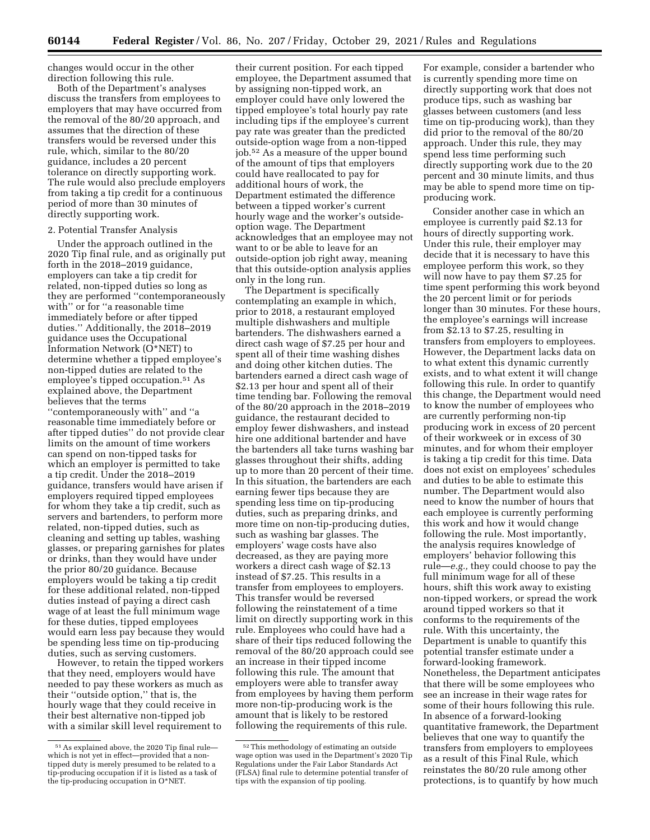changes would occur in the other direction following this rule.

Both of the Department's analyses discuss the transfers from employees to employers that may have occurred from the removal of the 80/20 approach, and assumes that the direction of these transfers would be reversed under this rule, which, similar to the 80/20 guidance, includes a 20 percent tolerance on directly supporting work. The rule would also preclude employers from taking a tip credit for a continuous period of more than 30 minutes of directly supporting work.

#### 2. Potential Transfer Analysis

Under the approach outlined in the 2020 Tip final rule, and as originally put forth in the 2018–2019 guidance, employers can take a tip credit for related, non-tipped duties so long as they are performed ''contemporaneously with'' or for ''a reasonable time immediately before or after tipped duties.'' Additionally, the 2018–2019 guidance uses the Occupational Information Network (O\*NET) to determine whether a tipped employee's non-tipped duties are related to the employee's tipped occupation.51 As explained above, the Department believes that the terms

''contemporaneously with'' and ''a reasonable time immediately before or after tipped duties'' do not provide clear limits on the amount of time workers can spend on non-tipped tasks for which an employer is permitted to take a tip credit. Under the 2018–2019 guidance, transfers would have arisen if employers required tipped employees for whom they take a tip credit, such as servers and bartenders, to perform more related, non-tipped duties, such as cleaning and setting up tables, washing glasses, or preparing garnishes for plates or drinks, than they would have under the prior 80/20 guidance. Because employers would be taking a tip credit for these additional related, non-tipped duties instead of paying a direct cash wage of at least the full minimum wage for these duties, tipped employees would earn less pay because they would be spending less time on tip-producing duties, such as serving customers.

However, to retain the tipped workers that they need, employers would have needed to pay these workers as much as their ''outside option,'' that is, the hourly wage that they could receive in their best alternative non-tipped job with a similar skill level requirement to

their current position. For each tipped employee, the Department assumed that by assigning non-tipped work, an employer could have only lowered the tipped employee's total hourly pay rate including tips if the employee's current pay rate was greater than the predicted outside-option wage from a non-tipped job.52 As a measure of the upper bound of the amount of tips that employers could have reallocated to pay for additional hours of work, the Department estimated the difference between a tipped worker's current hourly wage and the worker's outsideoption wage. The Department acknowledges that an employee may not want to or be able to leave for an outside-option job right away, meaning that this outside-option analysis applies only in the long run.

The Department is specifically contemplating an example in which, prior to 2018, a restaurant employed multiple dishwashers and multiple bartenders. The dishwashers earned a direct cash wage of \$7.25 per hour and spent all of their time washing dishes and doing other kitchen duties. The bartenders earned a direct cash wage of \$2.13 per hour and spent all of their time tending bar. Following the removal of the 80/20 approach in the 2018–2019 guidance, the restaurant decided to employ fewer dishwashers, and instead hire one additional bartender and have the bartenders all take turns washing bar glasses throughout their shifts, adding up to more than 20 percent of their time. In this situation, the bartenders are each earning fewer tips because they are spending less time on tip-producing duties, such as preparing drinks, and more time on non-tip-producing duties, such as washing bar glasses. The employers' wage costs have also decreased, as they are paying more workers a direct cash wage of \$2.13 instead of \$7.25. This results in a transfer from employees to employers. This transfer would be reversed following the reinstatement of a time limit on directly supporting work in this rule. Employees who could have had a share of their tips reduced following the removal of the 80/20 approach could see an increase in their tipped income following this rule. The amount that employers were able to transfer away from employees by having them perform more non-tip-producing work is the amount that is likely to be restored following the requirements of this rule.

For example, consider a bartender who is currently spending more time on directly supporting work that does not produce tips, such as washing bar glasses between customers (and less time on tip-producing work), than they did prior to the removal of the 80/20 approach. Under this rule, they may spend less time performing such directly supporting work due to the 20 percent and 30 minute limits, and thus may be able to spend more time on tipproducing work.

Consider another case in which an employee is currently paid \$2.13 for hours of directly supporting work. Under this rule, their employer may decide that it is necessary to have this employee perform this work, so they will now have to pay them \$7.25 for time spent performing this work beyond the 20 percent limit or for periods longer than 30 minutes. For these hours, the employee's earnings will increase from \$2.13 to \$7.25, resulting in transfers from employers to employees. However, the Department lacks data on to what extent this dynamic currently exists, and to what extent it will change following this rule. In order to quantify this change, the Department would need to know the number of employees who are currently performing non-tip producing work in excess of 20 percent of their workweek or in excess of 30 minutes, and for whom their employer is taking a tip credit for this time. Data does not exist on employees' schedules and duties to be able to estimate this number. The Department would also need to know the number of hours that each employee is currently performing this work and how it would change following the rule. Most importantly, the analysis requires knowledge of employers' behavior following this rule—*e.g.,* they could choose to pay the full minimum wage for all of these hours, shift this work away to existing non-tipped workers, or spread the work around tipped workers so that it conforms to the requirements of the rule. With this uncertainty, the Department is unable to quantify this potential transfer estimate under a forward-looking framework. Nonetheless, the Department anticipates that there will be some employees who see an increase in their wage rates for some of their hours following this rule. In absence of a forward-looking quantitative framework, the Department believes that one way to quantify the transfers from employers to employees as a result of this Final Rule, which reinstates the 80/20 rule among other protections, is to quantify by how much

<sup>51</sup>As explained above, the 2020 Tip final rule which is not yet in effect—provided that a nontipped duty is merely presumed to be related to a tip-producing occupation if it is listed as a task of the tip-producing occupation in O\*NET.

<sup>52</sup>This methodology of estimating an outside wage option was used in the Department's 2020 Tip Regulations under the Fair Labor Standards Act (FLSA) final rule to determine potential transfer of tips with the expansion of tip pooling.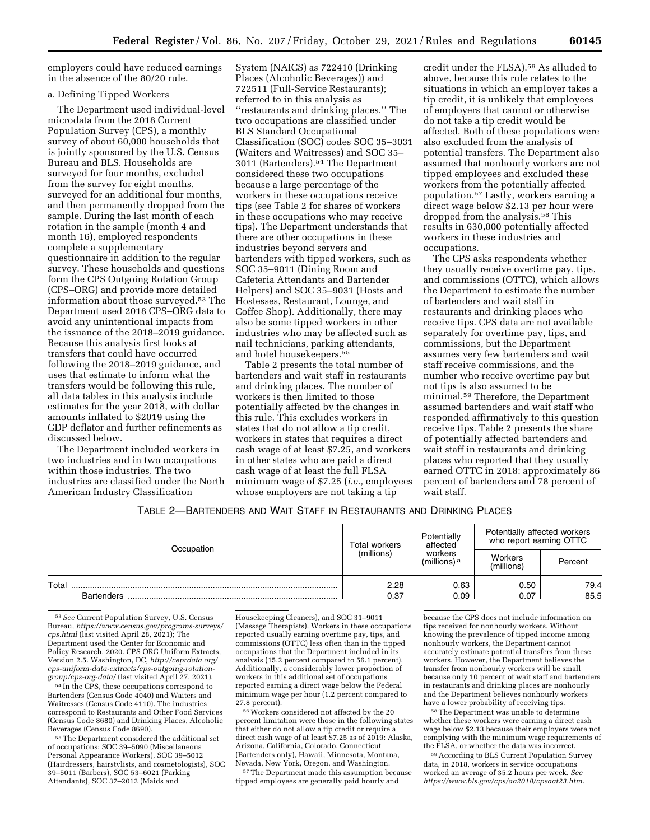employers could have reduced earnings in the absence of the 80/20 rule.

# a. Defining Tipped Workers

The Department used individual-level microdata from the 2018 Current Population Survey (CPS), a monthly survey of about 60,000 households that is jointly sponsored by the U.S. Census Bureau and BLS. Households are surveyed for four months, excluded from the survey for eight months, surveyed for an additional four months, and then permanently dropped from the sample. During the last month of each rotation in the sample (month 4 and month 16), employed respondents complete a supplementary questionnaire in addition to the regular survey. These households and questions form the CPS Outgoing Rotation Group (CPS–ORG) and provide more detailed information about those surveyed.53 The Department used 2018 CPS–ORG data to avoid any unintentional impacts from the issuance of the 2018–2019 guidance. Because this analysis first looks at transfers that could have occurred following the 2018–2019 guidance, and uses that estimate to inform what the transfers would be following this rule, all data tables in this analysis include estimates for the year 2018, with dollar amounts inflated to \$2019 using the GDP deflator and further refinements as discussed below.

The Department included workers in two industries and in two occupations within those industries. The two industries are classified under the North American Industry Classification

System (NAICS) as 722410 (Drinking Places (Alcoholic Beverages)) and 722511 (Full-Service Restaurants); referred to in this analysis as ''restaurants and drinking places.'' The two occupations are classified under BLS Standard Occupational Classification (SOC) codes SOC 35–3031 (Waiters and Waitresses) and SOC 35– 3011 (Bartenders).54 The Department considered these two occupations because a large percentage of the workers in these occupations receive tips (see Table 2 for shares of workers in these occupations who may receive tips). The Department understands that there are other occupations in these industries beyond servers and bartenders with tipped workers, such as SOC 35–9011 (Dining Room and Cafeteria Attendants and Bartender Helpers) and SOC 35–9031 (Hosts and Hostesses, Restaurant, Lounge, and Coffee Shop). Additionally, there may also be some tipped workers in other industries who may be affected such as nail technicians, parking attendants, and hotel housekeepers.55

Table 2 presents the total number of bartenders and wait staff in restaurants and drinking places. The number of workers is then limited to those potentially affected by the changes in this rule. This excludes workers in states that do not allow a tip credit, workers in states that requires a direct cash wage of at least \$7.25, and workers in other states who are paid a direct cash wage of at least the full FLSA minimum wage of \$7.25 (*i.e.,* employees whose employers are not taking a tip

credit under the FLSA).56 As alluded to above, because this rule relates to the situations in which an employer takes a tip credit, it is unlikely that employees of employers that cannot or otherwise do not take a tip credit would be affected. Both of these populations were also excluded from the analysis of potential transfers. The Department also assumed that nonhourly workers are not tipped employees and excluded these workers from the potentially affected population.57 Lastly, workers earning a direct wage below \$2.13 per hour were dropped from the analysis.58 This results in 630,000 potentially affected workers in these industries and occupations.

The CPS asks respondents whether they usually receive overtime pay, tips, and commissions (OTTC), which allows the Department to estimate the number of bartenders and wait staff in restaurants and drinking places who receive tips. CPS data are not available separately for overtime pay, tips, and commissions, but the Department assumes very few bartenders and wait staff receive commissions, and the number who receive overtime pay but not tips is also assumed to be minimal.59 Therefore, the Department assumed bartenders and wait staff who responded affirmatively to this question receive tips. Table 2 presents the share of potentially affected bartenders and wait staff in restaurants and drinking places who reported that they usually earned OTTC in 2018: approximately 86 percent of bartenders and 78 percent of wait staff.

# TABLE 2—BARTENDERS AND WAIT STAFF IN RESTAURANTS AND DRINKING PLACES

| Occupation                 | Total workers | Potentially<br>affected              | Potentially affected workers<br>who report earning OTTC |              |  |
|----------------------------|---------------|--------------------------------------|---------------------------------------------------------|--------------|--|
|                            | (millions)    | workers<br>$(millions)$ <sup>a</sup> | Workers<br>(millions)                                   | Percent      |  |
| Total<br><b>Bartenders</b> | 2.28<br>0.37  | 0.63<br>0.09                         | 0.50<br>0.07                                            | 79.4<br>85.5 |  |

53*See* Current Population Survey, U.S. Census Bureau, *[https://www.census.gov/programs-surveys/](https://www.census.gov/programs-surveys/cps.html) [cps.html](https://www.census.gov/programs-surveys/cps.html)* (last visited April 28, 2021); The Department used the Center for Economic and Policy Research. 2020. CPS ORG Uniform Extracts, Version 2.5. Washington, DC, *[http://ceprdata.org/](http://ceprdata.org/cps-uniform-data-extracts/cps-outgoing-rotation-group/cps-org-data/) [cps-uniform-data-extracts/cps-outgoing-rotation](http://ceprdata.org/cps-uniform-data-extracts/cps-outgoing-rotation-group/cps-org-data/)[group/cps-org-data/](http://ceprdata.org/cps-uniform-data-extracts/cps-outgoing-rotation-group/cps-org-data/)* (last visited April 27, 2021).

54 In the CPS, these occupations correspond to Bartenders (Census Code 4040) and Waiters and Waitresses (Census Code 4110). The industries correspond to Restaurants and Other Food Services (Census Code 8680) and Drinking Places, Alcoholic Beverages (Census Code 8690).

55The Department considered the additional set of occupations: SOC 39–5090 (Miscellaneous Personal Appearance Workers), SOC 39–5012 (Hairdressers, hairstylists, and cosmetologists), SOC 39–5011 (Barbers), SOC 53–6021 (Parking Attendants), SOC 37–2012 (Maids and

Housekeeping Cleaners), and SOC 31–9011 (Massage Therapists). Workers in these occupations reported usually earning overtime pay, tips, and commissions (OTTC) less often than in the tipped occupations that the Department included in its analysis (15.2 percent compared to 56.1 percent). Additionally, a considerably lower proportion of workers in this additional set of occupations reported earning a direct wage below the Federal minimum wage per hour (1.2 percent compared to 27.8 percent).

56Workers considered not affected by the 20 percent limitation were those in the following states that either do not allow a tip credit or require a direct cash wage of at least \$7.25 as of 2019: Alaska, Arizona, California, Colorado, Connecticut (Bartenders only), Hawaii, Minnesota, Montana, Nevada, New York, Oregon, and Washington.

57The Department made this assumption because tipped employees are generally paid hourly and

because the CPS does not include information on tips received for nonhourly workers. Without knowing the prevalence of tipped income among nonhourly workers, the Department cannot accurately estimate potential transfers from these workers. However, the Department believes the transfer from nonhourly workers will be small because only 10 percent of wait staff and bartenders in restaurants and drinking places are nonhourly and the Department believes nonhourly workers have a lower probability of receiving tips.

58The Department was unable to determine whether these workers were earning a direct cash wage below \$2.13 because their employers were not complying with the minimum wage requirements of the FLSA, or whether the data was incorrect.

59According to BLS Current Population Survey data, in 2018, workers in service occupations worked an average of 35.2 hours per week. *See [https://www.bls.gov/cps/aa2018/cpsaat23.htm.](https://www.bls.gov/cps/aa2018/cpsaat23.htm)*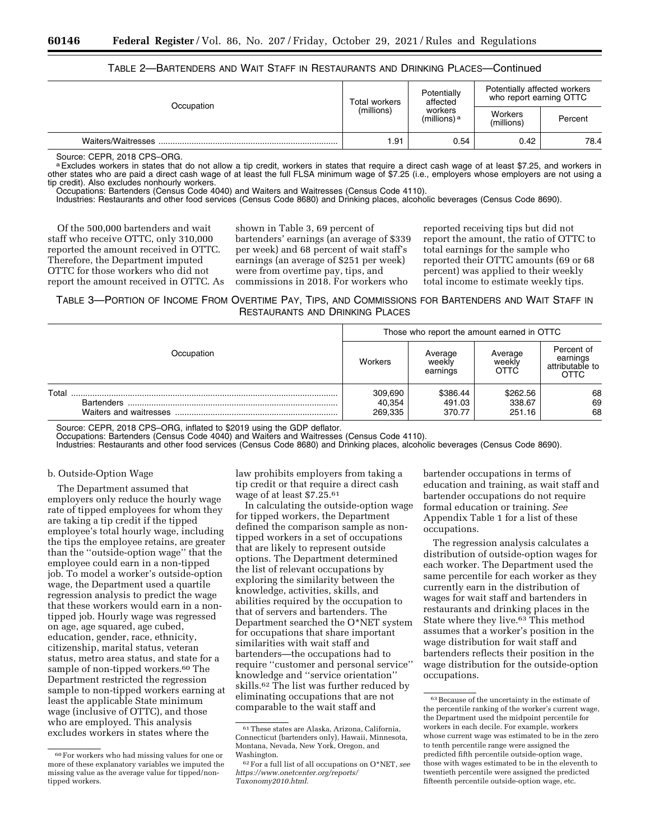| Occupation | Total workers | Potentially<br>affected   | Potentially affected workers<br>who report earning OTTC |         |
|------------|---------------|---------------------------|---------------------------------------------------------|---------|
|            | (millions)    | workers<br>(millions) $a$ | Workers<br>(millions)                                   | Percent |
|            | 1.91          | 0.54                      | 0.42                                                    | 78.4    |

# TABLE 2—BARTENDERS AND WAIT STAFF IN RESTAURANTS AND DRINKING PLACES—Continued

Source: CEPR, 2018 CPS–ORG.

a Excludes workers in states that do not allow a tip credit, workers in states that require a direct cash wage of at least \$7.25, and workers in other states who are paid a direct cash wage of at least the full FLSA minimum wage of \$7.25 (i.e., employers whose employers are not using a tip credit). Also excludes nonhourly workers.

Occupations: Bartenders (Census Code 4040) and Waiters and Waitresses (Census Code 4110).

Industries: Restaurants and other food services (Census Code 8680) and Drinking places, alcoholic beverages (Census Code 8690).

Of the 500,000 bartenders and wait staff who receive OTTC, only 310,000 reported the amount received in OTTC. Therefore, the Department imputed OTTC for those workers who did not report the amount received in OTTC. As

shown in Table 3, 69 percent of bartenders' earnings (an average of \$339 per week) and 68 percent of wait staff's earnings (an average of \$251 per week) were from overtime pay, tips, and commissions in 2018. For workers who

reported receiving tips but did not report the amount, the ratio of OTTC to total earnings for the sample who reported their OTTC amounts (69 or 68 percent) was applied to their weekly total income to estimate weekly tips.

# TABLE 3—PORTION OF INCOME FROM OVERTIME PAY, TIPS, AND COMMISSIONS FOR BARTENDERS AND WAIT STAFF IN RESTAURANTS AND DRINKING PLACES

|                            | Those who report the amount earned in OTTC |                               |                              |                                                   |  |
|----------------------------|--------------------------------------------|-------------------------------|------------------------------|---------------------------------------------------|--|
| Occupation                 | Workers                                    | Average<br>weekly<br>earnings | Average<br>weekly<br>OTTĆ    | Percent of<br>earnings<br>attributable to<br>OTTC |  |
| Total<br><b>Bartenders</b> | 309.690<br>40.354<br>269.335               | \$386.44<br>491.03<br>370.77  | \$262.56<br>338.67<br>251.16 | 68<br>69<br>68                                    |  |

Source: CEPR, 2018 CPS–ORG, inflated to \$2019 using the GDP deflator.

Occupations: Bartenders (Census Code 4040) and Waiters and Waitresses (Census Code 4110).

Industries: Restaurants and other food services (Census Code 8680) and Drinking places, alcoholic beverages (Census Code 8690).

#### b. Outside-Option Wage

The Department assumed that employers only reduce the hourly wage rate of tipped employees for whom they are taking a tip credit if the tipped employee's total hourly wage, including the tips the employee retains, are greater than the ''outside-option wage'' that the employee could earn in a non-tipped job. To model a worker's outside-option wage, the Department used a quartile regression analysis to predict the wage that these workers would earn in a nontipped job. Hourly wage was regressed on age, age squared, age cubed, education, gender, race, ethnicity, citizenship, marital status, veteran status, metro area status, and state for a sample of non-tipped workers.<sup>60</sup> The Department restricted the regression sample to non-tipped workers earning at least the applicable State minimum wage (inclusive of OTTC), and those who are employed. This analysis excludes workers in states where the

law prohibits employers from taking a tip credit or that require a direct cash wage of at least \$7.25.61

In calculating the outside-option wage for tipped workers, the Department defined the comparison sample as nontipped workers in a set of occupations that are likely to represent outside options. The Department determined the list of relevant occupations by exploring the similarity between the knowledge, activities, skills, and abilities required by the occupation to that of servers and bartenders. The Department searched the O\*NET system for occupations that share important similarities with wait staff and bartenders—the occupations had to require ''customer and personal service'' knowledge and ''service orientation'' skills.62 The list was further reduced by eliminating occupations that are not comparable to the wait staff and

bartender occupations in terms of education and training, as wait staff and bartender occupations do not require formal education or training. *See*  Appendix Table 1 for a list of these occupations.

The regression analysis calculates a distribution of outside-option wages for each worker. The Department used the same percentile for each worker as they currently earn in the distribution of wages for wait staff and bartenders in restaurants and drinking places in the State where they live.<sup>63</sup> This method assumes that a worker's position in the wage distribution for wait staff and bartenders reflects their position in the wage distribution for the outside-option occupations.

<sup>60</sup>For workers who had missing values for one or more of these explanatory variables we imputed the missing value as the average value for tipped/nontipped workers.

 $\ensuremath{^{61}}$  These states are Alaska, Arizona, California, Connecticut (bartenders only), Hawaii, Minnesota, Montana, Nevada, New York, Oregon, and Washington.

<sup>62</sup>For a full list of all occupations on O\*NET, *see [https://www.onetcenter.org/reports/](https://www.onetcenter.org/reports/Taxonomy2010.html)  [Taxonomy2010.html.](https://www.onetcenter.org/reports/Taxonomy2010.html)* 

<sup>&</sup>lt;sup>63</sup> Because of the uncertainty in the estimate of the percentile ranking of the worker's current wage, the Department used the midpoint percentile for workers in each decile. For example, workers whose current wage was estimated to be in the zero to tenth percentile range were assigned the predicted fifth percentile outside-option wage, those with wages estimated to be in the eleventh to twentieth percentile were assigned the predicted fifteenth percentile outside-option wage, etc.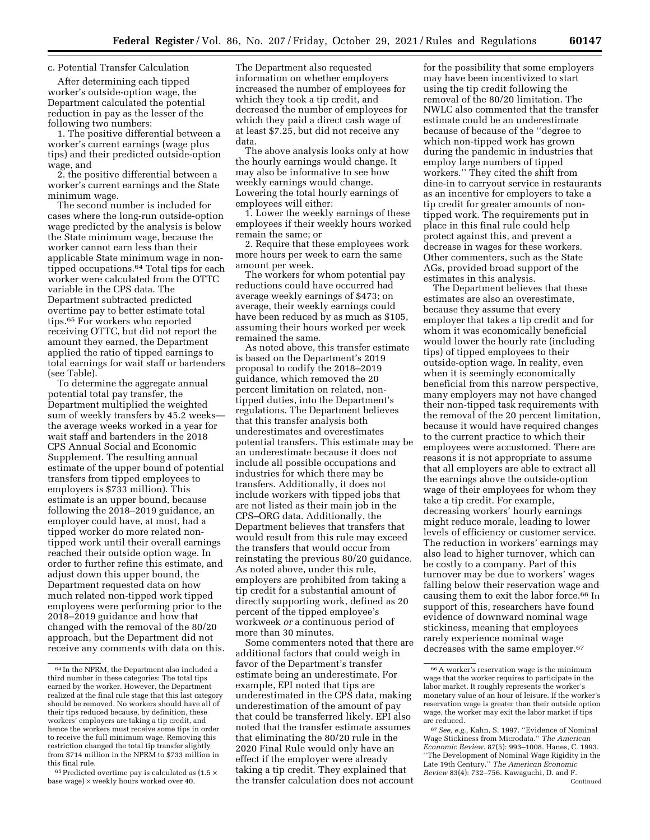#### c. Potential Transfer Calculation

After determining each tipped worker's outside-option wage, the Department calculated the potential reduction in pay as the lesser of the following two numbers:

1. The positive differential between a worker's current earnings (wage plus tips) and their predicted outside-option wage, and

2. the positive differential between a worker's current earnings and the State minimum wage.

The second number is included for cases where the long-run outside-option wage predicted by the analysis is below the State minimum wage, because the worker cannot earn less than their applicable State minimum wage in nontipped occupations.64 Total tips for each worker were calculated from the OTTC variable in the CPS data. The Department subtracted predicted overtime pay to better estimate total tips.65 For workers who reported receiving OTTC, but did not report the amount they earned, the Department applied the ratio of tipped earnings to total earnings for wait staff or bartenders (see Table).

To determine the aggregate annual potential total pay transfer, the Department multiplied the weighted sum of weekly transfers by 45.2 weeks the average weeks worked in a year for wait staff and bartenders in the 2018 CPS Annual Social and Economic Supplement. The resulting annual estimate of the upper bound of potential transfers from tipped employees to employers is \$733 million). This estimate is an upper bound, because following the 2018–2019 guidance, an employer could have, at most, had a tipped worker do more related nontipped work until their overall earnings reached their outside option wage. In order to further refine this estimate, and adjust down this upper bound, the Department requested data on how much related non-tipped work tipped employees were performing prior to the 2018–2019 guidance and how that changed with the removal of the 80/20 approach, but the Department did not receive any comments with data on this.

 $65$  Predicted overtime pay is calculated as (1.5  $\times$ base wage) × weekly hours worked over 40.

The Department also requested information on whether employers increased the number of employees for which they took a tip credit, and decreased the number of employees for which they paid a direct cash wage of at least \$7.25, but did not receive any data.

The above analysis looks only at how the hourly earnings would change. It may also be informative to see how weekly earnings would change. Lowering the total hourly earnings of employees will either:

1. Lower the weekly earnings of these employees if their weekly hours worked remain the same; or

2. Require that these employees work more hours per week to earn the same amount per week.

The workers for whom potential pay reductions could have occurred had average weekly earnings of \$473; on average, their weekly earnings could have been reduced by as much as \$105, assuming their hours worked per week remained the same.

As noted above, this transfer estimate is based on the Department's 2019 proposal to codify the 2018–2019 guidance, which removed the 20 percent limitation on related, nontipped duties, into the Department's regulations. The Department believes that this transfer analysis both underestimates and overestimates potential transfers. This estimate may be an underestimate because it does not include all possible occupations and industries for which there may be transfers. Additionally, it does not include workers with tipped jobs that are not listed as their main job in the CPS–ORG data. Additionally, the Department believes that transfers that would result from this rule may exceed the transfers that would occur from reinstating the previous 80/20 guidance. As noted above, under this rule, employers are prohibited from taking a tip credit for a substantial amount of directly supporting work, defined as 20 percent of the tipped employee's workweek *or* a continuous period of more than 30 minutes.

Some commenters noted that there are additional factors that could weigh in favor of the Department's transfer estimate being an underestimate. For example, EPI noted that tips are underestimated in the CPS data, making underestimation of the amount of pay that could be transferred likely. EPI also noted that the transfer estimate assumes that eliminating the 80/20 rule in the 2020 Final Rule would only have an effect if the employer were already taking a tip credit. They explained that the transfer calculation does not account

for the possibility that some employers may have been incentivized to start using the tip credit following the removal of the 80/20 limitation. The NWLC also commented that the transfer estimate could be an underestimate because of because of the ''degree to which non-tipped work has grown during the pandemic in industries that employ large numbers of tipped workers.'' They cited the shift from dine-in to carryout service in restaurants as an incentive for employers to take a tip credit for greater amounts of nontipped work. The requirements put in place in this final rule could help protect against this, and prevent a decrease in wages for these workers. Other commenters, such as the State AGs, provided broad support of the estimates in this analysis.

The Department believes that these estimates are also an overestimate, because they assume that every employer that takes a tip credit and for whom it was economically beneficial would lower the hourly rate (including tips) of tipped employees to their outside-option wage. In reality, even when it is seemingly economically beneficial from this narrow perspective, many employers may not have changed their non-tipped task requirements with the removal of the 20 percent limitation, because it would have required changes to the current practice to which their employees were accustomed. There are reasons it is not appropriate to assume that all employers are able to extract all the earnings above the outside-option wage of their employees for whom they take a tip credit. For example, decreasing workers' hourly earnings might reduce morale, leading to lower levels of efficiency or customer service. The reduction in workers' earnings may also lead to higher turnover, which can be costly to a company. Part of this turnover may be due to workers' wages falling below their reservation wage and causing them to exit the labor force.66 In support of this, researchers have found evidence of downward nominal wage stickiness, meaning that employees rarely experience nominal wage decreases with the same employer.67

<sup>64</sup> In the NPRM, the Department also included a third number in these categories: The total tips earned by the worker. However, the Department realized at the final rule stage that this last category should be removed. No workers should have all of their tips reduced because, by definition, these workers' employers are taking a tip credit, and hence the workers must receive some tips in order to receive the full minimum wage. Removing this restriction changed the total tip transfer slightly from \$714 million in the NPRM to \$733 million in this final rule.

<sup>66</sup>A worker's reservation wage is the minimum wage that the worker requires to participate in the labor market. It roughly represents the worker's monetary value of an hour of leisure. If the worker's reservation wage is greater than their outside option wage, the worker may exit the labor market if tips are reduced.

<sup>67</sup>*See, e.g.,* Kahn, S. 1997. ''Evidence of Nominal Wage Stickiness from Microdata.'' *The American Economic Review.* 87(5): 993–1008. Hanes, C. 1993. ''The Development of Nominal Wage Rigidity in the Late 19th Century.'' *The American Economic Review* 83(4): 732–756. Kawaguchi, D. and F. Continued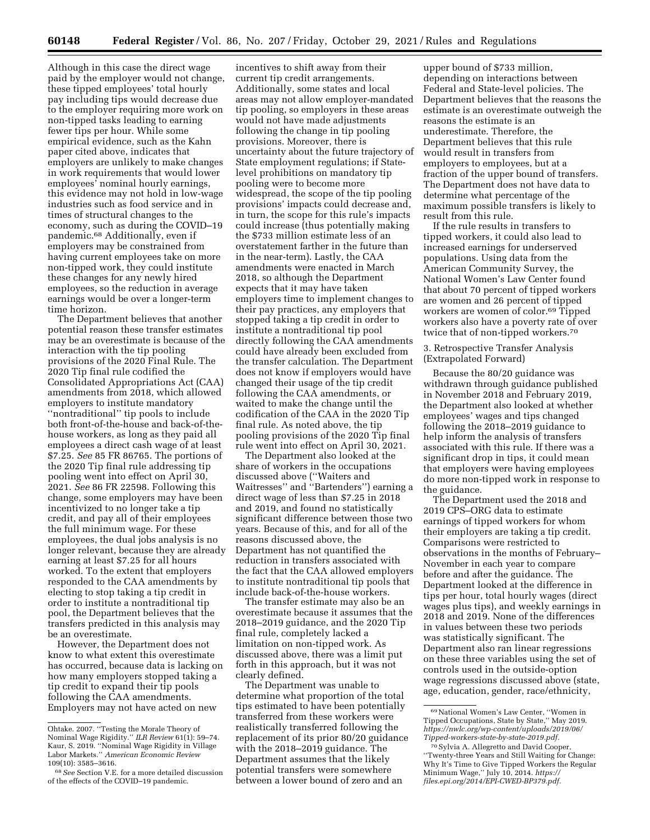Although in this case the direct wage paid by the employer would not change, these tipped employees' total hourly pay including tips would decrease due to the employer requiring more work on non-tipped tasks leading to earning fewer tips per hour. While some empirical evidence, such as the Kahn paper cited above, indicates that employers are unlikely to make changes in work requirements that would lower employees' nominal hourly earnings, this evidence may not hold in low-wage industries such as food service and in times of structural changes to the economy, such as during the COVID–19 pandemic.68 Additionally, even if employers may be constrained from having current employees take on more non-tipped work, they could institute these changes for any newly hired employees, so the reduction in average earnings would be over a longer-term time horizon.

The Department believes that another potential reason these transfer estimates may be an overestimate is because of the interaction with the tip pooling provisions of the 2020 Final Rule. The 2020 Tip final rule codified the Consolidated Appropriations Act (CAA) amendments from 2018, which allowed employers to institute mandatory ''nontraditional'' tip pools to include both front-of-the-house and back-of-thehouse workers, as long as they paid all employees a direct cash wage of at least \$7.25. *See* 85 FR 86765. The portions of the 2020 Tip final rule addressing tip pooling went into effect on April 30, 2021. *See* 86 FR 22598. Following this change, some employers may have been incentivized to no longer take a tip credit, and pay all of their employees the full minimum wage. For these employees, the dual jobs analysis is no longer relevant, because they are already earning at least \$7.25 for all hours worked. To the extent that employers responded to the CAA amendments by electing to stop taking a tip credit in order to institute a nontraditional tip pool, the Department believes that the transfers predicted in this analysis may be an overestimate.

However, the Department does not know to what extent this overestimate has occurred, because data is lacking on how many employers stopped taking a tip credit to expand their tip pools following the CAA amendments. Employers may not have acted on new

incentives to shift away from their current tip credit arrangements. Additionally, some states and local areas may not allow employer-mandated tip pooling, so employers in these areas would not have made adjustments following the change in tip pooling provisions. Moreover, there is uncertainty about the future trajectory of State employment regulations; if Statelevel prohibitions on mandatory tip pooling were to become more widespread, the scope of the tip pooling provisions' impacts could decrease and, in turn, the scope for this rule's impacts could increase (thus potentially making the \$733 million estimate less of an overstatement farther in the future than in the near-term). Lastly, the CAA amendments were enacted in March 2018, so although the Department expects that it may have taken employers time to implement changes to their pay practices, any employers that stopped taking a tip credit in order to institute a nontraditional tip pool directly following the CAA amendments could have already been excluded from the transfer calculation. The Department does not know if employers would have changed their usage of the tip credit following the CAA amendments, or waited to make the change until the codification of the CAA in the 2020 Tip final rule. As noted above, the tip pooling provisions of the 2020 Tip final rule went into effect on April 30, 2021.

The Department also looked at the share of workers in the occupations discussed above (''Waiters and Waitresses'' and ''Bartenders'') earning a direct wage of less than \$7.25 in 2018 and 2019, and found no statistically significant difference between those two years. Because of this, and for all of the reasons discussed above, the Department has not quantified the reduction in transfers associated with the fact that the CAA allowed employers to institute nontraditional tip pools that include back-of-the-house workers.

The transfer estimate may also be an overestimate because it assumes that the 2018–2019 guidance, and the 2020 Tip final rule, completely lacked a limitation on non-tipped work. As discussed above, there was a limit put forth in this approach, but it was not clearly defined.

The Department was unable to determine what proportion of the total tips estimated to have been potentially transferred from these workers were realistically transferred following the replacement of its prior 80/20 guidance with the 2018–2019 guidance. The Department assumes that the likely potential transfers were somewhere between a lower bound of zero and an

upper bound of \$733 million, depending on interactions between Federal and State-level policies. The Department believes that the reasons the estimate is an overestimate outweigh the reasons the estimate is an underestimate. Therefore, the Department believes that this rule would result in transfers from employers to employees, but at a fraction of the upper bound of transfers. The Department does not have data to determine what percentage of the maximum possible transfers is likely to result from this rule.

If the rule results in transfers to tipped workers, it could also lead to increased earnings for underserved populations. Using data from the American Community Survey, the National Women's Law Center found that about 70 percent of tipped workers are women and 26 percent of tipped workers are women of color.69 Tipped workers also have a poverty rate of over twice that of non-tipped workers.70

3. Retrospective Transfer Analysis (Extrapolated Forward)

Because the 80/20 guidance was withdrawn through guidance published in November 2018 and February 2019, the Department also looked at whether employees' wages and tips changed following the 2018–2019 guidance to help inform the analysis of transfers associated with this rule. If there was a significant drop in tips, it could mean that employers were having employees do more non-tipped work in response to the guidance.

The Department used the 2018 and 2019 CPS–ORG data to estimate earnings of tipped workers for whom their employers are taking a tip credit. Comparisons were restricted to observations in the months of February– November in each year to compare before and after the guidance. The Department looked at the difference in tips per hour, total hourly wages (direct wages plus tips), and weekly earnings in 2018 and 2019. None of the differences in values between these two periods was statistically significant. The Department also ran linear regressions on these three variables using the set of controls used in the outside-option wage regressions discussed above (state, age, education, gender, race/ethnicity,

Ohtake. 2007. ''Testing the Morale Theory of Nominal Wage Rigidity.'' *ILR Review* 61(1): 59–74. Kaur, S. 2019. ''Nominal Wage Rigidity in Village Labor Markets.'' *American Economic Review*  109(10): 3585–3616.

<sup>68</sup>*See* Section V.E. for a more detailed discussion of the effects of the COVID–19 pandemic.

<sup>69</sup>National Women's Law Center, ''Women in Tipped Occupations, State by State,'' May 2019. *[https://nwlc.org/wp-content/uploads/2019/06/](https://nwlc.org/wp-content/uploads/2019/06/Tipped-workers-state-by-state-2019.pdf) [Tipped-workers-state-by-state-2019.pdf.](https://nwlc.org/wp-content/uploads/2019/06/Tipped-workers-state-by-state-2019.pdf)* 

<sup>70</sup>Sylvia A. Allegretto and David Cooper, ''Twenty-three Years and Still Waiting for Change: Why It's Time to Give Tipped Workers the Regular Minimum Wage,'' July 10, 2014. *[https://](https://files.epi.org/2014/EPI-CWED-BP379.pdf) [files.epi.org/2014/EPI-CWED-BP379.pdf.](https://files.epi.org/2014/EPI-CWED-BP379.pdf)*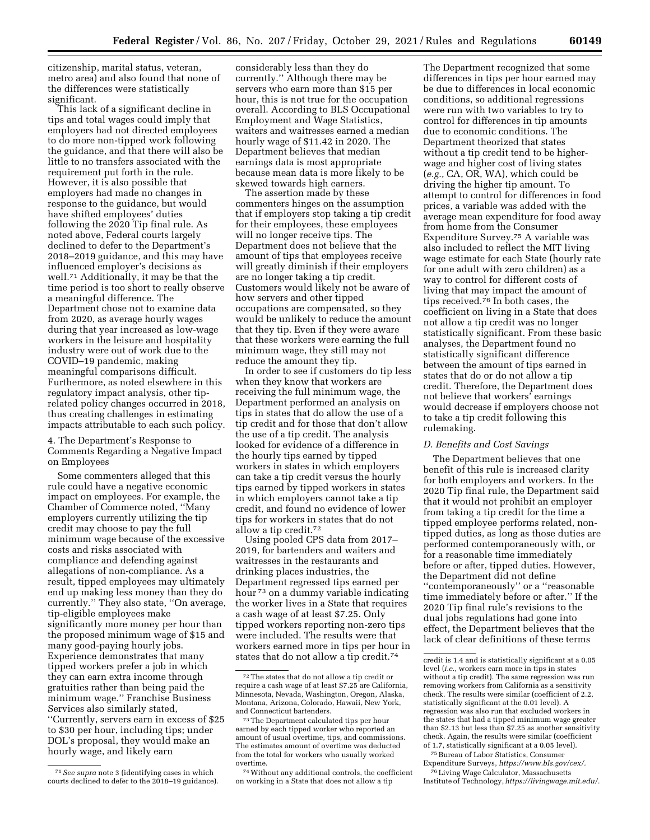citizenship, marital status, veteran, metro area) and also found that none of the differences were statistically significant.

This lack of a significant decline in tips and total wages could imply that employers had not directed employees to do more non-tipped work following the guidance, and that there will also be little to no transfers associated with the requirement put forth in the rule. However, it is also possible that employers had made no changes in response to the guidance, but would have shifted employees' duties following the 2020 Tip final rule. As noted above, Federal courts largely declined to defer to the Department's 2018–2019 guidance, and this may have influenced employer's decisions as well.71 Additionally, it may be that the time period is too short to really observe a meaningful difference. The Department chose not to examine data from 2020, as average hourly wages during that year increased as low-wage workers in the leisure and hospitality industry were out of work due to the COVID–19 pandemic, making meaningful comparisons difficult. Furthermore, as noted elsewhere in this regulatory impact analysis, other tiprelated policy changes occurred in 2018, thus creating challenges in estimating impacts attributable to each such policy.

4. The Department's Response to Comments Regarding a Negative Impact on Employees

Some commenters alleged that this rule could have a negative economic impact on employees. For example, the Chamber of Commerce noted, ''Many employers currently utilizing the tip credit may choose to pay the full minimum wage because of the excessive costs and risks associated with compliance and defending against allegations of non-compliance. As a result, tipped employees may ultimately end up making less money than they do currently.'' They also state, ''On average, tip-eligible employees make significantly more money per hour than the proposed minimum wage of \$15 and many good-paying hourly jobs. Experience demonstrates that many tipped workers prefer a job in which they can earn extra income through gratuities rather than being paid the minimum wage.'' Franchise Business Services also similarly stated, ''Currently, servers earn in excess of \$25 to \$30 per hour, including tips; under DOL's proposal, they would make an hourly wage, and likely earn

considerably less than they do currently.'' Although there may be servers who earn more than \$15 per hour, this is not true for the occupation overall. According to BLS Occupational Employment and Wage Statistics, waiters and waitresses earned a median hourly wage of \$11.42 in 2020. The Department believes that median earnings data is most appropriate because mean data is more likely to be skewed towards high earners.

The assertion made by these commenters hinges on the assumption that if employers stop taking a tip credit for their employees, these employees will no longer receive tips. The Department does not believe that the amount of tips that employees receive will greatly diminish if their employers are no longer taking a tip credit. Customers would likely not be aware of how servers and other tipped occupations are compensated, so they would be unlikely to reduce the amount that they tip. Even if they were aware that these workers were earning the full minimum wage, they still may not reduce the amount they tip.

In order to see if customers do tip less when they know that workers are receiving the full minimum wage, the Department performed an analysis on tips in states that do allow the use of a tip credit and for those that don't allow the use of a tip credit. The analysis looked for evidence of a difference in the hourly tips earned by tipped workers in states in which employers can take a tip credit versus the hourly tips earned by tipped workers in states in which employers cannot take a tip credit, and found no evidence of lower tips for workers in states that do not allow a tip credit.72

Using pooled CPS data from 2017– 2019, for bartenders and waiters and waitresses in the restaurants and drinking places industries, the Department regressed tips earned per hour 73 on a dummy variable indicating the worker lives in a State that requires a cash wage of at least \$7.25. Only tipped workers reporting non-zero tips were included. The results were that workers earned more in tips per hour in states that do not allow a tip credit.74

74Without any additional controls, the coefficient on working in a State that does not allow a tip

The Department recognized that some differences in tips per hour earned may be due to differences in local economic conditions, so additional regressions were run with two variables to try to control for differences in tip amounts due to economic conditions. The Department theorized that states without a tip credit tend to be higherwage and higher cost of living states (*e.g.,* CA, OR, WA), which could be driving the higher tip amount. To attempt to control for differences in food prices, a variable was added with the average mean expenditure for food away from home from the Consumer Expenditure Survey.75 A variable was also included to reflect the MIT living wage estimate for each State (hourly rate for one adult with zero children) as a way to control for different costs of living that may impact the amount of tips received.76 In both cases, the coefficient on living in a State that does not allow a tip credit was no longer statistically significant. From these basic analyses, the Department found no statistically significant difference between the amount of tips earned in states that do or do not allow a tip credit. Therefore, the Department does not believe that workers' earnings would decrease if employers choose not to take a tip credit following this rulemaking.

#### *D. Benefits and Cost Savings*

The Department believes that one benefit of this rule is increased clarity for both employers and workers. In the 2020 Tip final rule, the Department said that it would not prohibit an employer from taking a tip credit for the time a tipped employee performs related, nontipped duties, as long as those duties are performed contemporaneously with, or for a reasonable time immediately before or after, tipped duties. However, the Department did not define ''contemporaneously'' or a ''reasonable time immediately before or after.'' If the 2020 Tip final rule's revisions to the dual jobs regulations had gone into effect, the Department believes that the lack of clear definitions of these terms

75Bureau of Labor Statistics, Consumer Expenditure Surveys, *[https://www.bls.gov/cex/.](https://www.bls.gov/cex/)* 

76Living Wage Calculator, Massachusetts Institute of Technology, *[https://livingwage.mit.edu/.](https://livingwage.mit.edu/)* 

<sup>71</sup>*See supra* note 3 (identifying cases in which courts declined to defer to the 2018–19 guidance).

<sup>72</sup>The states that do not allow a tip credit or require a cash wage of at least \$7.25 are California, Minnesota, Nevada, Washington, Oregon, Alaska, Montana, Arizona, Colorado, Hawaii, New York, and Connecticut bartenders.

<sup>73</sup>The Department calculated tips per hour earned by each tipped worker who reported an amount of usual overtime, tips, and commissions. The estimates amount of overtime was deducted from the total for workers who usually worked overtime.

credit is 1.4 and is statistically significant at a 0.05 level (*i.e.,* workers earn more in tips in states without a tip credit). The same regression was run removing workers from California as a sensitivity check. The results were similar (coefficient of 2.2, statistically significant at the 0.01 level). A regression was also run that excluded workers in the states that had a tipped minimum wage greater than \$2.13 but less than \$7.25 as another sensitivity check. Again, the results were similar (coefficient of 1.7, statistically significant at a 0.05 level).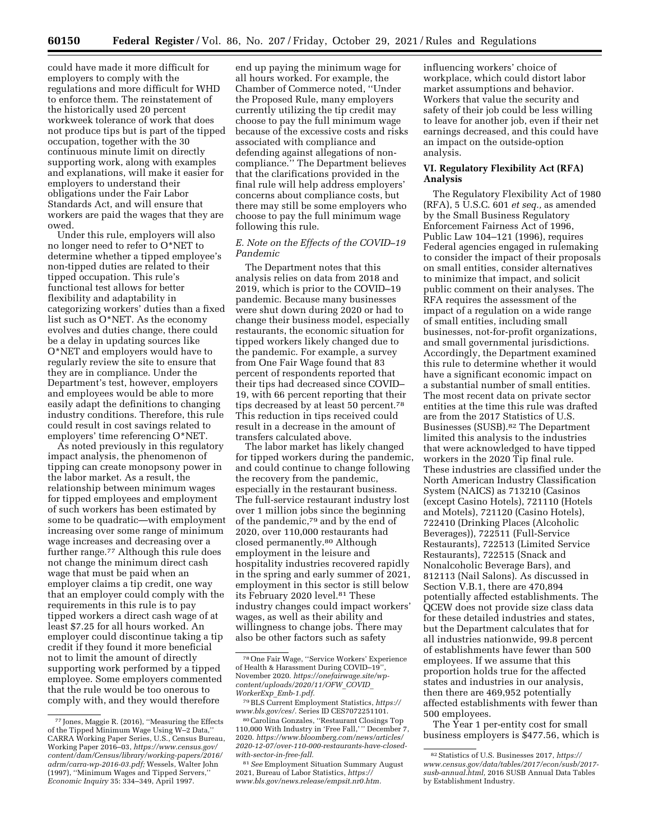could have made it more difficult for employers to comply with the regulations and more difficult for WHD to enforce them. The reinstatement of the historically used 20 percent workweek tolerance of work that does not produce tips but is part of the tipped occupation, together with the 30 continuous minute limit on directly supporting work, along with examples and explanations, will make it easier for employers to understand their obligations under the Fair Labor Standards Act, and will ensure that workers are paid the wages that they are owed.

Under this rule, employers will also no longer need to refer to O\*NET to determine whether a tipped employee's non-tipped duties are related to their tipped occupation. This rule's functional test allows for better flexibility and adaptability in categorizing workers' duties than a fixed list such as O\*NET. As the economy evolves and duties change, there could be a delay in updating sources like O\*NET and employers would have to regularly review the site to ensure that they are in compliance. Under the Department's test, however, employers and employees would be able to more easily adapt the definitions to changing industry conditions. Therefore, this rule could result in cost savings related to employers' time referencing O\*NET.

As noted previously in this regulatory impact analysis, the phenomenon of tipping can create monopsony power in the labor market. As a result, the relationship between minimum wages for tipped employees and employment of such workers has been estimated by some to be quadratic—with employment increasing over some range of minimum wage increases and decreasing over a further range.77 Although this rule does not change the minimum direct cash wage that must be paid when an employer claims a tip credit, one way that an employer could comply with the requirements in this rule is to pay tipped workers a direct cash wage of at least \$7.25 for all hours worked. An employer could discontinue taking a tip credit if they found it more beneficial not to limit the amount of directly supporting work performed by a tipped employee. Some employers commented that the rule would be too onerous to comply with, and they would therefore

end up paying the minimum wage for all hours worked. For example, the Chamber of Commerce noted, ''Under the Proposed Rule, many employers currently utilizing the tip credit may choose to pay the full minimum wage because of the excessive costs and risks associated with compliance and defending against allegations of noncompliance.'' The Department believes that the clarifications provided in the final rule will help address employers' concerns about compliance costs, but there may still be some employers who choose to pay the full minimum wage following this rule.

# *E. Note on the Effects of the COVID–19 Pandemic*

The Department notes that this analysis relies on data from 2018 and 2019, which is prior to the COVID–19 pandemic. Because many businesses were shut down during 2020 or had to change their business model, especially restaurants, the economic situation for tipped workers likely changed due to the pandemic. For example, a survey from One Fair Wage found that 83 percent of respondents reported that their tips had decreased since COVID– 19, with 66 percent reporting that their tips decreased by at least 50 percent.78 This reduction in tips received could result in a decrease in the amount of transfers calculated above.

The labor market has likely changed for tipped workers during the pandemic, and could continue to change following the recovery from the pandemic, especially in the restaurant business. The full-service restaurant industry lost over 1 million jobs since the beginning of the pandemic,79 and by the end of 2020, over 110,000 restaurants had closed permanently.80 Although employment in the leisure and hospitality industries recovered rapidly in the spring and early summer of 2021, employment in this sector is still below its February 2020 level.<sup>81</sup> These industry changes could impact workers' wages, as well as their ability and willingness to change jobs. There may also be other factors such as safety

influencing workers' choice of workplace, which could distort labor market assumptions and behavior. Workers that value the security and safety of their job could be less willing to leave for another job, even if their net earnings decreased, and this could have an impact on the outside-option analysis.

# **VI. Regulatory Flexibility Act (RFA) Analysis**

The Regulatory Flexibility Act of 1980 (RFA), 5 U.S.C. 601 *et seq.,* as amended by the Small Business Regulatory Enforcement Fairness Act of 1996, Public Law 104–121 (1996), requires Federal agencies engaged in rulemaking to consider the impact of their proposals on small entities, consider alternatives to minimize that impact, and solicit public comment on their analyses. The RFA requires the assessment of the impact of a regulation on a wide range of small entities, including small businesses, not-for-profit organizations, and small governmental jurisdictions. Accordingly, the Department examined this rule to determine whether it would have a significant economic impact on a substantial number of small entities. The most recent data on private sector entities at the time this rule was drafted are from the 2017 Statistics of U.S. Businesses (SUSB).82 The Department limited this analysis to the industries that were acknowledged to have tipped workers in the 2020 Tip final rule. These industries are classified under the North American Industry Classification System (NAICS) as 713210 (Casinos (except Casino Hotels), 721110 (Hotels and Motels), 721120 (Casino Hotels), 722410 (Drinking Places (Alcoholic Beverages)), 722511 (Full-Service Restaurants), 722513 (Limited Service Restaurants), 722515 (Snack and Nonalcoholic Beverage Bars), and 812113 (Nail Salons). As discussed in Section V.B.1, there are 470,894 potentially affected establishments. The QCEW does not provide size class data for these detailed industries and states, but the Department calculates that for all industries nationwide, 99.8 percent of establishments have fewer than 500 employees. If we assume that this proportion holds true for the affected states and industries in our analysis, then there are 469,952 potentially affected establishments with fewer than 500 employees.

The Year 1 per-entity cost for small business employers is \$477.56, which is

<sup>77</sup> Jones, Maggie R. (2016), ''Measuring the Effects of the Tipped Minimum Wage Using W–2 Data,'' CARRA Working Paper Series, U.S., Census Bureau, Working Paper 2016–03, *[https://www.census.gov/](https://www.census.gov/content/dam/Census/library/working-papers/2016/adrm/carra-wp-2016-03.pdf)  [content/dam/Census/library/working-papers/2016/](https://www.census.gov/content/dam/Census/library/working-papers/2016/adrm/carra-wp-2016-03.pdf)  [adrm/carra-wp-2016-03.pdf;](https://www.census.gov/content/dam/Census/library/working-papers/2016/adrm/carra-wp-2016-03.pdf)* Wessels, Walter John (1997), ''Minimum Wages and Tipped Servers,'' *Economic Inquiry* 35: 334–349, April 1997.

<sup>78</sup>One Fair Wage, ''Service Workers' Experience of Health & Harassment During COVID–19'', November 2020. *[https://onefairwage.site/wp](https://onefairwage.site/wp-content/uploads/2020/11/OFW_COVID_WorkerExp_Emb-1.pdf)[content/uploads/2020/11/OFW](https://onefairwage.site/wp-content/uploads/2020/11/OFW_COVID_WorkerExp_Emb-1.pdf)*\_*COVID*\_ *[WorkerExp](https://onefairwage.site/wp-content/uploads/2020/11/OFW_COVID_WorkerExp_Emb-1.pdf)*\_*Emb-1.pdf.* 

<sup>79</sup>BLS Current Employment Statistics, *[https://](https://www.bls.gov/ces/) [www.bls.gov/ces/.](https://www.bls.gov/ces/)* Series ID CES7072251101.

<sup>80</sup>Carolina Gonzales, ''Restaurant Closings Top 110,000 With Industry in 'Free Fall,'" December 7, 2020. *[https://www.bloomberg.com/news/articles/](https://www.bloomberg.com/news/articles/2020-12-07/over-110-000-restaurants-have-closed-with-sector-in-free-fall) [2020-12-07/over-110-000-restaurants-have-closed](https://www.bloomberg.com/news/articles/2020-12-07/over-110-000-restaurants-have-closed-with-sector-in-free-fall)[with-sector-in-free-fall.](https://www.bloomberg.com/news/articles/2020-12-07/over-110-000-restaurants-have-closed-with-sector-in-free-fall)* 

<sup>81</sup>*See* Employment Situation Summary August 2021, Bureau of Labor Statistics, *[https://](https://www.bls.gov/news.release/empsit.nr0.htm) [www.bls.gov/news.release/empsit.nr0.htm.](https://www.bls.gov/news.release/empsit.nr0.htm)* 

<sup>82</sup>Statistics of U.S. Businesses 2017, *[https://](https://www.census.gov/data/tables/2017/econ/susb/2017-susb-annual.html) [www.census.gov/data/tables/2017/econ/susb/2017](https://www.census.gov/data/tables/2017/econ/susb/2017-susb-annual.html) [susb-annual.html,](https://www.census.gov/data/tables/2017/econ/susb/2017-susb-annual.html)* 2016 SUSB Annual Data Tables by Establishment Industry.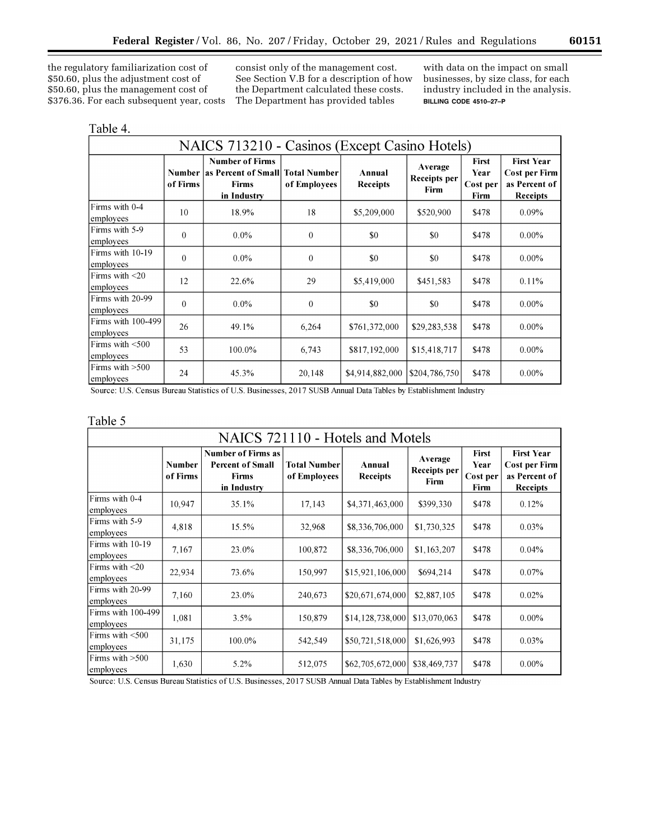the regulatory familiarization cost of \$50.60, plus the adjustment cost of \$50.60, plus the management cost of \$376.36. For each subsequent year, costs

consist only of the management cost. See Section V.B for a description of how the Department calculated these costs. The Department has provided tables

with data on the impact on small businesses, by size class, for each industry included in the analysis. **BILLING CODE 4510–27–P** 

|--|--|

| NAICS 713210 - Casinos (Except Casino Hotels) |          |                                                                                                             |              |                           |                                 |                                   |                                                                        |  |  |  |
|-----------------------------------------------|----------|-------------------------------------------------------------------------------------------------------------|--------------|---------------------------|---------------------------------|-----------------------------------|------------------------------------------------------------------------|--|--|--|
|                                               | of Firms | <b>Number of Firms</b><br><b>Number   as Percent of Small   Total Number</b><br><b>Firms</b><br>in Industry | of Employees | Annual<br><b>Receipts</b> | Average<br>Receipts per<br>Firm | First<br>Year<br>Cost per<br>Firm | <b>First Year</b><br>Cost per Firm<br>as Percent of<br><b>Receipts</b> |  |  |  |
| Firms with 0-4<br>employees                   | 10       | 18.9%                                                                                                       | 18           | \$5,209,000               | \$520,900                       | \$478                             | 0.09%                                                                  |  |  |  |
| Firms with 5-9<br>employees                   | $\theta$ | $0.0\%$                                                                                                     | $\theta$     | \$0                       | \$0                             | \$478                             | $0.00\%$                                                               |  |  |  |
| Firms with 10-19<br>employees                 | $\Omega$ | $0.0\%$                                                                                                     | $\mathbf{0}$ | \$0                       | \$0                             | \$478                             | $0.00\%$                                                               |  |  |  |
| Firms with $\leq 20$<br>employees             | 12       | 22.6%                                                                                                       | 29           | \$5,419,000               | \$451,583                       | \$478                             | 0.11%                                                                  |  |  |  |
| Firms with 20-99<br>employees                 | $\Omega$ | $0.0\%$                                                                                                     | $\mathbf{0}$ | \$0                       | \$0                             | \$478                             | $0.00\%$                                                               |  |  |  |
| Firms with 100-499<br>employees               | 26       | 49.1%                                                                                                       | 6,264        | \$761,372,000             | \$29,283,538                    | \$478                             | $0.00\%$                                                               |  |  |  |
| Firms with $<$ 500<br>employees               | 53       | 100.0%                                                                                                      | 6.743        | \$817,192,000             | \$15,418,717                    | \$478                             | $0.00\%$                                                               |  |  |  |
| Firms with $>500$<br>employees                | 24       | 45.3%                                                                                                       | 20,148       | \$4,914,882,000           | \$204,786,750                   | \$478                             | $0.00\%$                                                               |  |  |  |

Source: U.S. Census Bureau Statistics of U.S. Businesses, 2017 SUSB Annual Data Tables by Establishment Industry

# **Table 5**

| NAICS 721110 - Hotels and Motels |                    |                                                                                     |                                     |                           |                                        |                                   |                                                                               |  |  |  |  |
|----------------------------------|--------------------|-------------------------------------------------------------------------------------|-------------------------------------|---------------------------|----------------------------------------|-----------------------------------|-------------------------------------------------------------------------------|--|--|--|--|
|                                  | Number<br>of Firms | <b>Number of Firms as</b><br><b>Percent of Small</b><br><b>Firms</b><br>in Industry | <b>Total Number</b><br>of Employees | Annual<br><b>Receipts</b> | Average<br>Receipts per<br><b>Firm</b> | First<br>Year<br>Cost per<br>Firm | <b>First Year</b><br><b>Cost per Firm</b><br>as Percent of<br><b>Receipts</b> |  |  |  |  |
| Firms with 0-4<br>employees      | 10.947             | 35.1%                                                                               | 17,143                              | \$4,371,463,000           | \$399.330                              | \$478                             | 0.12%                                                                         |  |  |  |  |
| Firms with 5-9<br>employees      | 4.818              | 15.5%                                                                               | 32,968                              | \$8,336,706,000           | \$1,730,325                            | \$478                             | 0.03%                                                                         |  |  |  |  |
| Firms with 10-19<br>employees    | 7,167              | 23.0%                                                                               | 100,872                             | \$8,336,706,000           | \$1,163,207                            | \$478                             | 0.04%                                                                         |  |  |  |  |
| Firms with <20<br>employees      | 22,934             | 73.6%                                                                               | 150,997                             | \$15,921,106,000          | \$694,214                              | \$478                             | 0.07%                                                                         |  |  |  |  |
| Firms with 20-99<br>employees    | 7,160              | 23.0%                                                                               | 240,673                             | \$20,671,674,000          | \$2,887,105                            | \$478                             | 0.02%                                                                         |  |  |  |  |
| Firms with 100-499 <br>employees | 1.081              | 3.5%                                                                                | 150,879                             | \$14,128,738,000          | \$13,070,063                           | \$478                             | $0.00\%$                                                                      |  |  |  |  |
| Firms with <500<br>employees     | 31,175             | 100.0%                                                                              | 542,549                             | \$50,721,518,000          | \$1,626,993                            | \$478                             | 0.03%                                                                         |  |  |  |  |
| Firms with >500<br>employees     | 1,630              | $5.2\%$                                                                             | 512,075                             | \$62,705,672,000          | \$38,469,737                           | \$478                             | $0.00\%$                                                                      |  |  |  |  |

Source: U.S. Census Bureau Statistics of U.S. Businesses, 2017 SUSB Annual Data Tables by Establishment Industry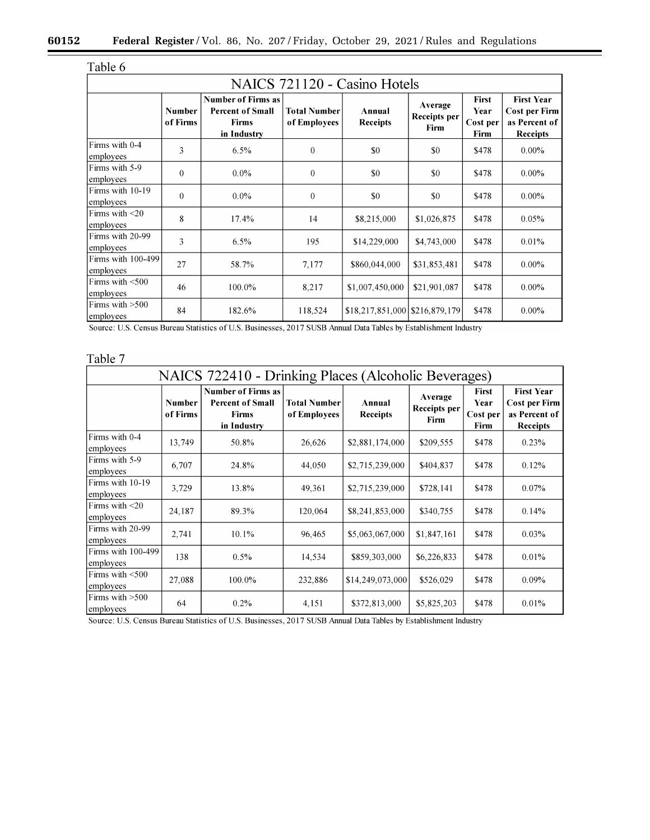| Table 6                         |                    |                                                                              |                                     |                                |                                 |                                          |                                                                        |  |  |  |  |
|---------------------------------|--------------------|------------------------------------------------------------------------------|-------------------------------------|--------------------------------|---------------------------------|------------------------------------------|------------------------------------------------------------------------|--|--|--|--|
| NAICS 721120 - Casino Hotels    |                    |                                                                              |                                     |                                |                                 |                                          |                                                                        |  |  |  |  |
|                                 | Number<br>of Firms | Number of Firms as<br><b>Percent of Small</b><br><b>Firms</b><br>in Industry | <b>Total Number</b><br>of Employees | Annual<br><b>Receipts</b>      | Average<br>Receipts per<br>Firm | <b>First</b><br>Year<br>Cost per<br>Firm | <b>First Year</b><br>Cost per Firm<br>as Percent of<br><b>Receipts</b> |  |  |  |  |
| Firms with 0-4<br>employees     | 3                  | 6.5%                                                                         | $\Omega$                            | \$0                            | \$0                             | \$478                                    | $0.00\%$                                                               |  |  |  |  |
| Firms with 5-9<br>employees     | $\Omega$           | $0.0\%$                                                                      | $\theta$                            | \$0                            | \$0                             | \$478                                    | $0.00\%$                                                               |  |  |  |  |
| Firms with 10-19<br>employees   | $\theta$           | $0.0\%$                                                                      | $\theta$                            | \$0                            | \$0                             | \$478                                    | $0.00\%$                                                               |  |  |  |  |
| Firms with <20<br>employees     | 8                  | 17.4%                                                                        | 14                                  | \$8,215,000                    | \$1,026,875                     | \$478                                    | 0.05%                                                                  |  |  |  |  |
| Firms with 20-99<br>employees   | 3                  | 6.5%                                                                         | 195                                 | \$14,229,000                   | \$4,743,000                     | \$478                                    | 0.01%                                                                  |  |  |  |  |
| Firms with 100-499<br>employees | 27                 | 58.7%                                                                        | 7,177                               | \$860,044,000                  | \$31,853,481                    | \$478                                    | $0.00\%$                                                               |  |  |  |  |
| Firms with <500<br>employees    | 46                 | 100.0%                                                                       | 8,217                               | \$1,007,450,000                | \$21,901,087                    | \$478                                    | $0.00\%$                                                               |  |  |  |  |
| Firms with $>500$<br>employees  | 84                 | 182.6%                                                                       | 118,524                             | \$18,217,851,000 \$216,879,179 |                                 | \$478                                    | $0.00\%$                                                               |  |  |  |  |

Source: U.S. Census Bureau Statistics of U.S. Businesses, 2017 SUSB Annual Data Tables by Establishment Industry

# Table 7

| NAICS 722410 - Drinking Places (Alcoholic Beverages) |                    |                                                                                     |                                     |                           |                                 |                                          |                                                                               |  |  |
|------------------------------------------------------|--------------------|-------------------------------------------------------------------------------------|-------------------------------------|---------------------------|---------------------------------|------------------------------------------|-------------------------------------------------------------------------------|--|--|
|                                                      | Number<br>of Firms | <b>Number of Firms as</b><br><b>Percent of Small</b><br><b>Firms</b><br>in Industry | <b>Total Number</b><br>of Employees | Annual<br><b>Receipts</b> | Average<br>Receipts per<br>Firm | <b>First</b><br>Year<br>Cost per<br>Firm | <b>First Year</b><br><b>Cost per Firm</b><br>as Percent of<br><b>Receipts</b> |  |  |
| Firms with 0-4<br>employees                          | 13,749             | 50.8%                                                                               | 26,626                              | \$2,881,174,000           | \$209,555                       | \$478                                    | 0.23%                                                                         |  |  |
| Firms with 5-9<br>employees                          | 6,707              | 24.8%                                                                               | 44,050                              | \$2,715,239,000           | \$404,837                       | \$478                                    | 0.12%                                                                         |  |  |
| Firms with 10-19<br>employees                        | 3,729              | 13.8%                                                                               | 49,361                              | \$2,715,239,000           | \$728,141                       | \$478                                    | 0.07%                                                                         |  |  |
| Firms with $\leq$ 20<br>employees                    | 24,187             | 89.3%                                                                               | 120,064                             | \$8,241,853,000           | \$340,755                       | \$478                                    | 0.14%                                                                         |  |  |
| Firms with 20-99<br>employees                        | 2,741              | 10.1%                                                                               | 96,465                              | \$5,063,067,000           | \$1,847,161                     | \$478                                    | 0.03%                                                                         |  |  |
| Firms with 100-499<br>employees                      | 138                | 0.5%                                                                                | 14,534                              | \$859,303,000             | \$6,226,833                     | \$478                                    | 0.01%                                                                         |  |  |
| Firms with $\leq 500$<br>employees                   | 27,088             | 100.0%                                                                              | 232,886                             | \$14,249,073,000          | \$526,029                       | \$478                                    | 0.09%                                                                         |  |  |
| Firms with $>500$<br>employees                       | 64                 | $0.2\%$                                                                             | 4,151                               | \$372,813,000             | \$5,825,203                     | \$478                                    | 0.01%                                                                         |  |  |

Source: U.S. Census Bureau Statistics of U.S. Businesses, 2017 SUSB Annual Data Tables by Establishment Industry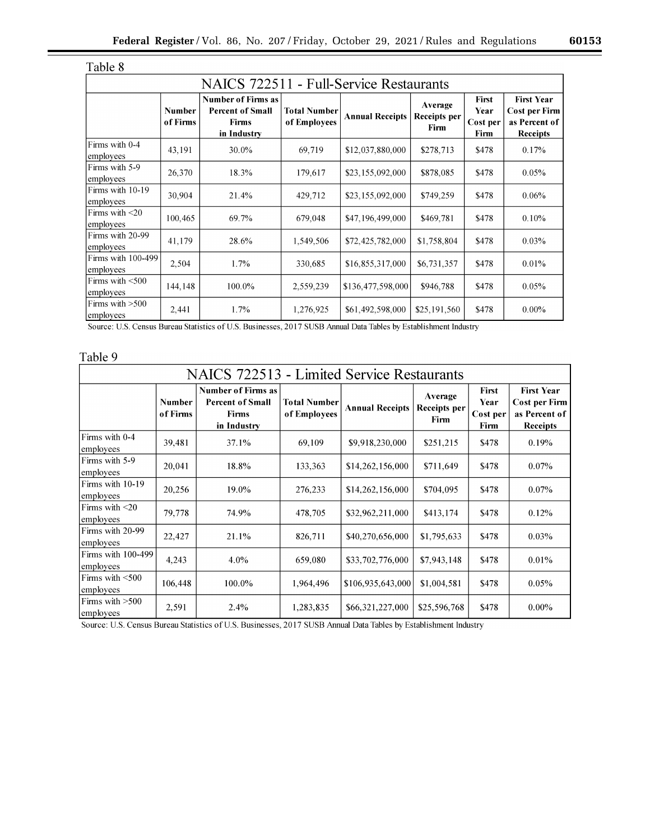| Table 8                                 |                           |                                                                                     |                                     |                        |                                 |                                   |                                                                        |  |  |  |  |
|-----------------------------------------|---------------------------|-------------------------------------------------------------------------------------|-------------------------------------|------------------------|---------------------------------|-----------------------------------|------------------------------------------------------------------------|--|--|--|--|
| NAICS 722511 - Full-Service Restaurants |                           |                                                                                     |                                     |                        |                                 |                                   |                                                                        |  |  |  |  |
|                                         | <b>Number</b><br>of Firms | <b>Number of Firms as</b><br><b>Percent of Small</b><br><b>Firms</b><br>in Industry | <b>Total Number</b><br>of Employees | <b>Annual Receipts</b> | Average<br>Receipts per<br>Firm | First<br>Year<br>Cost per<br>Firm | <b>First Year</b><br>Cost per Firm<br>as Percent of<br><b>Receipts</b> |  |  |  |  |
| Firms with 0-4<br>employees             | 43,191                    | 30.0%                                                                               | 69,719                              | \$12,037,880,000       | \$278,713                       | \$478                             | 0.17%                                                                  |  |  |  |  |
| Firms with 5-9<br>employees             | 26,370                    | 18.3%                                                                               | 179,617                             | \$23,155,092,000       | \$878,085                       | \$478                             | 0.05%                                                                  |  |  |  |  |
| Firms with 10-19<br>employees           | 30,904                    | 21.4%                                                                               | 429,712                             | \$23,155,092,000       | \$749,259                       | \$478                             | $0.06\%$                                                               |  |  |  |  |
| Firms with $\leq$ 20<br>employees       | 100,465                   | 69.7%                                                                               | 679,048                             | \$47,196,499,000       | \$469,781                       | \$478                             | 0.10%                                                                  |  |  |  |  |
| Firms with 20-99<br>employees           | 41,179                    | 28.6%                                                                               | 1,549,506                           | \$72,425,782,000       | \$1,758,804                     | \$478                             | 0.03%                                                                  |  |  |  |  |
| Firms with 100-499<br>employees         | 2,504                     | 1.7%                                                                                | 330,685                             | \$16,855,317,000       | \$6,731,357                     | \$478                             | 0.01%                                                                  |  |  |  |  |
| Firms with $<$ 500<br>employees         | 144,148                   | 100.0%                                                                              | 2,559,239                           | \$136,477,598,000      | \$946,788                       | \$478                             | 0.05%                                                                  |  |  |  |  |
| Firms with $>500$<br>employees          | 2,441                     | 1.7%                                                                                | 1,276,925                           | \$61,492,598,000       | \$25,191,560                    | \$478                             | $0.00\%$                                                               |  |  |  |  |

Source: U.S. Census Bureau Statistics of U.S. Businesses, 2017 SUSB Annual Data Tables by Establishment Industry

# Table 9

| NAICS 722513 - Limited Service Restaurants |                           |                                                                                     |                                     |                        |                                 |                                   |                                                                        |  |  |  |
|--------------------------------------------|---------------------------|-------------------------------------------------------------------------------------|-------------------------------------|------------------------|---------------------------------|-----------------------------------|------------------------------------------------------------------------|--|--|--|
|                                            | <b>Number</b><br>of Firms | <b>Number of Firms as</b><br><b>Percent of Small</b><br><b>Firms</b><br>in Industry | <b>Total Number</b><br>of Employees | <b>Annual Receipts</b> | Average<br>Receipts per<br>Firm | First<br>Year<br>Cost per<br>Firm | <b>First Year</b><br>Cost per Firm<br>as Percent of<br><b>Receipts</b> |  |  |  |
| Firms with 0-4<br>employees                | 39,481                    | 37.1%                                                                               | 69,109                              | \$9,918,230,000        | \$251,215                       | \$478                             | 0.19%                                                                  |  |  |  |
| Firms with 5-9<br>employees                | 20,041                    | 18.8%                                                                               | 133,363                             | \$14,262,156,000       | \$711,649                       | \$478                             | 0.07%                                                                  |  |  |  |
| Firms with 10-19<br>employees              | 20,256                    | 19.0%                                                                               | 276,233                             | \$14,262,156,000       | \$704,095                       | \$478                             | $0.07\%$                                                               |  |  |  |
| Firms with $\leq$ 20<br>employees          | 79,778                    | 74.9%                                                                               | 478,705                             | \$32,962,211,000       | \$413,174                       | \$478                             | 0.12%                                                                  |  |  |  |
| Firms with 20-99<br>employees              | 22,427                    | 21.1%                                                                               | 826,711                             | \$40,270,656,000       | \$1,795,633                     | \$478                             | $0.03\%$                                                               |  |  |  |
| Firms with 100-499<br>employees            | 4,243                     | $4.0\%$                                                                             | 659,080                             | \$33,702,776,000       | \$7,943,148                     | \$478                             | 0.01%                                                                  |  |  |  |
| Firms with $\leq 500$<br>employees         | 106,448                   | 100.0%                                                                              | 1,964,496                           | \$106,935,643,000      | \$1,004,581                     | \$478                             | 0.05%                                                                  |  |  |  |
| Firms with $>500$<br>employees             | 2,591                     | 2.4%                                                                                | 1,283,835                           | \$66,321,227,000       | \$25,596,768                    | \$478                             | $0.00\%$                                                               |  |  |  |

Source: U.S. Census Bureau Statistics of U.S. Businesses, 2017 SUSB Annual Data Tables by Establishment Indnstry

۰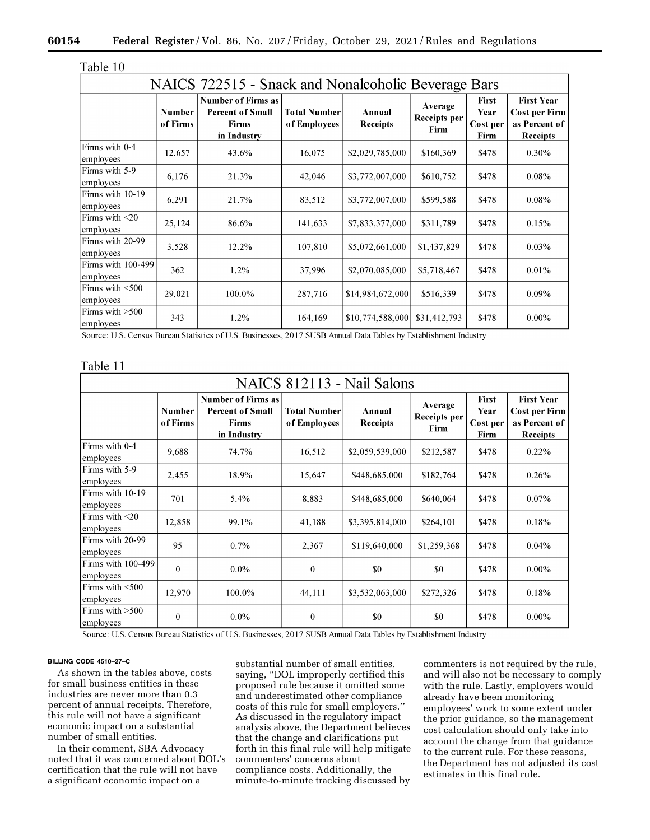Table 10

| NAICS 722515 - Snack and Nonalcoholic Beverage Bars |                           |                                                                              |                                     |                           |                                 |                                   |                                                                        |  |  |  |  |
|-----------------------------------------------------|---------------------------|------------------------------------------------------------------------------|-------------------------------------|---------------------------|---------------------------------|-----------------------------------|------------------------------------------------------------------------|--|--|--|--|
|                                                     | <b>Number</b><br>of Firms | <b>Number of Firms as</b><br><b>Percent of Small</b><br>Firms<br>in Industry | <b>Total Number</b><br>of Employees | Annual<br><b>Receipts</b> | Average<br>Receipts per<br>Firm | First<br>Year<br>Cost per<br>Firm | <b>First Year</b><br>Cost per Firm<br>as Percent of<br><b>Receipts</b> |  |  |  |  |
| Firms with 0-4<br>employees                         | 12,657                    | 43.6%                                                                        | 16,075                              | \$2,029,785,000           | \$160,369                       | \$478                             | $0.30\%$                                                               |  |  |  |  |
| Firms with 5-9<br>employees                         | 6,176                     | 21.3%                                                                        | 42,046                              | \$3,772,007,000           | \$610,752                       | \$478                             | 0.08%                                                                  |  |  |  |  |
| Firms with 10-19<br>employees                       | 6,291                     | 21.7%                                                                        | 83,512                              | \$3,772,007,000           | \$599,588                       | \$478                             | 0.08%                                                                  |  |  |  |  |
| Firms with $\leq 20$<br>employees                   | 25,124                    | 86.6%                                                                        | 141,633                             | \$7,833,377,000           | \$311,789                       | \$478                             | 0.15%                                                                  |  |  |  |  |
| Firms with 20-99<br>employees                       | 3,528                     | 12.2%                                                                        | 107,810                             | \$5,072,661,000           | \$1,437,829                     | \$478                             | 0.03%                                                                  |  |  |  |  |
| Firms with 100-499<br>employees                     | 362                       | $1.2\%$                                                                      | 37,996                              | \$2,070,085,000           | \$5,718,467                     | \$478                             | 0.01%                                                                  |  |  |  |  |
| Firms with $\leq 500$<br>employees                  | 29,021                    | 100.0%                                                                       | 287,716                             | \$14,984,672,000          | \$516,339                       | \$478                             | $0.09\%$                                                               |  |  |  |  |
| Firms with $>500$<br>employees                      | 343                       | $1.2\%$                                                                      | 164,169                             | \$10,774,588,000          | \$31,412,793                    | \$478                             | $0.00\%$                                                               |  |  |  |  |

Source: U.S. Census Bureau Statistics of U.S. Businesses, 2017 SUSB Annual Data Tables by Establishment Industry

| н |  |  |
|---|--|--|
|---|--|--|

| NAICS 812113 - Nail Salons         |                    |                                                                                     |                                     |                           |                                        |                                   |                                                                        |  |  |
|------------------------------------|--------------------|-------------------------------------------------------------------------------------|-------------------------------------|---------------------------|----------------------------------------|-----------------------------------|------------------------------------------------------------------------|--|--|
|                                    | Number<br>of Firms | <b>Number of Firms as</b><br><b>Percent of Small</b><br><b>Firms</b><br>in Industry | <b>Total Number</b><br>of Employees | Annual<br><b>Receipts</b> | Average<br>Receipts per<br><b>Firm</b> | First<br>Year<br>Cost per<br>Firm | <b>First Year</b><br>Cost per Firm<br>as Percent of<br><b>Receipts</b> |  |  |
| Firms with 0-4<br>employees        | 9.688              | 74.7%                                                                               | 16,512                              | \$2,059,539,000           | \$212,587                              | \$478                             | 0.22%                                                                  |  |  |
| Firms with 5-9<br>employees        | 2.455              | 18.9%                                                                               | 15.647                              | \$448,685,000             | \$182,764                              | \$478                             | 0.26%                                                                  |  |  |
| Firms with 10-19<br>employees      | 701                | $5.4\%$                                                                             | 8.883                               | \$448,685,000             | \$640,064                              | \$478                             | 0.07%                                                                  |  |  |
| Firms with $\leq$ 20<br>employees  | 12,858             | 99.1%                                                                               | 41,188                              | \$3,395,814,000           | \$264,101                              | \$478                             | 0.18%                                                                  |  |  |
| Firms with 20-99<br>employees      | 95                 | $0.7\%$                                                                             | 2,367                               | \$119,640,000             | \$1,259,368                            | \$478                             | $0.04\%$                                                               |  |  |
| Firms with 100-499<br>employees    | $\theta$           | $0.0\%$                                                                             | $\theta$                            | \$0                       | \$0                                    | \$478                             | $0.00\%$                                                               |  |  |
| Firms with $\leq 500$<br>employees | 12,970             | 100.0%                                                                              | 44,111                              | \$3,532,063,000           | \$272,326                              | \$478                             | 0.18%                                                                  |  |  |
| Firms with $>500$<br>employees     | $\theta$           | $0.0\%$                                                                             | $\theta$                            | \$0                       | \$0                                    | \$478                             | $0.00\%$                                                               |  |  |

Source: U.S. Census Bureau Statistics of U.S. Businesses, 2017 SUSB Annual Data Tables by Establishment Industry

# **BILLING CODE 4510–27–C**

As shown in the tables above, costs for small business entities in these industries are never more than 0.3 percent of annual receipts. Therefore, this rule will not have a significant economic impact on a substantial number of small entities.

In their comment, SBA Advocacy noted that it was concerned about DOL's certification that the rule will not have a significant economic impact on a

substantial number of small entities, saying, ''DOL improperly certified this proposed rule because it omitted some and underestimated other compliance costs of this rule for small employers.'' As discussed in the regulatory impact analysis above, the Department believes that the change and clarifications put forth in this final rule will help mitigate commenters' concerns about compliance costs. Additionally, the minute-to-minute tracking discussed by commenters is not required by the rule, and will also not be necessary to comply with the rule. Lastly, employers would already have been monitoring employees' work to some extent under the prior guidance, so the management cost calculation should only take into account the change from that guidance to the current rule. For these reasons, the Department has not adjusted its cost estimates in this final rule.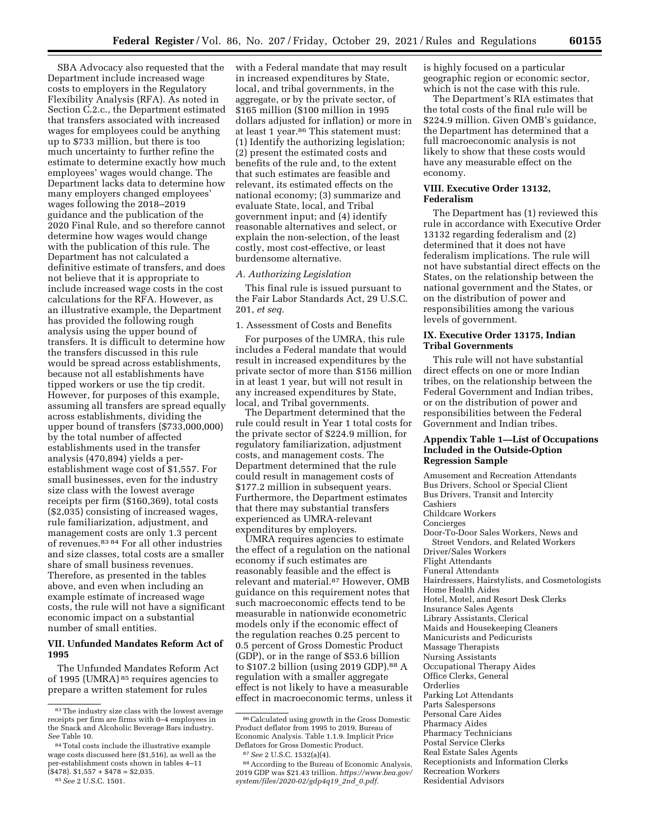SBA Advocacy also requested that the Department include increased wage costs to employers in the Regulatory Flexibility Analysis (RFA). As noted in Section C.2.c., the Department estimated that transfers associated with increased wages for employees could be anything up to \$733 million, but there is too much uncertainty to further refine the estimate to determine exactly how much employees' wages would change. The Department lacks data to determine how many employers changed employees' wages following the 2018–2019 guidance and the publication of the 2020 Final Rule, and so therefore cannot determine how wages would change with the publication of this rule. The Department has not calculated a definitive estimate of transfers, and does not believe that it is appropriate to include increased wage costs in the cost calculations for the RFA. However, as an illustrative example, the Department has provided the following rough analysis using the upper bound of transfers. It is difficult to determine how the transfers discussed in this rule would be spread across establishments, because not all establishments have tipped workers or use the tip credit. However, for purposes of this example, assuming all transfers are spread equally across establishments, dividing the upper bound of transfers (\$733,000,000) by the total number of affected establishments used in the transfer analysis (470,894) yields a perestablishment wage cost of \$1,557. For small businesses, even for the industry size class with the lowest average receipts per firm (\$160,369), total costs (\$2,035) consisting of increased wages, rule familiarization, adjustment, and management costs are only 1.3 percent of revenues.83 84 For all other industries and size classes, total costs are a smaller share of small business revenues. Therefore, as presented in the tables above, and even when including an example estimate of increased wage costs, the rule will not have a significant economic impact on a substantial number of small entities.

# **VII. Unfunded Mandates Reform Act of 1995**

The Unfunded Mandates Reform Act of 1995 (UMRA) 85 requires agencies to prepare a written statement for rules

with a Federal mandate that may result in increased expenditures by State, local, and tribal governments, in the aggregate, or by the private sector, of \$165 million (\$100 million in 1995 dollars adjusted for inflation) or more in at least 1 year.<sup>86</sup> This statement must: (1) Identify the authorizing legislation; (2) present the estimated costs and benefits of the rule and, to the extent that such estimates are feasible and relevant, its estimated effects on the national economy; (3) summarize and evaluate State, local, and Tribal government input; and (4) identify reasonable alternatives and select, or explain the non-selection, of the least costly, most cost-effective, or least burdensome alternative.

#### *A. Authorizing Legislation*

This final rule is issued pursuant to the Fair Labor Standards Act, 29 U.S.C. 201, *et seq.* 

1. Assessment of Costs and Benefits

For purposes of the UMRA, this rule includes a Federal mandate that would result in increased expenditures by the private sector of more than \$156 million in at least 1 year, but will not result in any increased expenditures by State, local, and Tribal governments.

The Department determined that the rule could result in Year 1 total costs for the private sector of \$224.9 million, for regulatory familiarization, adjustment costs, and management costs. The Department determined that the rule could result in management costs of \$177.2 million in subsequent years. Furthermore, the Department estimates that there may substantial transfers experienced as UMRA-relevant expenditures by employers.

UMRA requires agencies to estimate the effect of a regulation on the national economy if such estimates are reasonably feasible and the effect is relevant and material.87 However, OMB guidance on this requirement notes that such macroeconomic effects tend to be measurable in nationwide econometric models only if the economic effect of the regulation reaches 0.25 percent to 0.5 percent of Gross Domestic Product (GDP), or in the range of \$53.6 billion to \$107.2 billion (using 2019 GDP).88 A regulation with a smaller aggregate effect is not likely to have a measurable effect in macroeconomic terms, unless it is highly focused on a particular geographic region or economic sector, which is not the case with this rule.

The Department's RIA estimates that the total costs of the final rule will be \$224.9 million. Given OMB's guidance, the Department has determined that a full macroeconomic analysis is not likely to show that these costs would have any measurable effect on the economy.

# **VIII. Executive Order 13132, Federalism**

The Department has (1) reviewed this rule in accordance with Executive Order 13132 regarding federalism and (2) determined that it does not have federalism implications. The rule will not have substantial direct effects on the States, on the relationship between the national government and the States, or on the distribution of power and responsibilities among the various levels of government.

# **IX. Executive Order 13175, Indian Tribal Governments**

This rule will not have substantial direct effects on one or more Indian tribes, on the relationship between the Federal Government and Indian tribes, or on the distribution of power and responsibilities between the Federal Government and Indian tribes.

# **Appendix Table 1—List of Occupations Included in the Outside-Option Regression Sample**

Amusement and Recreation Attendants Bus Drivers, School or Special Client Bus Drivers, Transit and Intercity Cashiers Childcare Workers Concierges Door-To-Door Sales Workers, News and Street Vendors, and Related Workers Driver/Sales Workers Flight Attendants Funeral Attendants Hairdressers, Hairstylists, and Cosmetologists Home Health Aides Hotel, Motel, and Resort Desk Clerks Insurance Sales Agents Library Assistants, Clerical Maids and Housekeeping Cleaners Manicurists and Pedicurists Massage Therapists Nursing Assistants Occupational Therapy Aides Office Clerks, General Orderlies Parking Lot Attendants Parts Salespersons Personal Care Aides Pharmacy Aides Pharmacy Technicians Postal Service Clerks Real Estate Sales Agents Receptionists and Information Clerks Recreation Workers Residential Advisors

<sup>83</sup>The industry size class with the lowest average receipts per firm are firms with 0–4 employees in the Snack and Alcoholic Beverage Bars industry. *See* Table 10.

<sup>84</sup>Total costs include the illustrative example wage costs discussed here (\$1,516), as well as the per-establishment costs shown in tables 4–11  $($ \$478). \$1,557 + \$478 = \$2,035.

<sup>85</sup>*See* 2 U.S.C. 1501.

<sup>86</sup>Calculated using growth in the Gross Domestic Product deflator from 1995 to 2019. Bureau of Economic Analysis. Table 1.1.9. Implicit Price Deflators for Gross Domestic Product.

<sup>87</sup>*See* 2 U.S.C. 1532(a)(4).

<sup>88</sup>According to the Bureau of Economic Analysis, 2019 GDP was \$21.43 trillion. *[https://www.bea.gov/](https://www.bea.gov/system/files/2020-02/gdp4q19_2nd_0.pdf)  [system/files/2020-02/gdp4q19](https://www.bea.gov/system/files/2020-02/gdp4q19_2nd_0.pdf)*\_*2nd*\_*0.pdf.*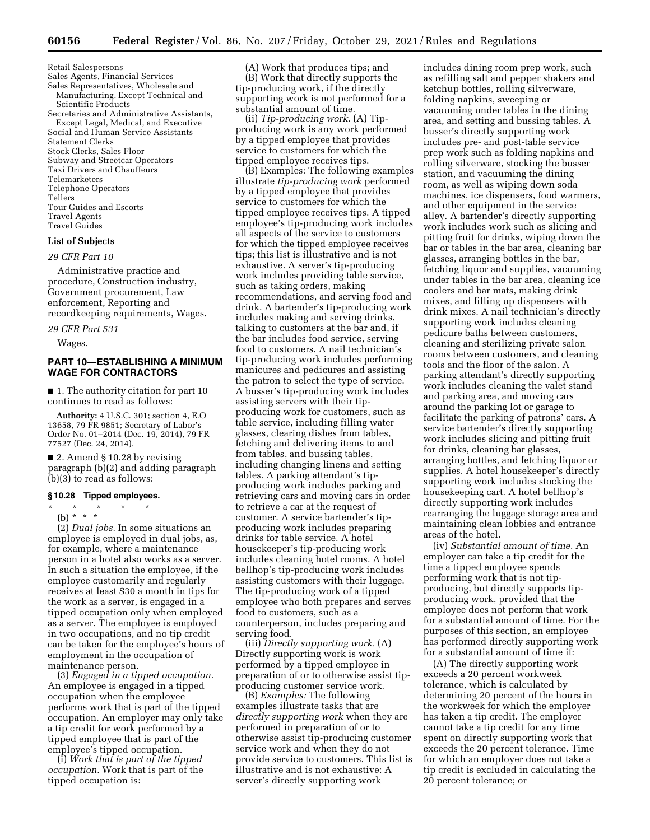Retail Salespersons

- Sales Agents, Financial Services Sales Representatives, Wholesale and Manufacturing, Except Technical and Scientific Products
- Secretaries and Administrative Assistants, Except Legal, Medical, and Executive Social and Human Service Assistants Statement Clerks Stock Clerks, Sales Floor Subway and Streetcar Operators Taxi Drivers and Chauffeurs Telemarketers Telephone Operators
- Tellers
- Tour Guides and Escorts Travel Agents
- Travel Guides

#### **List of Subjects**

#### *29 CFR Part 10*

Administrative practice and procedure, Construction industry, Government procurement, Law enforcement, Reporting and recordkeeping requirements, Wages.

#### *29 CFR Part 531*

Wages.

# **PART 10—ESTABLISHING A MINIMUM WAGE FOR CONTRACTORS**

■ 1. The authority citation for part 10 continues to read as follows:

**Authority:** 4 U.S.C. 301; section 4, E.O 13658, 79 FR 9851; Secretary of Labor's Order No. 01–2014 (Dec. 19, 2014), 79 FR 77527 (Dec. 24, 2014).

■ 2. Amend § 10.28 by revising paragraph (b)(2) and adding paragraph (b)(3) to read as follows:

## **§ 10.28 Tipped employees.**

# \* \* \* \* \*

(b) \* \* \*

(2) *Dual jobs.* In some situations an employee is employed in dual jobs, as, for example, where a maintenance person in a hotel also works as a server. In such a situation the employee, if the employee customarily and regularly receives at least \$30 a month in tips for the work as a server, is engaged in a tipped occupation only when employed as a server. The employee is employed in two occupations, and no tip credit can be taken for the employee's hours of employment in the occupation of maintenance person.

(3) *Engaged in a tipped occupation.*  An employee is engaged in a tipped occupation when the employee performs work that is part of the tipped occupation. An employer may only take a tip credit for work performed by a tipped employee that is part of the employee's tipped occupation.

(i) *Work that is part of the tipped occupation.* Work that is part of the tipped occupation is:

(A) Work that produces tips; and (B) Work that directly supports the tip-producing work, if the directly supporting work is not performed for a substantial amount of time.

(ii) *Tip-producing work.* (A) Tipproducing work is any work performed by a tipped employee that provides service to customers for which the tipped employee receives tips.

(B) Examples: The following examples illustrate *tip-producing work* performed by a tipped employee that provides service to customers for which the tipped employee receives tips. A tipped employee's tip-producing work includes all aspects of the service to customers for which the tipped employee receives tips; this list is illustrative and is not exhaustive. A server's tip-producing work includes providing table service, such as taking orders, making recommendations, and serving food and drink. A bartender's tip-producing work includes making and serving drinks, talking to customers at the bar and, if the bar includes food service, serving food to customers. A nail technician's tip-producing work includes performing manicures and pedicures and assisting the patron to select the type of service. A busser's tip-producing work includes assisting servers with their tipproducing work for customers, such as table service, including filling water glasses, clearing dishes from tables, fetching and delivering items to and from tables, and bussing tables, including changing linens and setting tables. A parking attendant's tipproducing work includes parking and retrieving cars and moving cars in order to retrieve a car at the request of customer. A service bartender's tipproducing work includes preparing drinks for table service. A hotel housekeeper's tip-producing work includes cleaning hotel rooms. A hotel bellhop's tip-producing work includes assisting customers with their luggage. The tip-producing work of a tipped employee who both prepares and serves food to customers, such as a counterperson, includes preparing and serving food.

(iii) *Directly supporting work.* (A) Directly supporting work is work performed by a tipped employee in preparation of or to otherwise assist tipproducing customer service work.

(B) *Examples:* The following examples illustrate tasks that are *directly supporting work* when they are performed in preparation of or to otherwise assist tip-producing customer service work and when they do not provide service to customers. This list is illustrative and is not exhaustive: A server's directly supporting work

includes dining room prep work, such as refilling salt and pepper shakers and ketchup bottles, rolling silverware, folding napkins, sweeping or vacuuming under tables in the dining area, and setting and bussing tables. A busser's directly supporting work includes pre- and post-table service prep work such as folding napkins and rolling silverware, stocking the busser station, and vacuuming the dining room, as well as wiping down soda machines, ice dispensers, food warmers, and other equipment in the service alley. A bartender's directly supporting work includes work such as slicing and pitting fruit for drinks, wiping down the bar or tables in the bar area, cleaning bar glasses, arranging bottles in the bar, fetching liquor and supplies, vacuuming under tables in the bar area, cleaning ice coolers and bar mats, making drink mixes, and filling up dispensers with drink mixes. A nail technician's directly supporting work includes cleaning pedicure baths between customers, cleaning and sterilizing private salon rooms between customers, and cleaning tools and the floor of the salon. A parking attendant's directly supporting work includes cleaning the valet stand and parking area, and moving cars around the parking lot or garage to facilitate the parking of patrons' cars. A service bartender's directly supporting work includes slicing and pitting fruit for drinks, cleaning bar glasses, arranging bottles, and fetching liquor or supplies. A hotel housekeeper's directly supporting work includes stocking the housekeeping cart. A hotel bellhop's directly supporting work includes rearranging the luggage storage area and maintaining clean lobbies and entrance areas of the hotel.

(iv) *Substantial amount of time.* An employer can take a tip credit for the time a tipped employee spends performing work that is not tipproducing, but directly supports tipproducing work, provided that the employee does not perform that work for a substantial amount of time. For the purposes of this section, an employee has performed directly supporting work for a substantial amount of time if:

(A) The directly supporting work exceeds a 20 percent workweek tolerance, which is calculated by determining 20 percent of the hours in the workweek for which the employer has taken a tip credit. The employer cannot take a tip credit for any time spent on directly supporting work that exceeds the 20 percent tolerance. Time for which an employer does not take a tip credit is excluded in calculating the 20 percent tolerance; or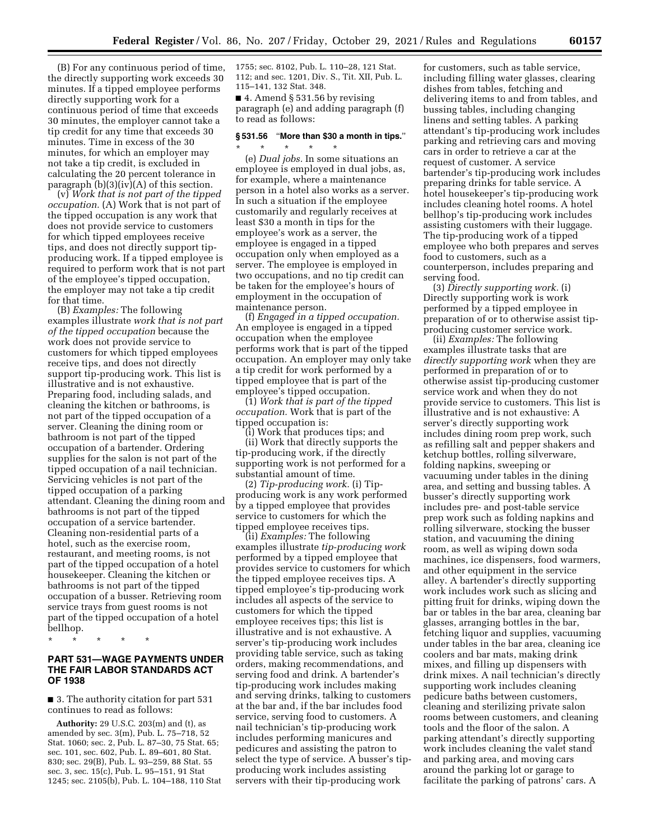(B) For any continuous period of time, the directly supporting work exceeds 30 minutes. If a tipped employee performs directly supporting work for a continuous period of time that exceeds 30 minutes, the employer cannot take a tip credit for any time that exceeds 30 minutes. Time in excess of the 30 minutes, for which an employer may not take a tip credit, is excluded in calculating the 20 percent tolerance in paragraph  $(b)(3)(iv)(A)$  of this section.

(v) *Work that is not part of the tipped occupation.* (A) Work that is not part of the tipped occupation is any work that does not provide service to customers for which tipped employees receive tips, and does not directly support tipproducing work. If a tipped employee is required to perform work that is not part of the employee's tipped occupation, the employer may not take a tip credit for that time.

(B) *Examples:* The following examples illustrate *work that is not part of the tipped occupation* because the work does not provide service to customers for which tipped employees receive tips, and does not directly support tip-producing work. This list is illustrative and is not exhaustive. Preparing food, including salads, and cleaning the kitchen or bathrooms, is not part of the tipped occupation of a server. Cleaning the dining room or bathroom is not part of the tipped occupation of a bartender. Ordering supplies for the salon is not part of the tipped occupation of a nail technician. Servicing vehicles is not part of the tipped occupation of a parking attendant. Cleaning the dining room and bathrooms is not part of the tipped occupation of a service bartender. Cleaning non-residential parts of a hotel, such as the exercise room, restaurant, and meeting rooms, is not part of the tipped occupation of a hotel housekeeper. Cleaning the kitchen or bathrooms is not part of the tipped occupation of a busser. Retrieving room service trays from guest rooms is not part of the tipped occupation of a hotel bellhop.

\* \* \* \* \*

# **PART 531—WAGE PAYMENTS UNDER THE FAIR LABOR STANDARDS ACT OF 1938**

■ 3. The authority citation for part 531 continues to read as follows:

**Authority:** 29 U.S.C. 203(m) and (t), as amended by sec. 3(m), Pub. L. 75–718, 52 Stat. 1060; sec. 2, Pub. L. 87–30, 75 Stat. 65; sec. 101, sec. 602, Pub. L. 89–601, 80 Stat. 830; sec. 29(B), Pub. L. 93–259, 88 Stat. 55 sec. 3, sec. 15(c), Pub. L. 95–151, 91 Stat 1245; sec. 2105(b), Pub. L. 104–188, 110 Stat 1755; sec. 8102, Pub. L. 110–28, 121 Stat. 112; and sec. 1201, Div. S., Tit. XII, Pub. L. 115–141, 132 Stat. 348.

 $\blacksquare$  4. Amend § 531.56 by revising paragraph (e) and adding paragraph (f) to read as follows:

# **§ 531.56** ''**More than \$30 a month in tips.**'' \* \* \* \* \*

(e) *Dual jobs.* In some situations an employee is employed in dual jobs, as, for example, where a maintenance person in a hotel also works as a server. In such a situation if the employee customarily and regularly receives at least \$30 a month in tips for the employee's work as a server, the employee is engaged in a tipped occupation only when employed as a server. The employee is employed in two occupations, and no tip credit can be taken for the employee's hours of employment in the occupation of maintenance person.

(f) *Engaged in a tipped occupation.*  An employee is engaged in a tipped occupation when the employee performs work that is part of the tipped occupation. An employer may only take a tip credit for work performed by a tipped employee that is part of the employee's tipped occupation.

(1) *Work that is part of the tipped occupation.* Work that is part of the tipped occupation is:

(i) Work that produces tips; and (ii) Work that directly supports the tip-producing work, if the directly supporting work is not performed for a substantial amount of time.

(2) *Tip-producing work.* (i) Tipproducing work is any work performed by a tipped employee that provides service to customers for which the tipped employee receives tips.

(ii) *Examples:* The following examples illustrate *tip-producing work*  performed by a tipped employee that provides service to customers for which the tipped employee receives tips. A tipped employee's tip-producing work includes all aspects of the service to customers for which the tipped employee receives tips; this list is illustrative and is not exhaustive. A server's tip-producing work includes providing table service, such as taking orders, making recommendations, and serving food and drink. A bartender's tip-producing work includes making and serving drinks, talking to customers at the bar and, if the bar includes food service, serving food to customers. A nail technician's tip-producing work includes performing manicures and pedicures and assisting the patron to select the type of service. A busser's tipproducing work includes assisting servers with their tip-producing work

for customers, such as table service, including filling water glasses, clearing dishes from tables, fetching and delivering items to and from tables, and bussing tables, including changing linens and setting tables. A parking attendant's tip-producing work includes parking and retrieving cars and moving cars in order to retrieve a car at the request of customer. A service bartender's tip-producing work includes preparing drinks for table service. A hotel housekeeper's tip-producing work includes cleaning hotel rooms. A hotel bellhop's tip-producing work includes assisting customers with their luggage. The tip-producing work of a tipped employee who both prepares and serves food to customers, such as a counterperson, includes preparing and serving food.

(3) *Directly supporting work.* (i) Directly supporting work is work performed by a tipped employee in preparation of or to otherwise assist tipproducing customer service work.

(ii) *Examples:* The following examples illustrate tasks that are *directly supporting work* when they are performed in preparation of or to otherwise assist tip-producing customer service work and when they do not provide service to customers. This list is illustrative and is not exhaustive: A server's directly supporting work includes dining room prep work, such as refilling salt and pepper shakers and ketchup bottles, rolling silverware, folding napkins, sweeping or vacuuming under tables in the dining area, and setting and bussing tables. A busser's directly supporting work includes pre- and post-table service prep work such as folding napkins and rolling silverware, stocking the busser station, and vacuuming the dining room, as well as wiping down soda machines, ice dispensers, food warmers, and other equipment in the service alley. A bartender's directly supporting work includes work such as slicing and pitting fruit for drinks, wiping down the bar or tables in the bar area, cleaning bar glasses, arranging bottles in the bar, fetching liquor and supplies, vacuuming under tables in the bar area, cleaning ice coolers and bar mats, making drink mixes, and filling up dispensers with drink mixes. A nail technician's directly supporting work includes cleaning pedicure baths between customers, cleaning and sterilizing private salon rooms between customers, and cleaning tools and the floor of the salon. A parking attendant's directly supporting work includes cleaning the valet stand and parking area, and moving cars around the parking lot or garage to facilitate the parking of patrons' cars. A